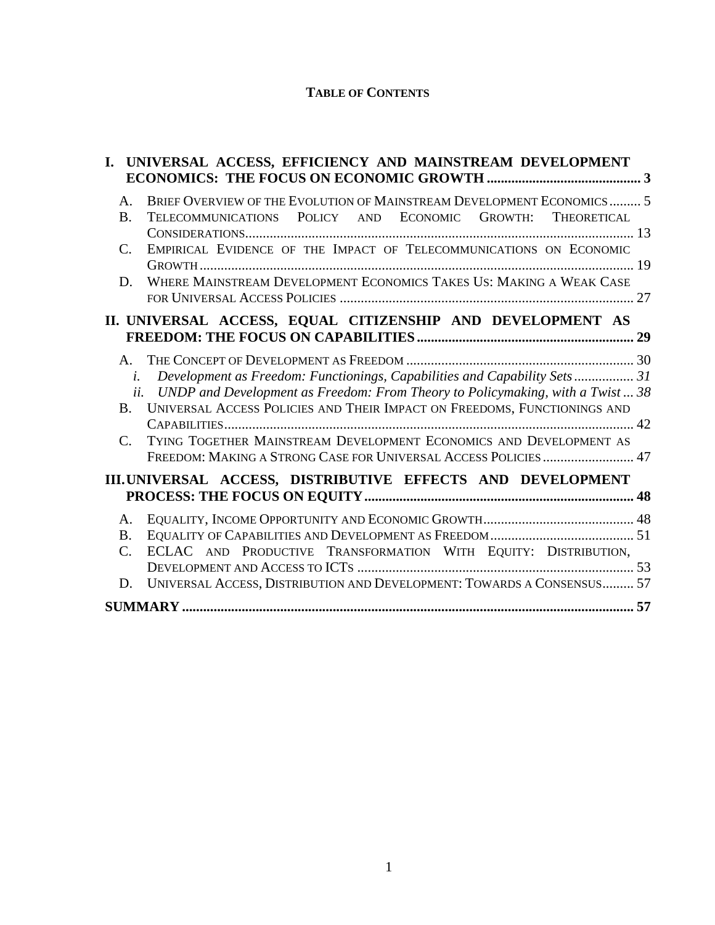### **TABLE OF CONTENTS**

| I.                                                         | UNIVERSAL ACCESS, EFFICIENCY AND MAINSTREAM DEVELOPMENT                           |  |
|------------------------------------------------------------|-----------------------------------------------------------------------------------|--|
|                                                            |                                                                                   |  |
| A.                                                         | BRIEF OVERVIEW OF THE EVOLUTION OF MAINSTREAM DEVELOPMENT ECONOMICS 5             |  |
| <b>B.</b>                                                  | TELECOMMUNICATIONS POLICY AND ECONOMIC GROWTH: THEORETICAL                        |  |
| $\mathbf{C}$ .                                             | EMPIRICAL EVIDENCE OF THE IMPACT OF TELECOMMUNICATIONS ON ECONOMIC                |  |
|                                                            |                                                                                   |  |
| D.                                                         | WHERE MAINSTREAM DEVELOPMENT ECONOMICS TAKES US: MAKING A WEAK CASE               |  |
|                                                            |                                                                                   |  |
|                                                            | II. UNIVERSAL ACCESS, EQUAL CITIZENSHIP AND DEVELOPMENT AS                        |  |
|                                                            |                                                                                   |  |
| $A_{\cdot}$                                                |                                                                                   |  |
| i.                                                         | Development as Freedom: Functionings, Capabilities and Capability Sets 31         |  |
|                                                            | ii. UNDP and Development as Freedom: From Theory to Policymaking, with a Twist 38 |  |
| <b>B.</b>                                                  | UNIVERSAL ACCESS POLICIES AND THEIR IMPACT ON FREEDOMS, FUNCTIONINGS AND          |  |
| C.                                                         | TYING TOGETHER MAINSTREAM DEVELOPMENT ECONOMICS AND DEVELOPMENT AS                |  |
|                                                            | FREEDOM: MAKING A STRONG CASE FOR UNIVERSAL ACCESS POLICIES  47                   |  |
| III.UNIVERSAL ACCESS, DISTRIBUTIVE EFFECTS AND DEVELOPMENT |                                                                                   |  |
|                                                            |                                                                                   |  |
| A.                                                         |                                                                                   |  |
| $B_{\cdot}$                                                |                                                                                   |  |
| C.                                                         | ECLAC AND PRODUCTIVE TRANSFORMATION WITH EQUITY: DISTRIBUTION,                    |  |
| D.                                                         | UNIVERSAL ACCESS, DISTRIBUTION AND DEVELOPMENT: TOWARDS A CONSENSUS 57            |  |
|                                                            |                                                                                   |  |
|                                                            |                                                                                   |  |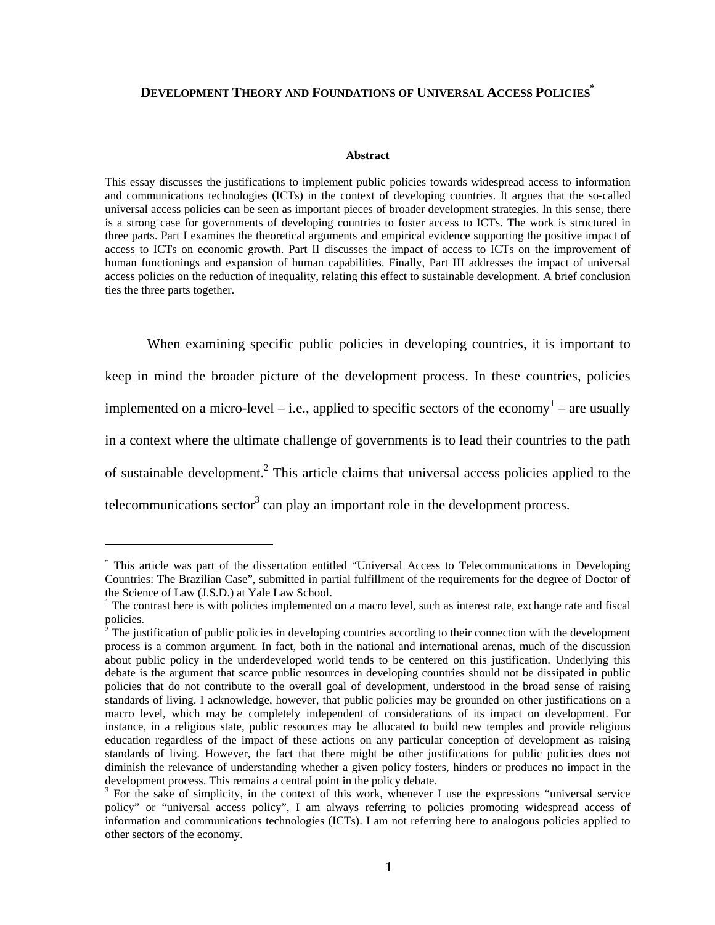### **DEVELOPMENT THEORY AND FOUNDATIONS OF UNIVERSAL ACCESS POLICIES\***

#### **Abstract**

This essay discusses the justifications to implement public policies towards widespread access to information and communications technologies (ICTs) in the context of developing countries. It argues that the so-called universal access policies can be seen as important pieces of broader development strategies. In this sense, there is a strong case for governments of developing countries to foster access to ICTs. The work is structured in three parts. Part I examines the theoretical arguments and empirical evidence supporting the positive impact of access to ICTs on economic growth. Part II discusses the impact of access to ICTs on the improvement of human functionings and expansion of human capabilities. Finally, Part III addresses the impact of universal access policies on the reduction of inequality, relating this effect to sustainable development. A brief conclusion ties the three parts together.

When examining specific public policies in developing countries, it is important to keep in mind the broader picture of the development process. In these countries, policies implemented on a micro-level – i.e., applied to specific sectors of the economy<sup>1</sup> – are usually in a context where the ultimate challenge of governments is to lead their countries to the path of sustainable development.<sup>2</sup> This article claims that universal access policies applied to the telecommunications sector<sup>3</sup> can play an important role in the development process.

<sup>\*</sup> This article was part of the dissertation entitled "Universal Access to Telecommunications in Developing Countries: The Brazilian Case", submitted in partial fulfillment of the requirements for the degree of Doctor of the Science of Law (J.S.D.) at Yale Law School.

<sup>&</sup>lt;sup>1</sup> The contrast here is with policies implemented on a macro level, such as interest rate, exchange rate and fiscal policies.<br><sup>2</sup> The ive

The justification of public policies in developing countries according to their connection with the development process is a common argument. In fact, both in the national and international arenas, much of the discussion about public policy in the underdeveloped world tends to be centered on this justification. Underlying this debate is the argument that scarce public resources in developing countries should not be dissipated in public policies that do not contribute to the overall goal of development, understood in the broad sense of raising standards of living. I acknowledge, however, that public policies may be grounded on other justifications on a macro level, which may be completely independent of considerations of its impact on development. For instance, in a religious state, public resources may be allocated to build new temples and provide religious education regardless of the impact of these actions on any particular conception of development as raising standards of living. However, the fact that there might be other justifications for public policies does not diminish the relevance of understanding whether a given policy fosters, hinders or produces no impact in the development process. This remains a central point in the policy debate.

<sup>&</sup>lt;sup>3</sup> For the sake of simplicity, in the context of this work, whenever I use the expressions "universal service policy" or "universal access policy", I am always referring to policies promoting widespread access of information and communications technologies (ICTs). I am not referring here to analogous policies applied to other sectors of the economy.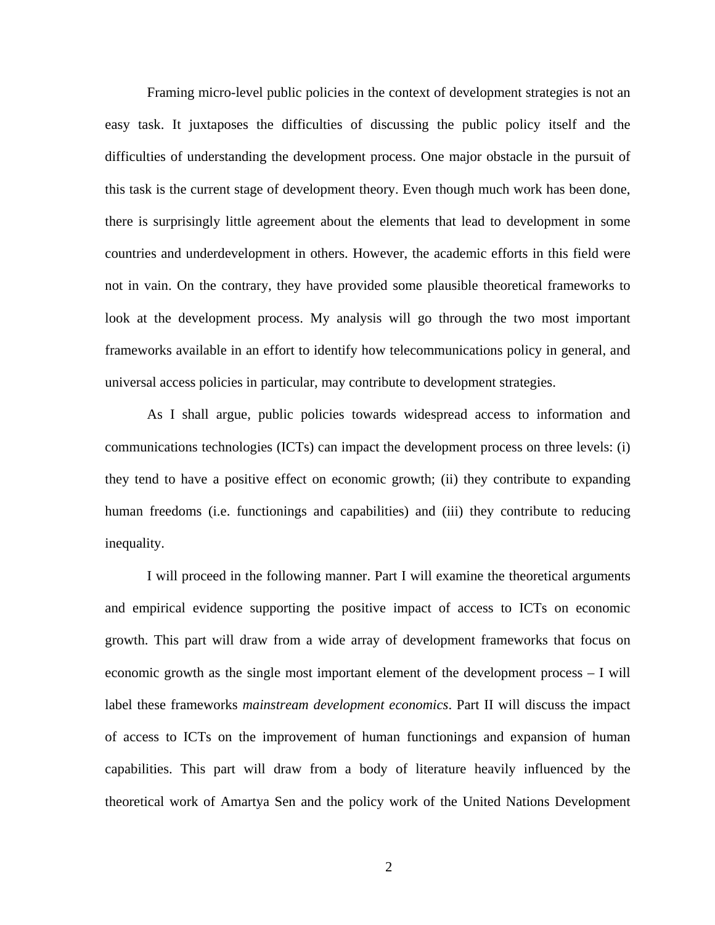Framing micro-level public policies in the context of development strategies is not an easy task. It juxtaposes the difficulties of discussing the public policy itself and the difficulties of understanding the development process. One major obstacle in the pursuit of this task is the current stage of development theory. Even though much work has been done, there is surprisingly little agreement about the elements that lead to development in some countries and underdevelopment in others. However, the academic efforts in this field were not in vain. On the contrary, they have provided some plausible theoretical frameworks to look at the development process. My analysis will go through the two most important frameworks available in an effort to identify how telecommunications policy in general, and universal access policies in particular, may contribute to development strategies.

As I shall argue, public policies towards widespread access to information and communications technologies (ICTs) can impact the development process on three levels: (i) they tend to have a positive effect on economic growth; (ii) they contribute to expanding human freedoms (i.e. functionings and capabilities) and (iii) they contribute to reducing inequality.

I will proceed in the following manner. Part I will examine the theoretical arguments and empirical evidence supporting the positive impact of access to ICTs on economic growth. This part will draw from a wide array of development frameworks that focus on economic growth as the single most important element of the development process – I will label these frameworks *mainstream development economics*. Part II will discuss the impact of access to ICTs on the improvement of human functionings and expansion of human capabilities. This part will draw from a body of literature heavily influenced by the theoretical work of Amartya Sen and the policy work of the United Nations Development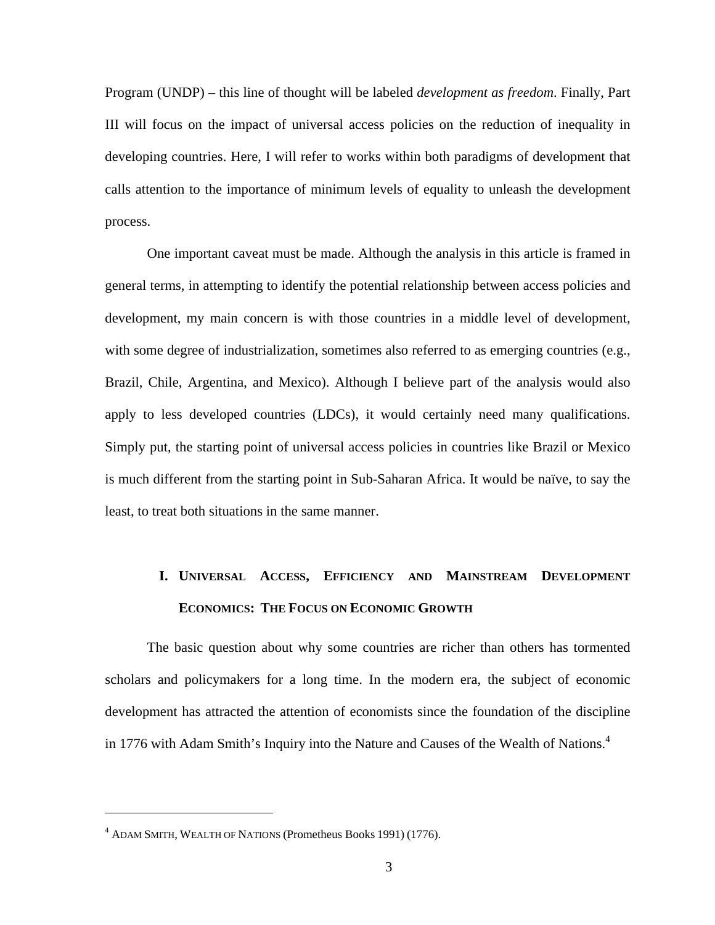Program (UNDP) – this line of thought will be labeled *development as freedom*. Finally, Part III will focus on the impact of universal access policies on the reduction of inequality in developing countries. Here, I will refer to works within both paradigms of development that calls attention to the importance of minimum levels of equality to unleash the development process.

One important caveat must be made. Although the analysis in this article is framed in general terms, in attempting to identify the potential relationship between access policies and development, my main concern is with those countries in a middle level of development, with some degree of industrialization, sometimes also referred to as emerging countries (e.g., Brazil, Chile, Argentina, and Mexico). Although I believe part of the analysis would also apply to less developed countries (LDCs), it would certainly need many qualifications. Simply put, the starting point of universal access policies in countries like Brazil or Mexico is much different from the starting point in Sub-Saharan Africa. It would be naïve, to say the least, to treat both situations in the same manner.

# **I. UNIVERSAL ACCESS, EFFICIENCY AND MAINSTREAM DEVELOPMENT ECONOMICS: THE FOCUS ON ECONOMIC GROWTH**

The basic question about why some countries are richer than others has tormented scholars and policymakers for a long time. In the modern era, the subject of economic development has attracted the attention of economists since the foundation of the discipline in 1776 with Adam Smith's Inquiry into the Nature and Causes of the Wealth of Nations.<sup>4</sup>

1

<sup>4</sup> ADAM SMITH, WEALTH OF NATIONS (Prometheus Books 1991) (1776).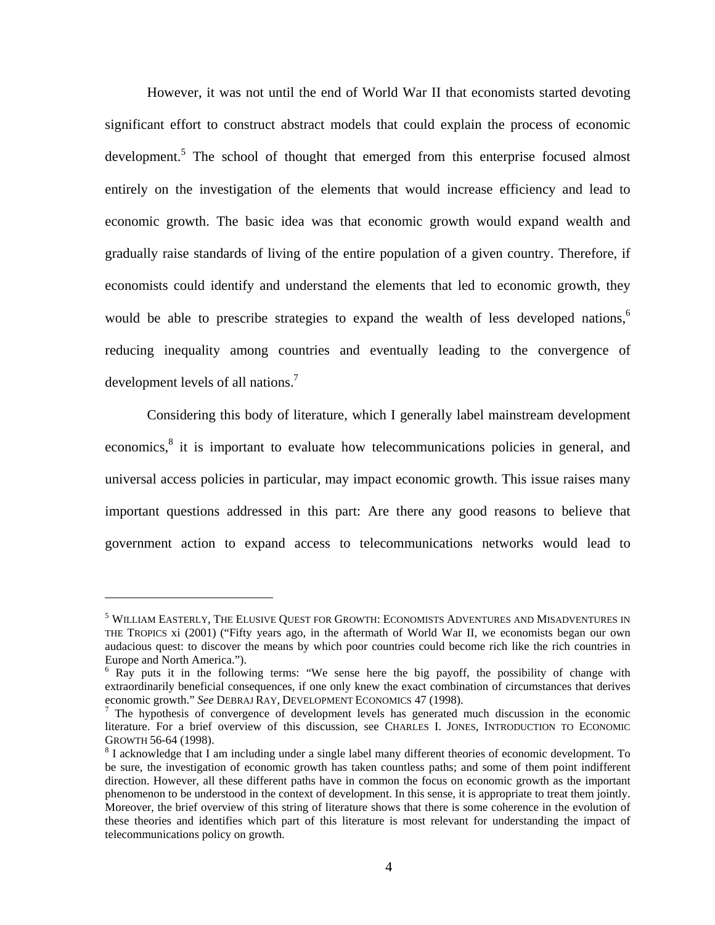However, it was not until the end of World War II that economists started devoting significant effort to construct abstract models that could explain the process of economic development.<sup>5</sup> The school of thought that emerged from this enterprise focused almost entirely on the investigation of the elements that would increase efficiency and lead to economic growth. The basic idea was that economic growth would expand wealth and gradually raise standards of living of the entire population of a given country. Therefore, if economists could identify and understand the elements that led to economic growth, they would be able to prescribe strategies to expand the wealth of less developed nations,  $\delta$ reducing inequality among countries and eventually leading to the convergence of development levels of all nations.<sup>7</sup>

Considering this body of literature, which I generally label mainstream development economics,<sup>8</sup> it is important to evaluate how telecommunications policies in general, and universal access policies in particular, may impact economic growth. This issue raises many important questions addressed in this part: Are there any good reasons to believe that government action to expand access to telecommunications networks would lead to

 $^5$  William Easterly, The Elusive Quest for Growth: Economists Adventures and Misadventures in THE TROPICS xi (2001) ("Fifty years ago, in the aftermath of World War II, we economists began our own audacious quest: to discover the means by which poor countries could become rich like the rich countries in Europe and North America.").

<sup>&</sup>lt;sup>6</sup> Ray puts it in the following terms: "We sense here the big payoff, the possibility of change with extraordinarily beneficial consequences, if one only knew the exact combination of circumstances that derives economic growth." See DEBRAJ RAY, DEVELOPMENT ECONOMICS 47 (1998).

 $\sigma$  The hypothesis of convergence of development levels has generated much discussion in the economic literature. For a brief overview of this discussion, see CHARLES I. JONES, INTRODUCTION TO ECONOMIC GROWTH 56-64 (1998). 8

<sup>&</sup>lt;sup>8</sup> I acknowledge that I am including under a single label many different theories of economic development. To be sure, the investigation of economic growth has taken countless paths; and some of them point indifferent direction. However, all these different paths have in common the focus on economic growth as the important phenomenon to be understood in the context of development. In this sense, it is appropriate to treat them jointly. Moreover, the brief overview of this string of literature shows that there is some coherence in the evolution of these theories and identifies which part of this literature is most relevant for understanding the impact of telecommunications policy on growth.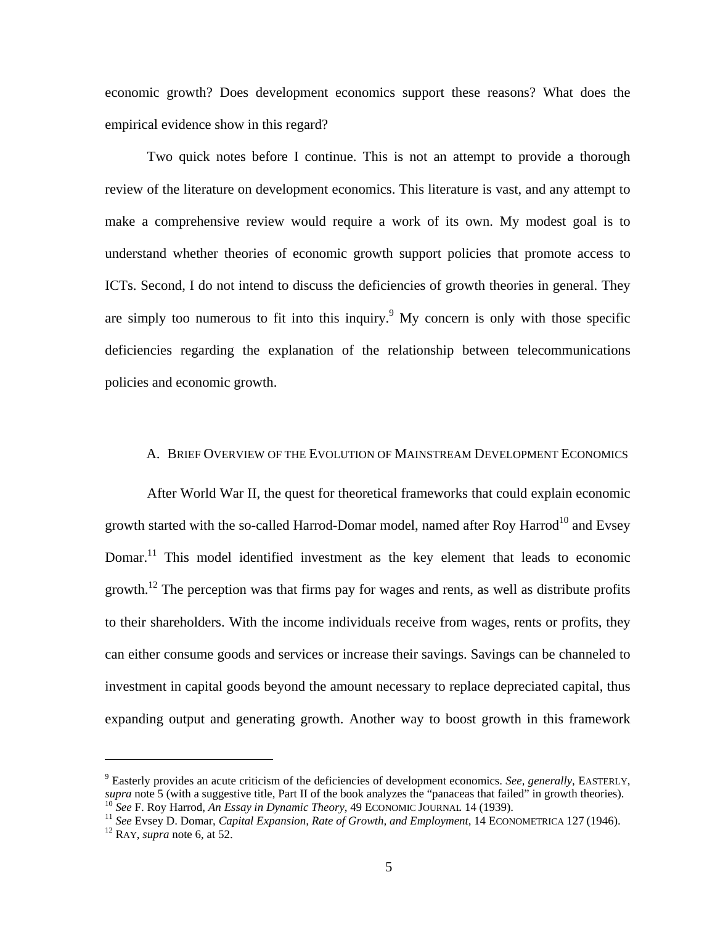economic growth? Does development economics support these reasons? What does the empirical evidence show in this regard?

Two quick notes before I continue. This is not an attempt to provide a thorough review of the literature on development economics. This literature is vast, and any attempt to make a comprehensive review would require a work of its own. My modest goal is to understand whether theories of economic growth support policies that promote access to ICTs. Second, I do not intend to discuss the deficiencies of growth theories in general. They are simply too numerous to fit into this inquiry.  $9$  My concern is only with those specific deficiencies regarding the explanation of the relationship between telecommunications policies and economic growth.

### A. BRIEF OVERVIEW OF THE EVOLUTION OF MAINSTREAM DEVELOPMENT ECONOMICS

After World War II, the quest for theoretical frameworks that could explain economic growth started with the so-called Harrod-Domar model, named after Roy Harrod<sup>10</sup> and Evsey Domar.<sup>11</sup> This model identified investment as the key element that leads to economic growth.<sup>12</sup> The perception was that firms pay for wages and rents, as well as distribute profits to their shareholders. With the income individuals receive from wages, rents or profits, they can either consume goods and services or increase their savings. Savings can be channeled to investment in capital goods beyond the amount necessary to replace depreciated capital, thus expanding output and generating growth. Another way to boost growth in this framework

<u>.</u>

<sup>&</sup>lt;sup>9</sup> Easterly provides an acute criticism of the deficiencies of development economics. *See, generally,* EASTERLY, supra note 5 (with a suggestive title, Part II of the book analyzes the "panaceas that failed" in growth theories).<br><sup>10</sup> See F. Roy Harrod, An Essay in Dynamic Theory, 49 ECONOMIC JOURNAL 14 (1939).<br><sup>11</sup> See Evsey D. Doma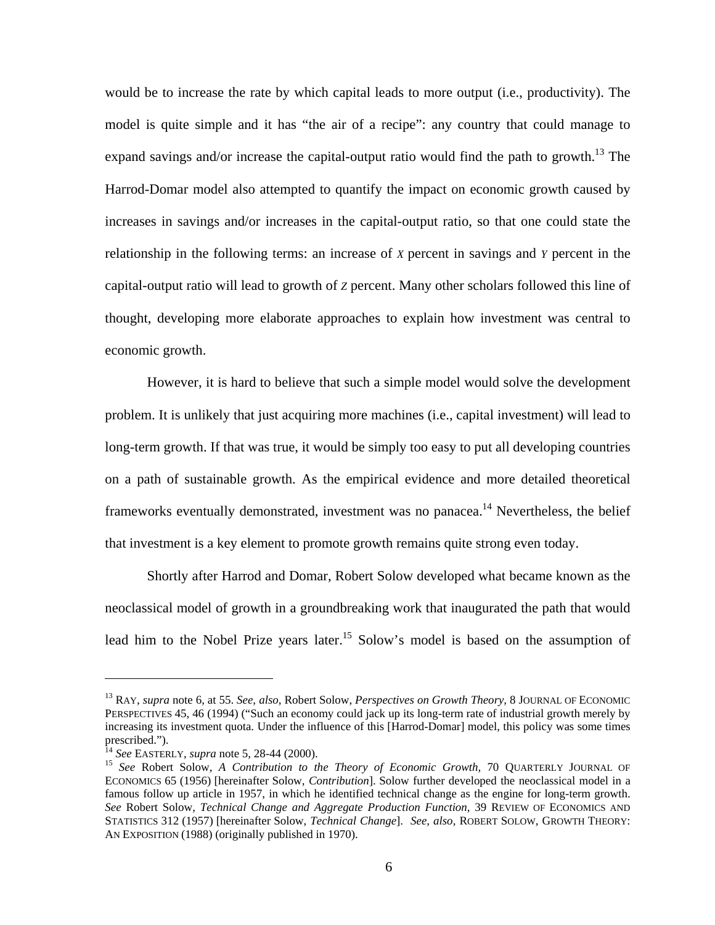would be to increase the rate by which capital leads to more output (i.e., productivity). The model is quite simple and it has "the air of a recipe": any country that could manage to expand savings and/or increase the capital-output ratio would find the path to growth.<sup>13</sup> The Harrod-Domar model also attempted to quantify the impact on economic growth caused by increases in savings and/or increases in the capital-output ratio, so that one could state the relationship in the following terms: an increase of *X* percent in savings and *Y* percent in the capital-output ratio will lead to growth of *Z* percent. Many other scholars followed this line of thought, developing more elaborate approaches to explain how investment was central to economic growth.

However, it is hard to believe that such a simple model would solve the development problem. It is unlikely that just acquiring more machines (i.e., capital investment) will lead to long-term growth. If that was true, it would be simply too easy to put all developing countries on a path of sustainable growth. As the empirical evidence and more detailed theoretical frameworks eventually demonstrated, investment was no panacea.<sup>14</sup> Nevertheless, the belief that investment is a key element to promote growth remains quite strong even today.

Shortly after Harrod and Domar, Robert Solow developed what became known as the neoclassical model of growth in a groundbreaking work that inaugurated the path that would lead him to the Nobel Prize years later.<sup>15</sup> Solow's model is based on the assumption of

<sup>13</sup> RAY, *supra* note 6, at 55. *See, also,* Robert Solow, *Perspectives on Growth Theory,* 8 JOURNAL OF ECONOMIC PERSPECTIVES 45, 46 (1994) ("Such an economy could jack up its long-term rate of industrial growth merely by increasing its investment quota. Under the influence of this [Harrod-Domar] model, this policy was some times prescribed.").<br><sup>14</sup> See EASTERLY, supra note 5, 28-44 (2000).

<sup>&</sup>lt;sup>15</sup> See Robert Solow, *A Contribution to the Theory of Economic Growth*, 70 QUARTERLY JOURNAL OF ECONOMICS 65 (1956) [hereinafter Solow, *Contribution*]. Solow further developed the neoclassical model in a famous follow up article in 1957, in which he identified technical change as the engine for long-term growth. *See* Robert Solow, *Technical Change and Aggregate Production Function,* 39 REVIEW OF ECONOMICS AND STATISTICS 312 (1957) [hereinafter Solow, *Technical Change*]. *See, also,* ROBERT SOLOW, GROWTH THEORY: AN EXPOSITION (1988) (originally published in 1970).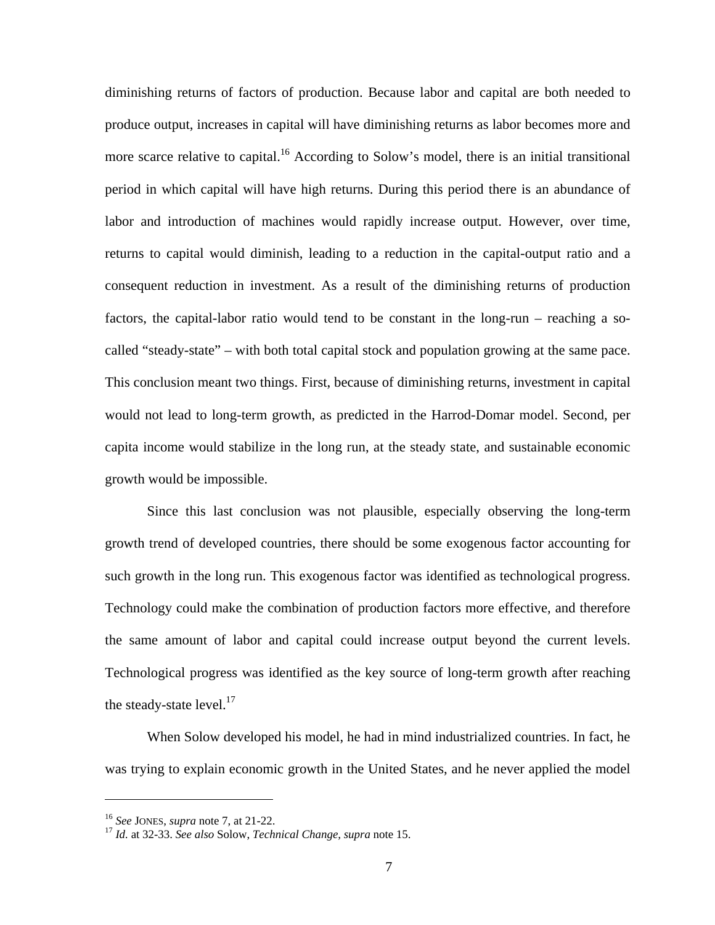diminishing returns of factors of production. Because labor and capital are both needed to produce output, increases in capital will have diminishing returns as labor becomes more and more scarce relative to capital.<sup>16</sup> According to Solow's model, there is an initial transitional period in which capital will have high returns. During this period there is an abundance of labor and introduction of machines would rapidly increase output. However, over time, returns to capital would diminish, leading to a reduction in the capital-output ratio and a consequent reduction in investment. As a result of the diminishing returns of production factors, the capital-labor ratio would tend to be constant in the long-run – reaching a socalled "steady-state" – with both total capital stock and population growing at the same pace. This conclusion meant two things. First, because of diminishing returns, investment in capital would not lead to long-term growth, as predicted in the Harrod-Domar model. Second, per capita income would stabilize in the long run, at the steady state, and sustainable economic growth would be impossible.

Since this last conclusion was not plausible, especially observing the long-term growth trend of developed countries, there should be some exogenous factor accounting for such growth in the long run. This exogenous factor was identified as technological progress. Technology could make the combination of production factors more effective, and therefore the same amount of labor and capital could increase output beyond the current levels. Technological progress was identified as the key source of long-term growth after reaching the steady-state level. $17$ 

When Solow developed his model, he had in mind industrialized countries. In fact, he was trying to explain economic growth in the United States, and he never applied the model

<sup>16</sup> *See* JONES, *supra* note 7, at 21-22. 17 *Id.* at 32-33. *See also* Solow, *Technical Change, supra* note 15.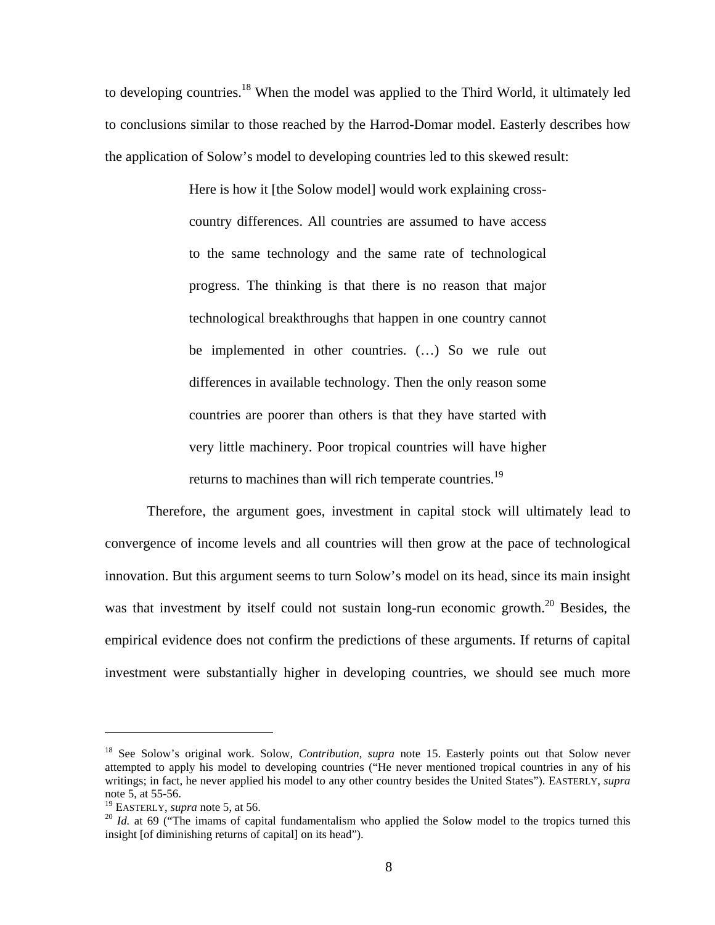to developing countries.18 When the model was applied to the Third World, it ultimately led to conclusions similar to those reached by the Harrod-Domar model. Easterly describes how the application of Solow's model to developing countries led to this skewed result:

> Here is how it [the Solow model] would work explaining crosscountry differences. All countries are assumed to have access to the same technology and the same rate of technological progress. The thinking is that there is no reason that major technological breakthroughs that happen in one country cannot be implemented in other countries. (…) So we rule out differences in available technology. Then the only reason some countries are poorer than others is that they have started with very little machinery. Poor tropical countries will have higher returns to machines than will rich temperate countries.<sup>19</sup>

Therefore, the argument goes, investment in capital stock will ultimately lead to convergence of income levels and all countries will then grow at the pace of technological innovation. But this argument seems to turn Solow's model on its head, since its main insight was that investment by itself could not sustain long-run economic growth.<sup>20</sup> Besides, the empirical evidence does not confirm the predictions of these arguments. If returns of capital investment were substantially higher in developing countries, we should see much more

<sup>18</sup> See Solow's original work. Solow, *Contribution, supra* note 15. Easterly points out that Solow never attempted to apply his model to developing countries ("He never mentioned tropical countries in any of his writings; in fact, he never applied his model to any other country besides the United States"). EASTERLY, *supra*  note 5, at 55-56.<br><sup>19</sup> EASTERLY, *supra* note 5, at 56.

<sup>&</sup>lt;sup>20</sup> Id. at 69 ("The imams of capital fundamentalism who applied the Solow model to the tropics turned this insight [of diminishing returns of capital] on its head").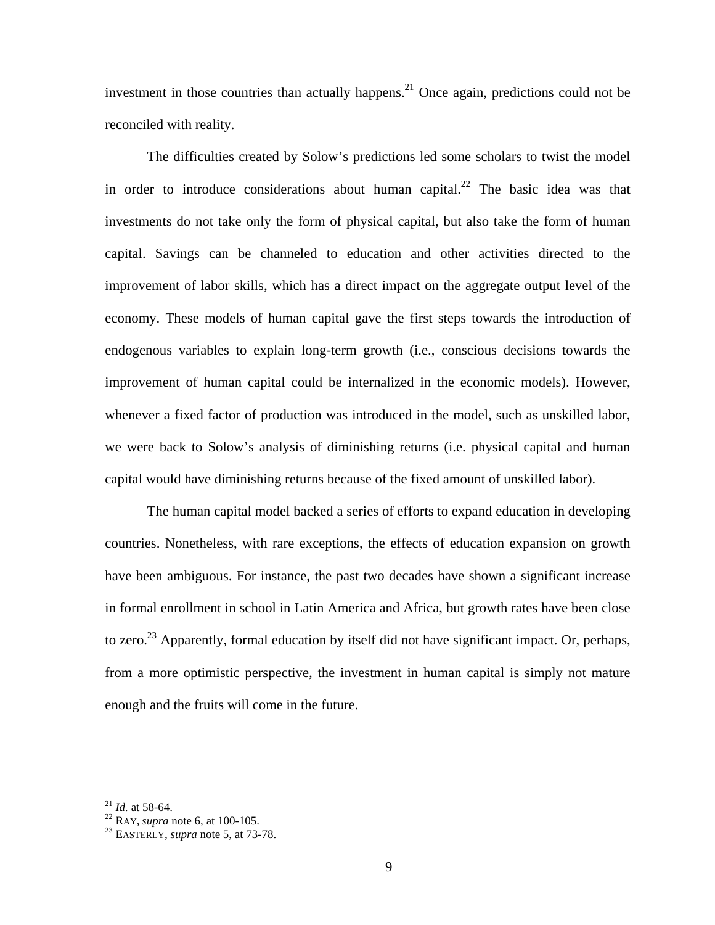investment in those countries than actually happens.<sup>21</sup> Once again, predictions could not be reconciled with reality.

The difficulties created by Solow's predictions led some scholars to twist the model in order to introduce considerations about human capital.<sup>22</sup> The basic idea was that investments do not take only the form of physical capital, but also take the form of human capital. Savings can be channeled to education and other activities directed to the improvement of labor skills, which has a direct impact on the aggregate output level of the economy. These models of human capital gave the first steps towards the introduction of endogenous variables to explain long-term growth (i.e., conscious decisions towards the improvement of human capital could be internalized in the economic models). However, whenever a fixed factor of production was introduced in the model, such as unskilled labor, we were back to Solow's analysis of diminishing returns (i.e. physical capital and human capital would have diminishing returns because of the fixed amount of unskilled labor).

The human capital model backed a series of efforts to expand education in developing countries. Nonetheless, with rare exceptions, the effects of education expansion on growth have been ambiguous. For instance, the past two decades have shown a significant increase in formal enrollment in school in Latin America and Africa, but growth rates have been close to zero.<sup>23</sup> Apparently, formal education by itself did not have significant impact. Or, perhaps, from a more optimistic perspective, the investment in human capital is simply not mature enough and the fruits will come in the future.

<sup>21</sup> *Id.* at 58-64. 22 RAY, *supra* note 6, at 100-105. 23 EASTERLY, *supra* note 5, at 73-78.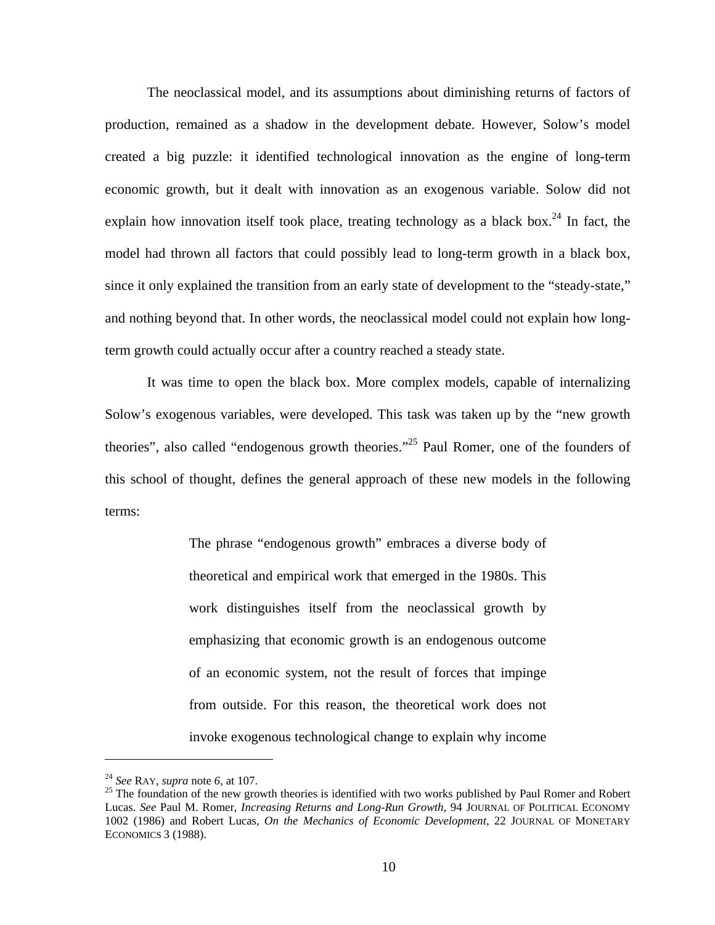The neoclassical model, and its assumptions about diminishing returns of factors of production, remained as a shadow in the development debate. However, Solow's model created a big puzzle: it identified technological innovation as the engine of long-term economic growth, but it dealt with innovation as an exogenous variable. Solow did not explain how innovation itself took place, treating technology as a black box.<sup>24</sup> In fact, the model had thrown all factors that could possibly lead to long-term growth in a black box, since it only explained the transition from an early state of development to the "steady-state," and nothing beyond that. In other words, the neoclassical model could not explain how longterm growth could actually occur after a country reached a steady state.

It was time to open the black box. More complex models, capable of internalizing Solow's exogenous variables, were developed. This task was taken up by the "new growth theories", also called "endogenous growth theories."25 Paul Romer, one of the founders of this school of thought, defines the general approach of these new models in the following terms:

> The phrase "endogenous growth" embraces a diverse body of theoretical and empirical work that emerged in the 1980s. This work distinguishes itself from the neoclassical growth by emphasizing that economic growth is an endogenous outcome of an economic system, not the result of forces that impinge from outside. For this reason, the theoretical work does not invoke exogenous technological change to explain why income

<sup>&</sup>lt;sup>24</sup> *See* RAY, *supra* note 6, at 107.<br><sup>25</sup> The foundation of the new growth theories is identified with two works published by Paul Romer and Robert Lucas. *See* Paul M. Romer, *Increasing Returns and Long-Run Growth*, 94 JOURNAL OF POLITICAL ECONOMY 1002 (1986) and Robert Lucas, *On the Mechanics of Economic Development,* 22 JOURNAL OF MONETARY ECONOMICS 3 (1988).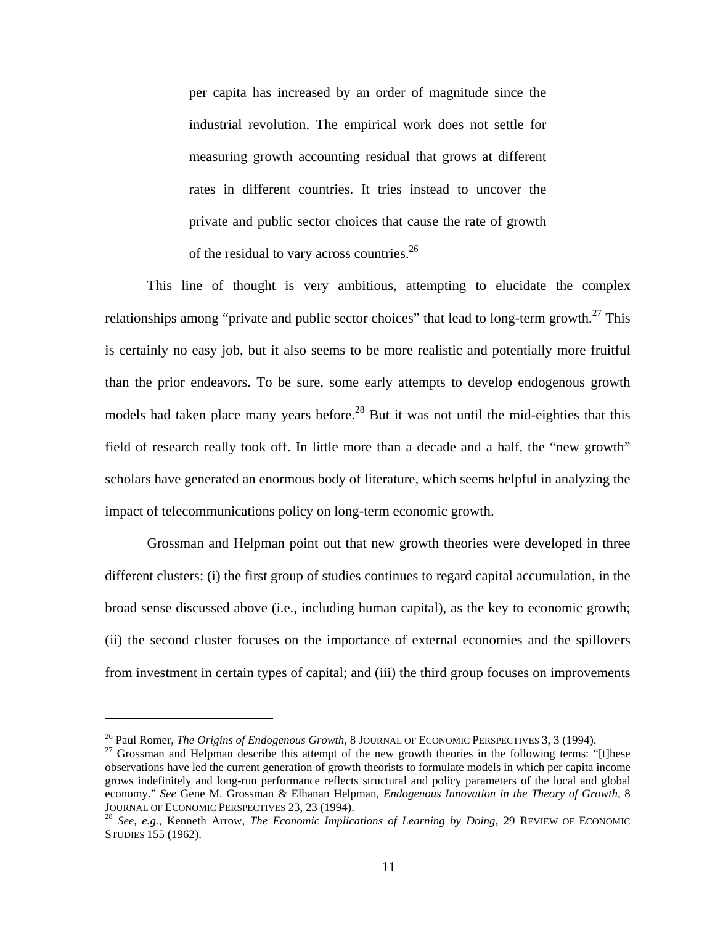per capita has increased by an order of magnitude since the industrial revolution. The empirical work does not settle for measuring growth accounting residual that grows at different rates in different countries. It tries instead to uncover the private and public sector choices that cause the rate of growth of the residual to vary across countries.<sup>26</sup>

This line of thought is very ambitious, attempting to elucidate the complex relationships among "private and public sector choices" that lead to long-term growth.<sup>27</sup> This is certainly no easy job, but it also seems to be more realistic and potentially more fruitful than the prior endeavors. To be sure, some early attempts to develop endogenous growth models had taken place many years before.<sup>28</sup> But it was not until the mid-eighties that this field of research really took off. In little more than a decade and a half, the "new growth" scholars have generated an enormous body of literature, which seems helpful in analyzing the impact of telecommunications policy on long-term economic growth.

Grossman and Helpman point out that new growth theories were developed in three different clusters: (i) the first group of studies continues to regard capital accumulation, in the broad sense discussed above (i.e., including human capital), as the key to economic growth; (ii) the second cluster focuses on the importance of external economies and the spillovers from investment in certain types of capital; and (iii) the third group focuses on improvements

<sup>&</sup>lt;sup>26</sup> Paul Romer, *The Origins of Endogenous Growth*, 8 JOURNAL OF ECONOMIC PERSPECTIVES 3, 3 (1994).<br><sup>27</sup> Grossman and Helpman describe this attempt of the new growth theories in the following terms: "[t]hese observations have led the current generation of growth theorists to formulate models in which per capita income grows indefinitely and long-run performance reflects structural and policy parameters of the local and global economy." *See* Gene M. Grossman & Elhanan Helpman, *Endogenous Innovation in the Theory of Growth*, 8 JOURNAL OF ECONOMIC PERSPECTIVES 23, 23 (1994). 28 *See, e.g.,* Kenneth Arrow, *The Economic Implications of Learning by Doing,* 29 REVIEW OF ECONOMIC

STUDIES 155 (1962).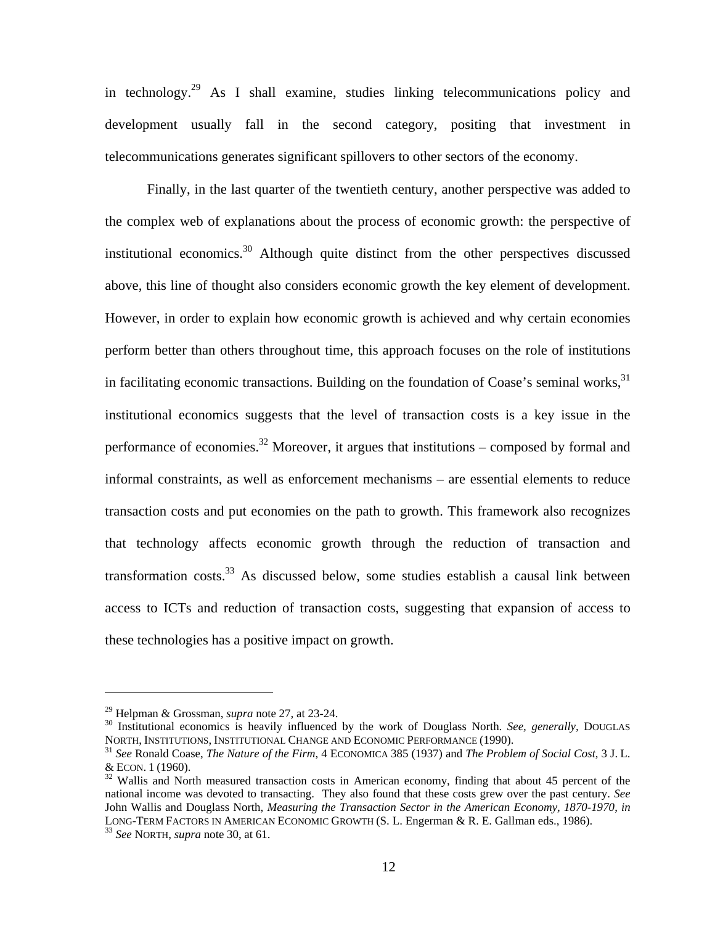in technology.29 As I shall examine, studies linking telecommunications policy and development usually fall in the second category, positing that investment in telecommunications generates significant spillovers to other sectors of the economy.

Finally, in the last quarter of the twentieth century, another perspective was added to the complex web of explanations about the process of economic growth: the perspective of institutional economics.<sup>30</sup> Although quite distinct from the other perspectives discussed above, this line of thought also considers economic growth the key element of development. However, in order to explain how economic growth is achieved and why certain economies perform better than others throughout time, this approach focuses on the role of institutions in facilitating economic transactions. Building on the foundation of Coase's seminal works,  $31$ institutional economics suggests that the level of transaction costs is a key issue in the performance of economies.<sup>32</sup> Moreover, it argues that institutions – composed by formal and informal constraints, as well as enforcement mechanisms – are essential elements to reduce transaction costs and put economies on the path to growth. This framework also recognizes that technology affects economic growth through the reduction of transaction and transformation costs. $33$  As discussed below, some studies establish a causal link between access to ICTs and reduction of transaction costs, suggesting that expansion of access to these technologies has a positive impact on growth.

<sup>&</sup>lt;sup>29</sup> Helpman & Grossman, *supra* note 27, at 23-24.<br><sup>30</sup> Institutional economics is heavily influenced by the work of Douglass North. *See, generally,* DOUGLAS NORTH, INSTITUTIONS, INSTITUTIONAL CHANGE AND ECONOMIC PERFORMANCE (1990). 31 *See* Ronald Coase, *The Nature of the Firm*, 4 ECONOMICA 385 (1937) and *The Problem of Social Cost,* 3 J. L.

<sup>&</sup>amp; ECON. <sup>1</sup> (1960). 32 Wallis and North measured transaction costs in American economy, finding that about 45 percent of the

national income was devoted to transacting. They also found that these costs grew over the past century. *See* John Wallis and Douglass North, *Measuring the Transaction Sector in the American Economy, 1870-1970*, *in*  LONG-TERM FACTORS IN AMERICAN ECONOMIC GROWTH (S. L. Engerman & R. E. Gallman eds., 1986). 33 *See* NORTH, *supra* note 30, at 61.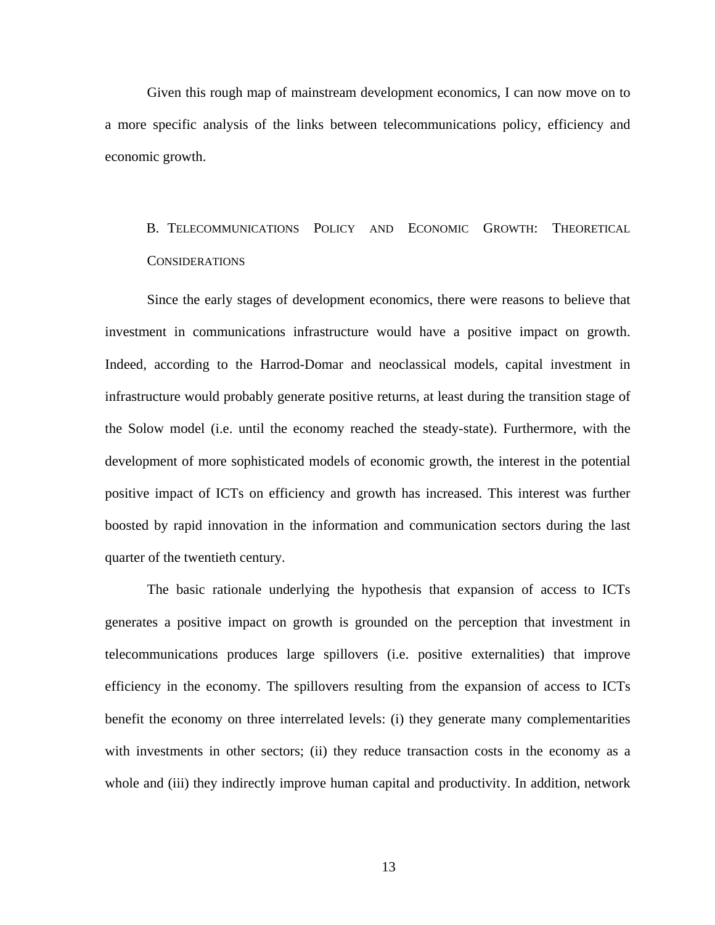Given this rough map of mainstream development economics, I can now move on to a more specific analysis of the links between telecommunications policy, efficiency and economic growth.

# B. TELECOMMUNICATIONS POLICY AND ECONOMIC GROWTH: THEORETICAL **CONSIDERATIONS**

Since the early stages of development economics, there were reasons to believe that investment in communications infrastructure would have a positive impact on growth. Indeed, according to the Harrod-Domar and neoclassical models, capital investment in infrastructure would probably generate positive returns, at least during the transition stage of the Solow model (i.e. until the economy reached the steady-state). Furthermore, with the development of more sophisticated models of economic growth, the interest in the potential positive impact of ICTs on efficiency and growth has increased. This interest was further boosted by rapid innovation in the information and communication sectors during the last quarter of the twentieth century.

The basic rationale underlying the hypothesis that expansion of access to ICTs generates a positive impact on growth is grounded on the perception that investment in telecommunications produces large spillovers (i.e. positive externalities) that improve efficiency in the economy. The spillovers resulting from the expansion of access to ICTs benefit the economy on three interrelated levels: (i) they generate many complementarities with investments in other sectors; (ii) they reduce transaction costs in the economy as a whole and (iii) they indirectly improve human capital and productivity. In addition, network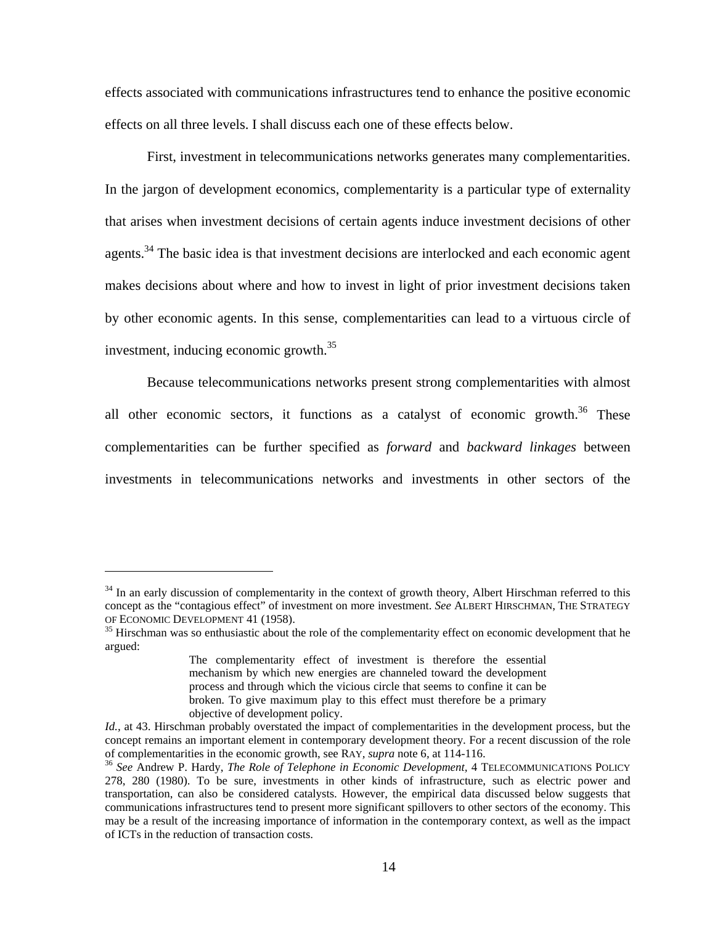effects associated with communications infrastructures tend to enhance the positive economic effects on all three levels. I shall discuss each one of these effects below.

First, investment in telecommunications networks generates many complementarities. In the jargon of development economics, complementarity is a particular type of externality that arises when investment decisions of certain agents induce investment decisions of other agents.<sup>34</sup> The basic idea is that investment decisions are interlocked and each economic agent makes decisions about where and how to invest in light of prior investment decisions taken by other economic agents. In this sense, complementarities can lead to a virtuous circle of investment, inducing economic growth.35

Because telecommunications networks present strong complementarities with almost all other economic sectors, it functions as a catalyst of economic growth.<sup>36</sup> These complementarities can be further specified as *forward* and *backward linkages* between investments in telecommunications networks and investments in other sectors of the

<sup>&</sup>lt;sup>34</sup> In an early discussion of complementarity in the context of growth theory, Albert Hirschman referred to this concept as the "contagious effect" of investment on more investment. *See* ALBERT HIRSCHMAN, THE STRATEGY OF ECONOMIC DEVELOPMENT 41 (1958).<br><sup>35</sup> Hirschman was so enthusiastic about the role of the complementarity effect on economic development that he

argued:

The complementarity effect of investment is therefore the essential mechanism by which new energies are channeled toward the development process and through which the vicious circle that seems to confine it can be broken. To give maximum play to this effect must therefore be a primary objective of development policy.

*Id.,* at 43. Hirschman probably overstated the impact of complementarities in the development process, but the concept remains an important element in contemporary development theory. For a recent discussion of the role of complementarities in the economic growth, see RAY*, supra* note 6*,* at 114-116. 36 *See* Andrew P. Hardy, *The Role of Telephone in Economic Development,* 4 TELECOMMUNICATIONS POLICY

<sup>278, 280 (1980).</sup> To be sure, investments in other kinds of infrastructure, such as electric power and transportation, can also be considered catalysts. However, the empirical data discussed below suggests that communications infrastructures tend to present more significant spillovers to other sectors of the economy. This may be a result of the increasing importance of information in the contemporary context, as well as the impact of ICTs in the reduction of transaction costs.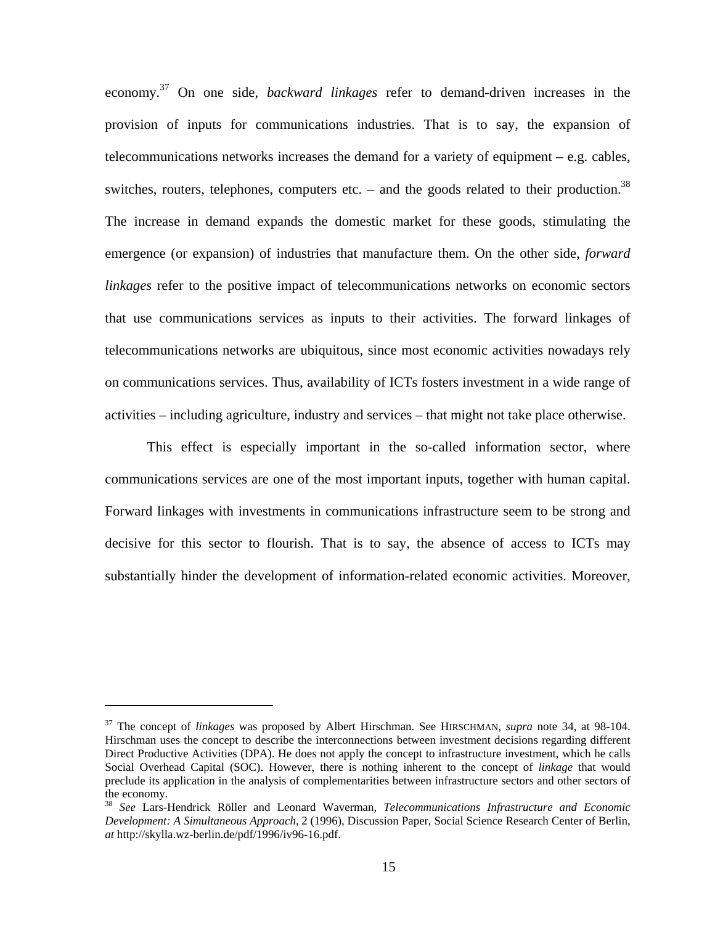economy.37 On one side, *backward linkages* refer to demand-driven increases in the provision of inputs for communications industries. That is to say, the expansion of telecommunications networks increases the demand for a variety of equipment – e.g. cables, switches, routers, telephones, computers etc. – and the goods related to their production.<sup>38</sup> The increase in demand expands the domestic market for these goods, stimulating the emergence (or expansion) of industries that manufacture them. On the other side, *forward linkages* refer to the positive impact of telecommunications networks on economic sectors that use communications services as inputs to their activities. The forward linkages of telecommunications networks are ubiquitous, since most economic activities nowadays rely on communications services. Thus, availability of ICTs fosters investment in a wide range of activities – including agriculture, industry and services – that might not take place otherwise.

This effect is especially important in the so-called information sector, where communications services are one of the most important inputs, together with human capital. Forward linkages with investments in communications infrastructure seem to be strong and decisive for this sector to flourish. That is to say, the absence of access to ICTs may substantially hinder the development of information-related economic activities. Moreover,

1

<sup>37</sup> The concept of *linkages* was proposed by Albert Hirschman. See HIRSCHMAN, *supra* note 34, at 98-104. Hirschman uses the concept to describe the interconnections between investment decisions regarding different Direct Productive Activities (DPA). He does not apply the concept to infrastructure investment, which he calls Social Overhead Capital (SOC). However, there is nothing inherent to the concept of *linkage* that would preclude its application in the analysis of complementarities between infrastructure sectors and other sectors of the economy.

<sup>38</sup> *See* Lars-Hendrick Röller and Leonard Waverman, *Telecommunications Infrastructure and Economic Development: A Simultaneous Approach,* 2 (1996), Discussion Paper, Social Science Research Center of Berlin, *at* http://skylla.wz-berlin.de/pdf/1996/iv96-16.pdf.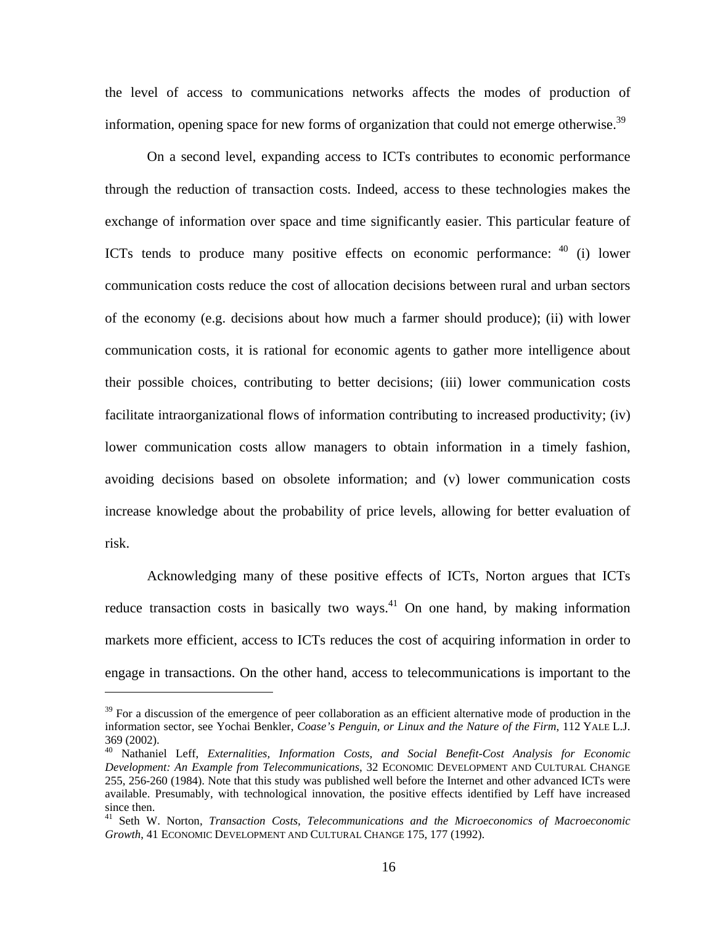the level of access to communications networks affects the modes of production of information, opening space for new forms of organization that could not emerge otherwise.<sup>39</sup>

On a second level, expanding access to ICTs contributes to economic performance through the reduction of transaction costs. Indeed, access to these technologies makes the exchange of information over space and time significantly easier. This particular feature of ICTs tends to produce many positive effects on economic performance: 40 (i) lower communication costs reduce the cost of allocation decisions between rural and urban sectors of the economy (e.g. decisions about how much a farmer should produce); (ii) with lower communication costs, it is rational for economic agents to gather more intelligence about their possible choices, contributing to better decisions; (iii) lower communication costs facilitate intraorganizational flows of information contributing to increased productivity; (iv) lower communication costs allow managers to obtain information in a timely fashion, avoiding decisions based on obsolete information; and (v) lower communication costs increase knowledge about the probability of price levels, allowing for better evaluation of risk.

Acknowledging many of these positive effects of ICTs, Norton argues that ICTs reduce transaction costs in basically two ways.<sup>41</sup> On one hand, by making information markets more efficient, access to ICTs reduces the cost of acquiring information in order to engage in transactions. On the other hand, access to telecommunications is important to the

 $39$  For a discussion of the emergence of peer collaboration as an efficient alternative mode of production in the information sector, see Yochai Benkler, *Coase's Penguin, or Linux and the Nature of the Firm*, 112 YALE L.J. 369 (2002).

<sup>40</sup> Nathaniel Leff, *Externalities, Information Costs, and Social Benefit-Cost Analysis for Economic Development: An Example from Telecommunications*, 32 ECONOMIC DEVELOPMENT AND CULTURAL CHANGE 255, 256-260 (1984). Note that this study was published well before the Internet and other advanced ICTs were available. Presumably, with technological innovation, the positive effects identified by Leff have increased since then.

<sup>41</sup> Seth W. Norton, *Transaction Costs, Telecommunications and the Microeconomics of Macroeconomic Growth*, 41 ECONOMIC DEVELOPMENT AND CULTURAL CHANGE 175, 177 (1992).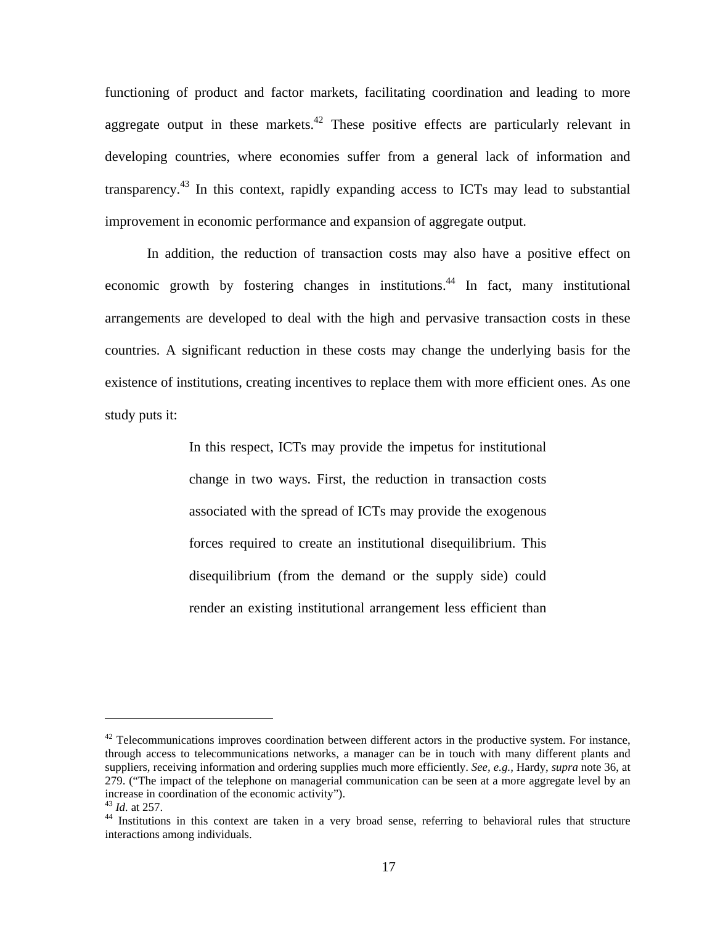functioning of product and factor markets, facilitating coordination and leading to more aggregate output in these markets.<sup>42</sup> These positive effects are particularly relevant in developing countries, where economies suffer from a general lack of information and transparency.43 In this context, rapidly expanding access to ICTs may lead to substantial improvement in economic performance and expansion of aggregate output.

In addition, the reduction of transaction costs may also have a positive effect on economic growth by fostering changes in institutions.<sup>44</sup> In fact, many institutional arrangements are developed to deal with the high and pervasive transaction costs in these countries. A significant reduction in these costs may change the underlying basis for the existence of institutions, creating incentives to replace them with more efficient ones. As one study puts it:

> In this respect, ICTs may provide the impetus for institutional change in two ways. First, the reduction in transaction costs associated with the spread of ICTs may provide the exogenous forces required to create an institutional disequilibrium. This disequilibrium (from the demand or the supply side) could render an existing institutional arrangement less efficient than

 $42$  Telecommunications improves coordination between different actors in the productive system. For instance, through access to telecommunications networks, a manager can be in touch with many different plants and suppliers, receiving information and ordering supplies much more efficiently. *See, e.g.,* Hardy, *supra* note 36, at 279. ("The impact of the telephone on managerial communication can be seen at a more aggregate level by an increase in coordination of the economic activity").<br> $^{43}$  *Id.* at 257.

<sup>&</sup>lt;sup>44</sup> Institutions in this context are taken in a very broad sense, referring to behavioral rules that structure interactions among individuals.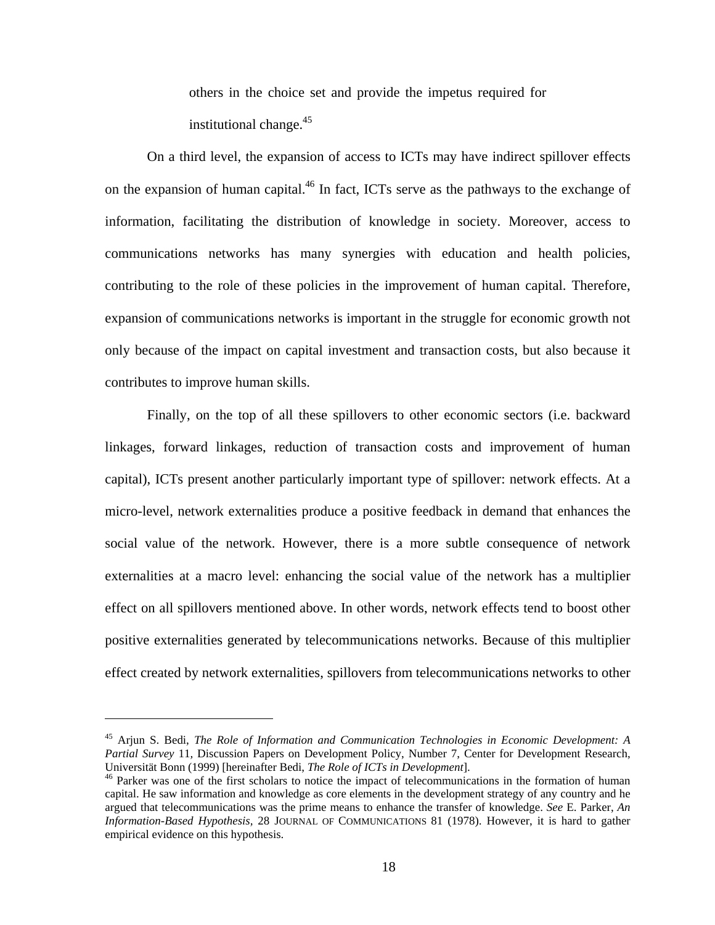others in the choice set and provide the impetus required for institutional change. $45$ 

On a third level, the expansion of access to ICTs may have indirect spillover effects on the expansion of human capital.<sup>46</sup> In fact, ICTs serve as the pathways to the exchange of information, facilitating the distribution of knowledge in society. Moreover, access to communications networks has many synergies with education and health policies, contributing to the role of these policies in the improvement of human capital. Therefore, expansion of communications networks is important in the struggle for economic growth not only because of the impact on capital investment and transaction costs, but also because it contributes to improve human skills.

Finally, on the top of all these spillovers to other economic sectors (i.e. backward linkages, forward linkages, reduction of transaction costs and improvement of human capital), ICTs present another particularly important type of spillover: network effects. At a micro-level, network externalities produce a positive feedback in demand that enhances the social value of the network. However, there is a more subtle consequence of network externalities at a macro level: enhancing the social value of the network has a multiplier effect on all spillovers mentioned above. In other words, network effects tend to boost other positive externalities generated by telecommunications networks. Because of this multiplier effect created by network externalities, spillovers from telecommunications networks to other

<u>.</u>

<sup>45</sup> Arjun S. Bedi, *The Role of Information and Communication Technologies in Economic Development: A Partial Survey 11, Discussion Papers on Development Policy, Number 7, Center for Development Research, Universität Bonn (1999) [hereinafter Bedi, <i>The Role of ICTs in Development*].

<sup>&</sup>lt;sup>46</sup> Parker was one of the first scholars to notice the impact of telecommunications in the formation of human capital. He saw information and knowledge as core elements in the development strategy of any country and he argued that telecommunications was the prime means to enhance the transfer of knowledge. *See* E. Parker, *An Information-Based Hypothesis,* 28 JOURNAL OF COMMUNICATIONS 81 (1978). However, it is hard to gather empirical evidence on this hypothesis.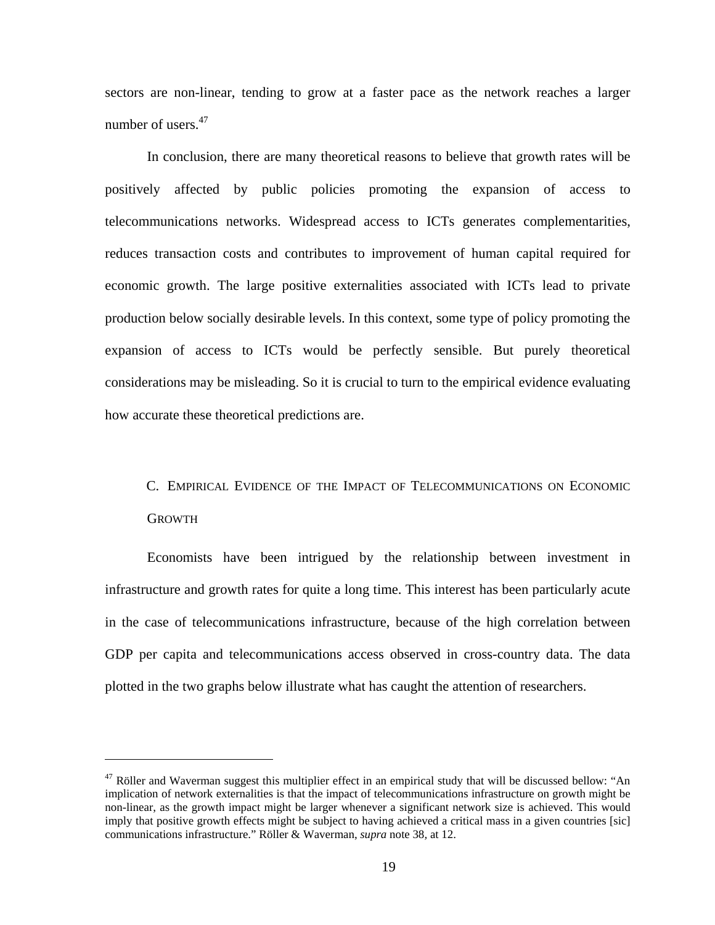sectors are non-linear, tending to grow at a faster pace as the network reaches a larger number of users.<sup>47</sup>

In conclusion, there are many theoretical reasons to believe that growth rates will be positively affected by public policies promoting the expansion of access to telecommunications networks. Widespread access to ICTs generates complementarities, reduces transaction costs and contributes to improvement of human capital required for economic growth. The large positive externalities associated with ICTs lead to private production below socially desirable levels. In this context, some type of policy promoting the expansion of access to ICTs would be perfectly sensible. But purely theoretical considerations may be misleading. So it is crucial to turn to the empirical evidence evaluating how accurate these theoretical predictions are.

# C. EMPIRICAL EVIDENCE OF THE IMPACT OF TELECOMMUNICATIONS ON ECONOMIC GROWTH

Economists have been intrigued by the relationship between investment in infrastructure and growth rates for quite a long time. This interest has been particularly acute in the case of telecommunications infrastructure, because of the high correlation between GDP per capita and telecommunications access observed in cross-country data. The data plotted in the two graphs below illustrate what has caught the attention of researchers.

<u>.</u>

 $47$  Röller and Waverman suggest this multiplier effect in an empirical study that will be discussed bellow: "An implication of network externalities is that the impact of telecommunications infrastructure on growth might be non-linear, as the growth impact might be larger whenever a significant network size is achieved. This would imply that positive growth effects might be subject to having achieved a critical mass in a given countries [sic] communications infrastructure." Röller & Waverman, *supra* note 38*,* at 12.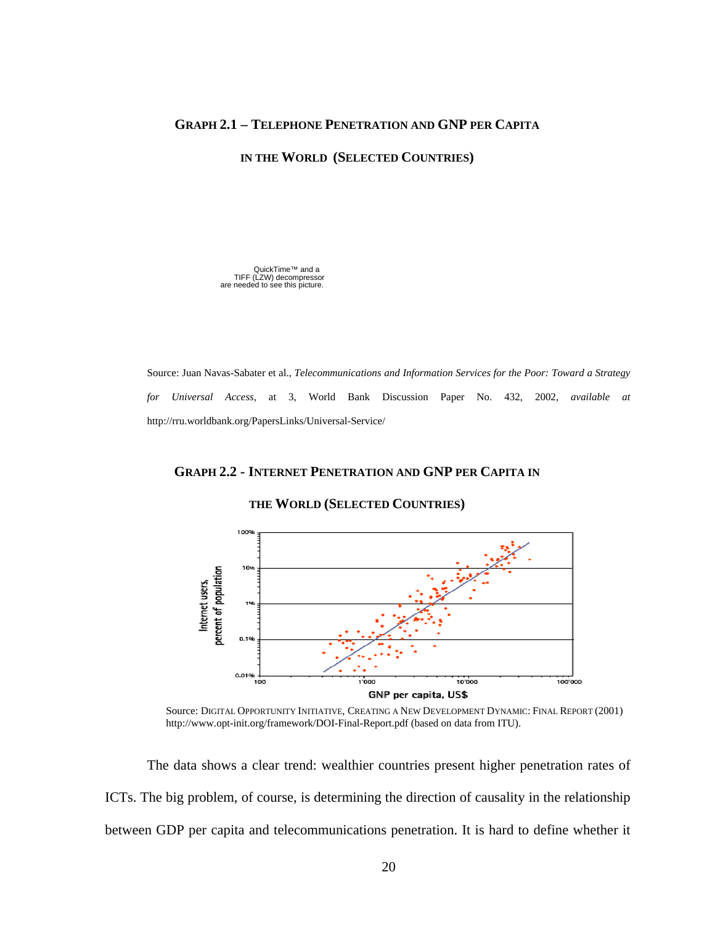### **GRAPH 2.1 – TELEPHONE PENETRATION AND GNP PER CAPITA**

**IN THE WORLD (SELECTED COUNTRIES)** 

QuickTime™ and a TIFF (LZW) decompressor are needed to see this picture.

Source: Juan Navas-Sabater et al., *Telecommunications and Information Services for the Poor: Toward a Strategy for Universal Access*, at 3, World Bank Discussion Paper No. 432, 2002, *available at* http://rru.worldbank.org/PapersLinks/Universal-Service/

### **GRAPH 2.2 - INTERNET PENETRATION AND GNP PER CAPITA IN**

#### **THE WORLD (SELECTED COUNTRIES)**



Source: DIGITAL OPPORTUNITY INITIATIVE, CREATING A NEW DEVELOPMENT DYNAMIC: FINAL REPORT (2001) http://www.opt-init.org/framework/DOI-Final-Report.pdf (based on data from ITU).

The data shows a clear trend: wealthier countries present higher penetration rates of ICTs. The big problem, of course, is determining the direction of causality in the relationship between GDP per capita and telecommunications penetration. It is hard to define whether it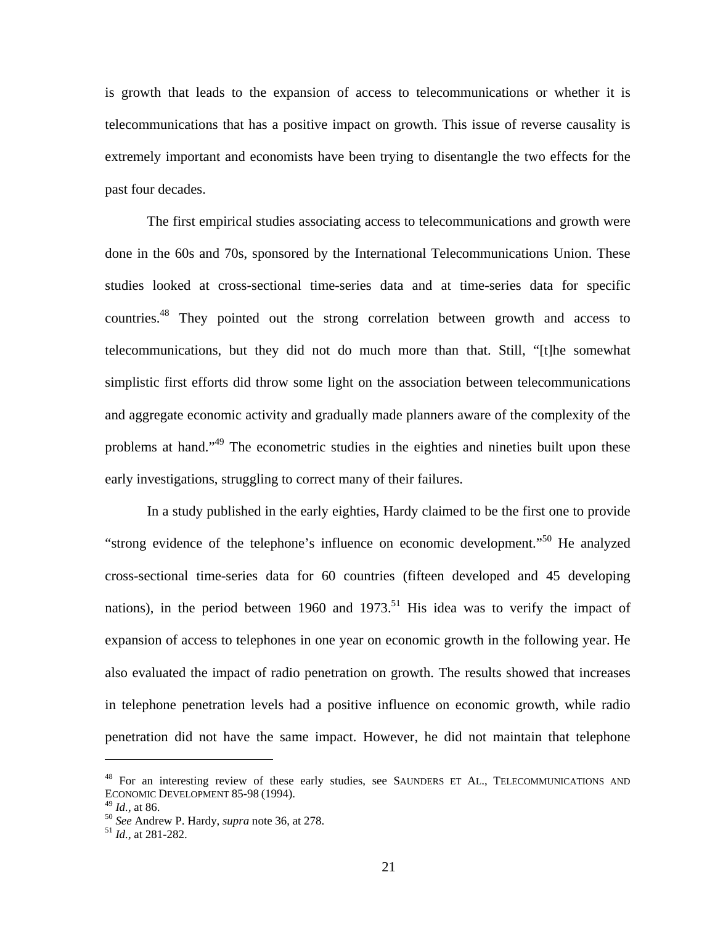is growth that leads to the expansion of access to telecommunications or whether it is telecommunications that has a positive impact on growth. This issue of reverse causality is extremely important and economists have been trying to disentangle the two effects for the past four decades.

The first empirical studies associating access to telecommunications and growth were done in the 60s and 70s, sponsored by the International Telecommunications Union. These studies looked at cross-sectional time-series data and at time-series data for specific countries.48 They pointed out the strong correlation between growth and access to telecommunications, but they did not do much more than that. Still, "[t]he somewhat simplistic first efforts did throw some light on the association between telecommunications and aggregate economic activity and gradually made planners aware of the complexity of the problems at hand."<sup>49</sup> The econometric studies in the eighties and nineties built upon these early investigations, struggling to correct many of their failures.

In a study published in the early eighties, Hardy claimed to be the first one to provide "strong evidence of the telephone's influence on economic development."50 He analyzed cross-sectional time-series data for 60 countries (fifteen developed and 45 developing nations), in the period between 1960 and 1973.<sup>51</sup> His idea was to verify the impact of expansion of access to telephones in one year on economic growth in the following year. He also evaluated the impact of radio penetration on growth. The results showed that increases in telephone penetration levels had a positive influence on economic growth, while radio penetration did not have the same impact. However, he did not maintain that telephone

<sup>&</sup>lt;sup>48</sup> For an interesting review of these early studies, see SAUNDERS ET AL., TELECOMMUNICATIONS AND ECONOMIC DEVELOPMENT 85-98 (1994).<br> $^{49}$  *Id.*, at 86.

<sup>49</sup> *Id.,* at 86. 50 *See* Andrew P. Hardy, *supra* note 36, at 278. <sup>51</sup> *Id.,* at 281-282.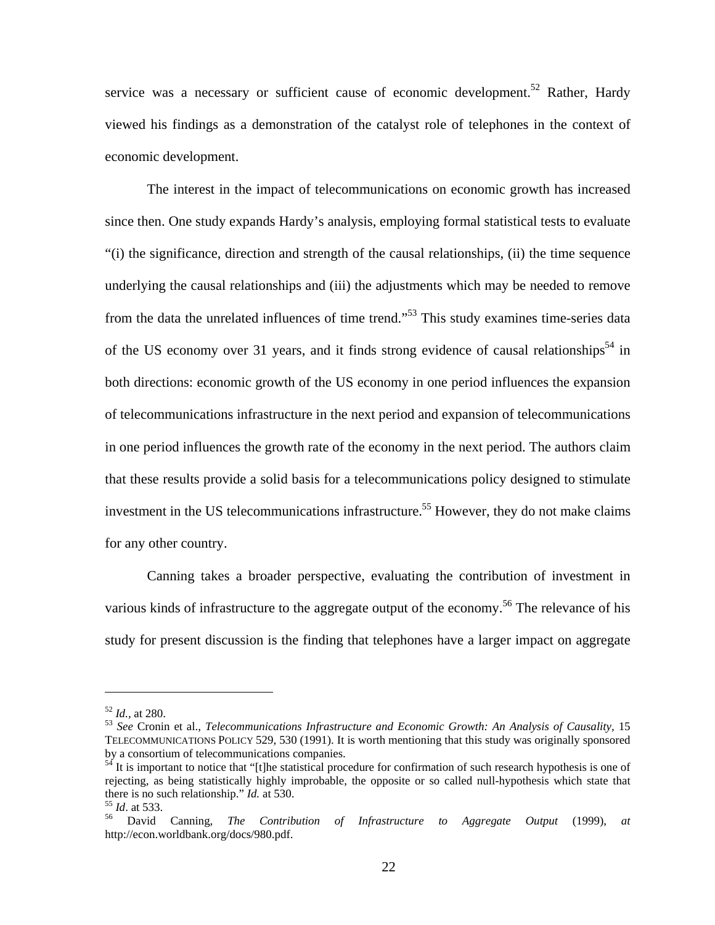service was a necessary or sufficient cause of economic development.<sup>52</sup> Rather, Hardy viewed his findings as a demonstration of the catalyst role of telephones in the context of economic development.

The interest in the impact of telecommunications on economic growth has increased since then. One study expands Hardy's analysis, employing formal statistical tests to evaluate "(i) the significance, direction and strength of the causal relationships, (ii) the time sequence underlying the causal relationships and (iii) the adjustments which may be needed to remove from the data the unrelated influences of time trend."<sup>53</sup> This study examines time-series data of the US economy over 31 years, and it finds strong evidence of causal relationships<sup>54</sup> in both directions: economic growth of the US economy in one period influences the expansion of telecommunications infrastructure in the next period and expansion of telecommunications in one period influences the growth rate of the economy in the next period. The authors claim that these results provide a solid basis for a telecommunications policy designed to stimulate investment in the US telecommunications infrastructure.<sup>55</sup> However, they do not make claims for any other country.

Canning takes a broader perspective, evaluating the contribution of investment in various kinds of infrastructure to the aggregate output of the economy.<sup>56</sup> The relevance of his study for present discussion is the finding that telephones have a larger impact on aggregate

<sup>&</sup>lt;sup>52</sup> *Id.*, at 280.<br><sup>53</sup> *See* Cronin et al., *Telecommunications Infrastructure and Economic Growth: An Analysis of Causality, 15* TELECOMMUNICATIONS POLICY 529, 530 (1991). It is worth mentioning that this study was originally sponsored by a consortium of telecommunications companies.

 $54$  It is important to notice that "[t]he statistical procedure for confirmation of such research hypothesis is one of rejecting, as being statistically highly improbable, the opposite or so called null-hypothesis which state that there is no such relationship." *Id.* at 530.<br><sup>55</sup> *Id.* at 533.<br><sup>56</sup> David Canning, *The Contribution of Infrastructure to Aggregate Output* (1999), *at* 

http://econ.worldbank.org/docs/980.pdf.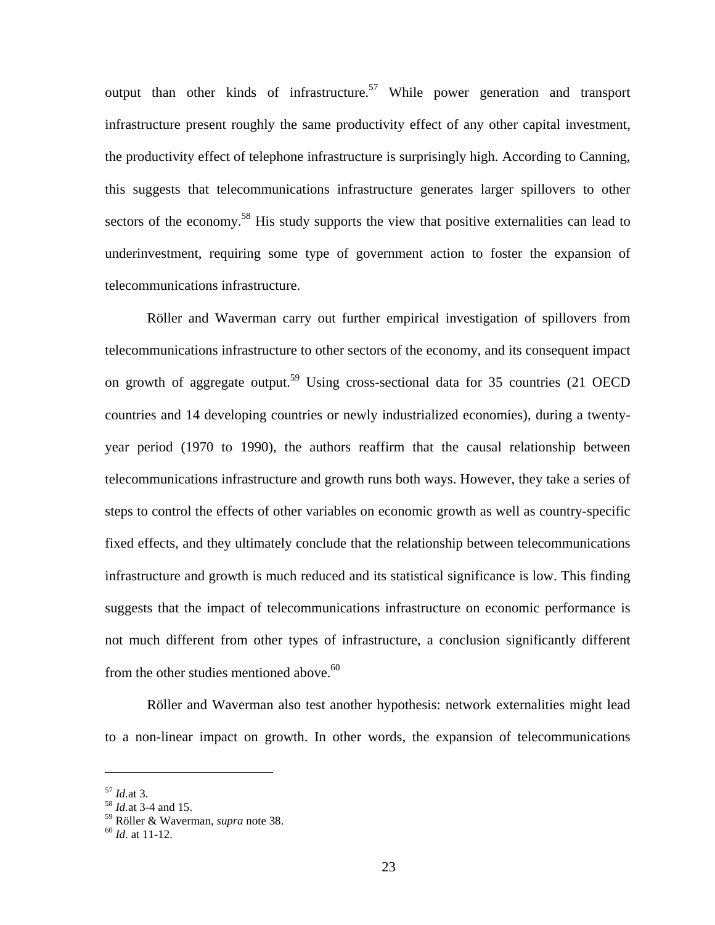output than other kinds of infrastructure.<sup>57</sup> While power generation and transport infrastructure present roughly the same productivity effect of any other capital investment, the productivity effect of telephone infrastructure is surprisingly high. According to Canning, this suggests that telecommunications infrastructure generates larger spillovers to other sectors of the economy.<sup>58</sup> His study supports the view that positive externalities can lead to underinvestment, requiring some type of government action to foster the expansion of telecommunications infrastructure.

Röller and Waverman carry out further empirical investigation of spillovers from telecommunications infrastructure to other sectors of the economy, and its consequent impact on growth of aggregate output.<sup>59</sup> Using cross-sectional data for 35 countries (21 OECD countries and 14 developing countries or newly industrialized economies), during a twentyyear period (1970 to 1990), the authors reaffirm that the causal relationship between telecommunications infrastructure and growth runs both ways. However, they take a series of steps to control the effects of other variables on economic growth as well as country-specific fixed effects, and they ultimately conclude that the relationship between telecommunications infrastructure and growth is much reduced and its statistical significance is low. This finding suggests that the impact of telecommunications infrastructure on economic performance is not much different from other types of infrastructure, a conclusion significantly different from the other studies mentioned above.<sup>60</sup>

Röller and Waverman also test another hypothesis: network externalities might lead to a non-linear impact on growth. In other words, the expansion of telecommunications

<sup>57</sup> *Id.*at 3. 58 *Id.*at 3-4 and 15.

<sup>59</sup> Röller & Waverman, *supra* note 38. 60 *Id.* at 11-12.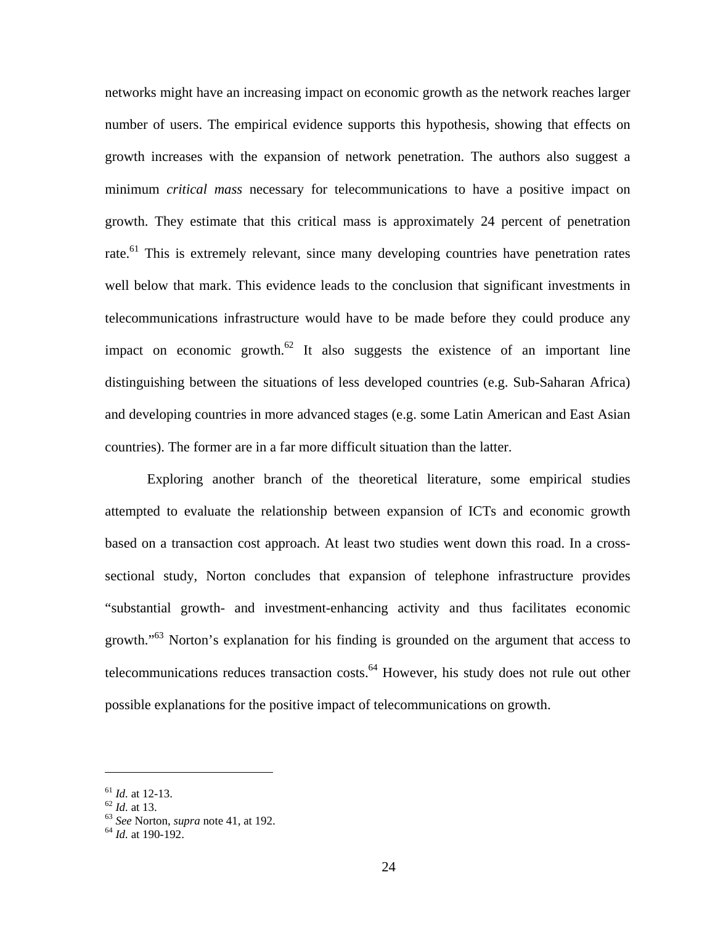networks might have an increasing impact on economic growth as the network reaches larger number of users. The empirical evidence supports this hypothesis, showing that effects on growth increases with the expansion of network penetration. The authors also suggest a minimum *critical mass* necessary for telecommunications to have a positive impact on growth. They estimate that this critical mass is approximately 24 percent of penetration rate.<sup>61</sup> This is extremely relevant, since many developing countries have penetration rates well below that mark. This evidence leads to the conclusion that significant investments in telecommunications infrastructure would have to be made before they could produce any impact on economic growth.<sup>62</sup> It also suggests the existence of an important line distinguishing between the situations of less developed countries (e.g. Sub-Saharan Africa) and developing countries in more advanced stages (e.g. some Latin American and East Asian countries). The former are in a far more difficult situation than the latter.

Exploring another branch of the theoretical literature, some empirical studies attempted to evaluate the relationship between expansion of ICTs and economic growth based on a transaction cost approach. At least two studies went down this road. In a crosssectional study, Norton concludes that expansion of telephone infrastructure provides "substantial growth- and investment-enhancing activity and thus facilitates economic growth."<sup>63</sup> Norton's explanation for his finding is grounded on the argument that access to telecommunications reduces transaction costs. $<sup>64</sup>$  However, his study does not rule out other</sup> possible explanations for the positive impact of telecommunications on growth.

<sup>61</sup> *Id.* at 12-13. 62 *Id.* at 13. <sup>63</sup> *See* Norton, *supra* note 41, at 192. <sup>64</sup> *Id.* at 190-192.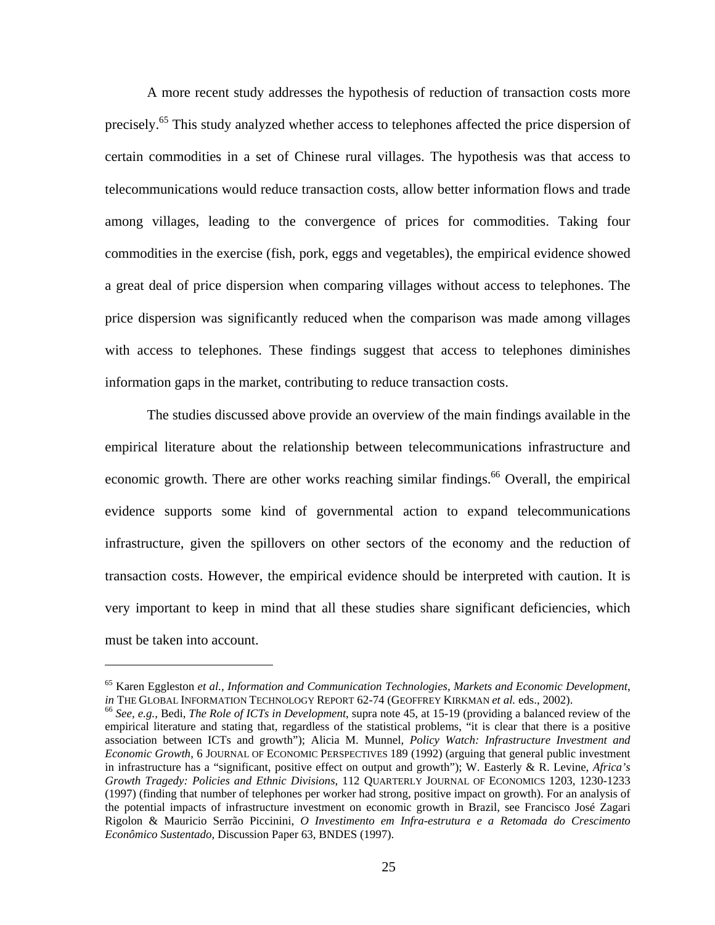A more recent study addresses the hypothesis of reduction of transaction costs more precisely.<sup>65</sup> This study analyzed whether access to telephones affected the price dispersion of certain commodities in a set of Chinese rural villages. The hypothesis was that access to telecommunications would reduce transaction costs, allow better information flows and trade among villages, leading to the convergence of prices for commodities. Taking four commodities in the exercise (fish, pork, eggs and vegetables), the empirical evidence showed a great deal of price dispersion when comparing villages without access to telephones. The price dispersion was significantly reduced when the comparison was made among villages with access to telephones. These findings suggest that access to telephones diminishes information gaps in the market, contributing to reduce transaction costs.

The studies discussed above provide an overview of the main findings available in the empirical literature about the relationship between telecommunications infrastructure and economic growth. There are other works reaching similar findings.<sup>66</sup> Overall, the empirical evidence supports some kind of governmental action to expand telecommunications infrastructure, given the spillovers on other sectors of the economy and the reduction of transaction costs. However, the empirical evidence should be interpreted with caution. It is very important to keep in mind that all these studies share significant deficiencies, which must be taken into account.

<sup>&</sup>lt;sup>65</sup> Karen Eggleston *et al., Information and Communication Technologies, Markets and Economic Development, in THE GLOBAL INFORMATION TECHNOLOGY REPORT 62-74 (GEOFFREY KIRKMAN <i>et al. eds., 2002*).

 $66$  See, e.g., Bedi, The Role of ICTs in Development, supra note 45, at 15-19 (providing a balanced review of the empirical literature and stating that, regardless of the statistical problems, "it is clear that there is a positive association between ICTs and growth"); Alicia M. Munnel, *Policy Watch: Infrastructure Investment and Economic Growth*, 6 JOURNAL OF ECONOMIC PERSPECTIVES 189 (1992) (arguing that general public investment in infrastructure has a "significant, positive effect on output and growth"); W. Easterly & R. Levine, *Africa's Growth Tragedy: Policies and Ethnic Divisions*, 112 QUARTERLY JOURNAL OF ECONOMICS 1203, 1230-1233 (1997) (finding that number of telephones per worker had strong, positive impact on growth). For an analysis of the potential impacts of infrastructure investment on economic growth in Brazil, see Francisco José Zagari Rigolon & Mauricio Serrão Piccinini, *O Investimento em Infra-estrutura e a Retomada do Crescimento Econômico Sustentado*, Discussion Paper 63, BNDES (1997).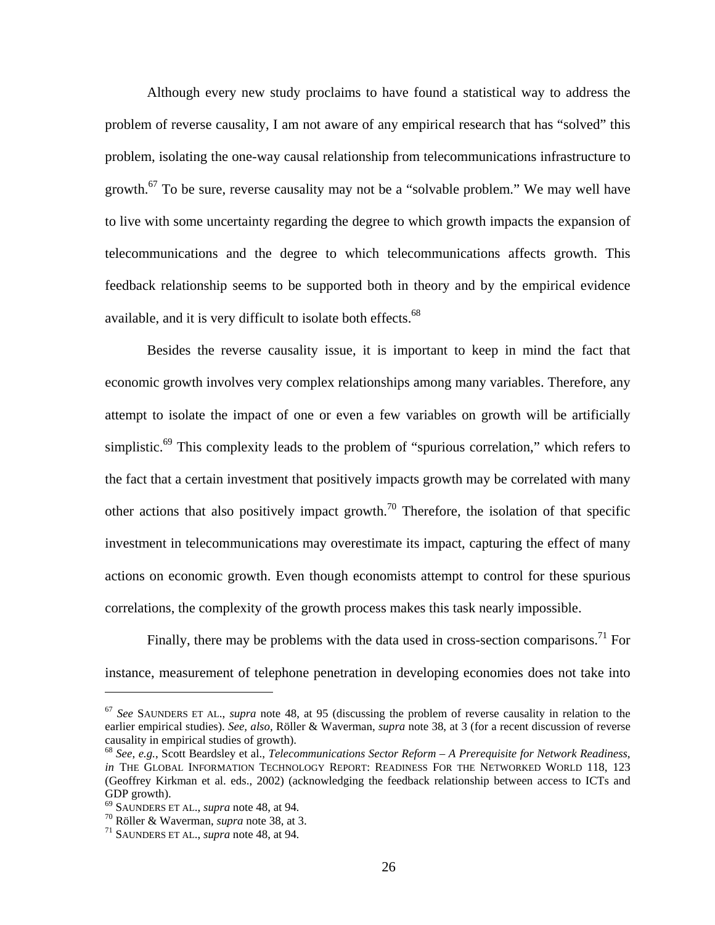Although every new study proclaims to have found a statistical way to address the problem of reverse causality, I am not aware of any empirical research that has "solved" this problem, isolating the one-way causal relationship from telecommunications infrastructure to growth.<sup>67</sup> To be sure, reverse causality may not be a "solvable problem." We may well have to live with some uncertainty regarding the degree to which growth impacts the expansion of telecommunications and the degree to which telecommunications affects growth. This feedback relationship seems to be supported both in theory and by the empirical evidence available, and it is very difficult to isolate both effects.<sup>68</sup>

Besides the reverse causality issue, it is important to keep in mind the fact that economic growth involves very complex relationships among many variables. Therefore, any attempt to isolate the impact of one or even a few variables on growth will be artificially simplistic.<sup>69</sup> This complexity leads to the problem of "spurious correlation," which refers to the fact that a certain investment that positively impacts growth may be correlated with many other actions that also positively impact growth.<sup>70</sup> Therefore, the isolation of that specific investment in telecommunications may overestimate its impact, capturing the effect of many actions on economic growth. Even though economists attempt to control for these spurious correlations, the complexity of the growth process makes this task nearly impossible.

Finally, there may be problems with the data used in cross-section comparisons.<sup>71</sup> For instance, measurement of telephone penetration in developing economies does not take into

<sup>67</sup> *See* SAUNDERS ET AL., *supra* note 48, at 95 (discussing the problem of reverse causality in relation to the earlier empirical studies). *See, also,* Röller & Waverman, *supra* note 38, at 3 (for a recent discussion of reverse causality in empirical studies of growth).

<sup>68</sup> *See*, *e.g.*, Scott Beardsley et al., *Telecommunications Sector Reform – A Prerequisite for Network Readiness*, *in* THE GLOBAL INFORMATION TECHNOLOGY REPORT: READINESS FOR THE NETWORKED WORLD 118, 123 (Geoffrey Kirkman et al. eds., 2002) (acknowledging the feedback relationship between access to ICTs and GDP growth).<br><sup>69</sup> SAUNDERS ET AL., *supra* note 48, at 94.

<sup>&</sup>lt;sup>70</sup> Röller & Waverman, *supra* note 38, at 3.<br><sup>71</sup> SAUNDERS ET AL., *supra* note 48, at 94.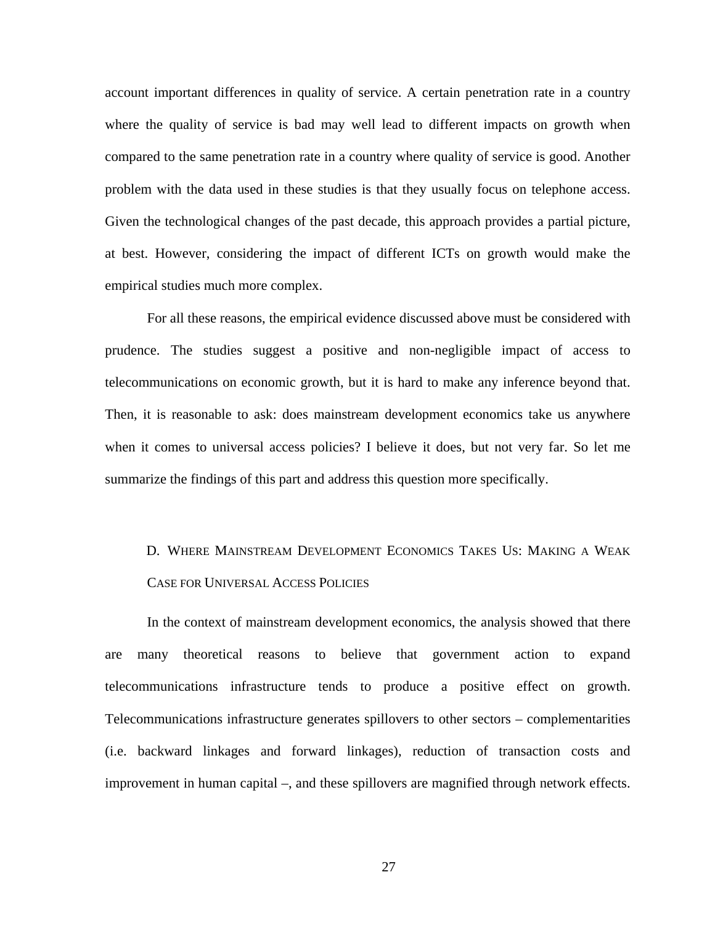account important differences in quality of service. A certain penetration rate in a country where the quality of service is bad may well lead to different impacts on growth when compared to the same penetration rate in a country where quality of service is good. Another problem with the data used in these studies is that they usually focus on telephone access. Given the technological changes of the past decade, this approach provides a partial picture, at best. However, considering the impact of different ICTs on growth would make the empirical studies much more complex.

For all these reasons, the empirical evidence discussed above must be considered with prudence. The studies suggest a positive and non-negligible impact of access to telecommunications on economic growth, but it is hard to make any inference beyond that. Then, it is reasonable to ask: does mainstream development economics take us anywhere when it comes to universal access policies? I believe it does, but not very far. So let me summarize the findings of this part and address this question more specifically.

## D. WHERE MAINSTREAM DEVELOPMENT ECONOMICS TAKES US: MAKING A WEAK CASE FOR UNIVERSAL ACCESS POLICIES

In the context of mainstream development economics, the analysis showed that there are many theoretical reasons to believe that government action to expand telecommunications infrastructure tends to produce a positive effect on growth. Telecommunications infrastructure generates spillovers to other sectors – complementarities (i.e. backward linkages and forward linkages), reduction of transaction costs and improvement in human capital –, and these spillovers are magnified through network effects.

27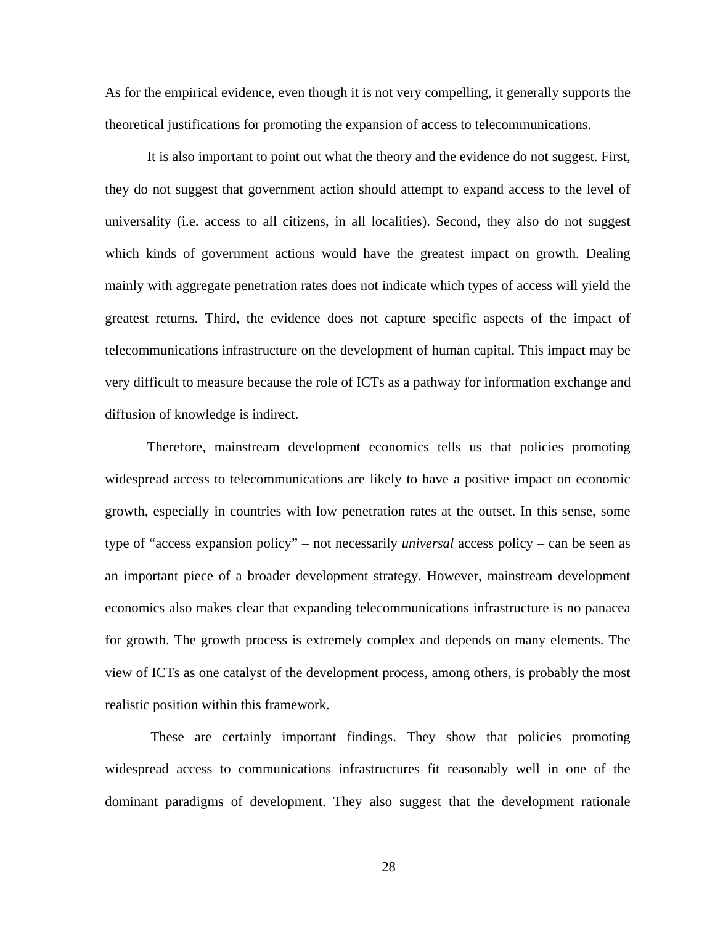As for the empirical evidence, even though it is not very compelling, it generally supports the theoretical justifications for promoting the expansion of access to telecommunications.

It is also important to point out what the theory and the evidence do not suggest. First, they do not suggest that government action should attempt to expand access to the level of universality (i.e. access to all citizens, in all localities). Second, they also do not suggest which kinds of government actions would have the greatest impact on growth. Dealing mainly with aggregate penetration rates does not indicate which types of access will yield the greatest returns. Third, the evidence does not capture specific aspects of the impact of telecommunications infrastructure on the development of human capital. This impact may be very difficult to measure because the role of ICTs as a pathway for information exchange and diffusion of knowledge is indirect.

Therefore, mainstream development economics tells us that policies promoting widespread access to telecommunications are likely to have a positive impact on economic growth, especially in countries with low penetration rates at the outset. In this sense, some type of "access expansion policy" – not necessarily *universal* access policy – can be seen as an important piece of a broader development strategy. However, mainstream development economics also makes clear that expanding telecommunications infrastructure is no panacea for growth. The growth process is extremely complex and depends on many elements. The view of ICTs as one catalyst of the development process, among others, is probably the most realistic position within this framework.

 These are certainly important findings. They show that policies promoting widespread access to communications infrastructures fit reasonably well in one of the dominant paradigms of development. They also suggest that the development rationale

28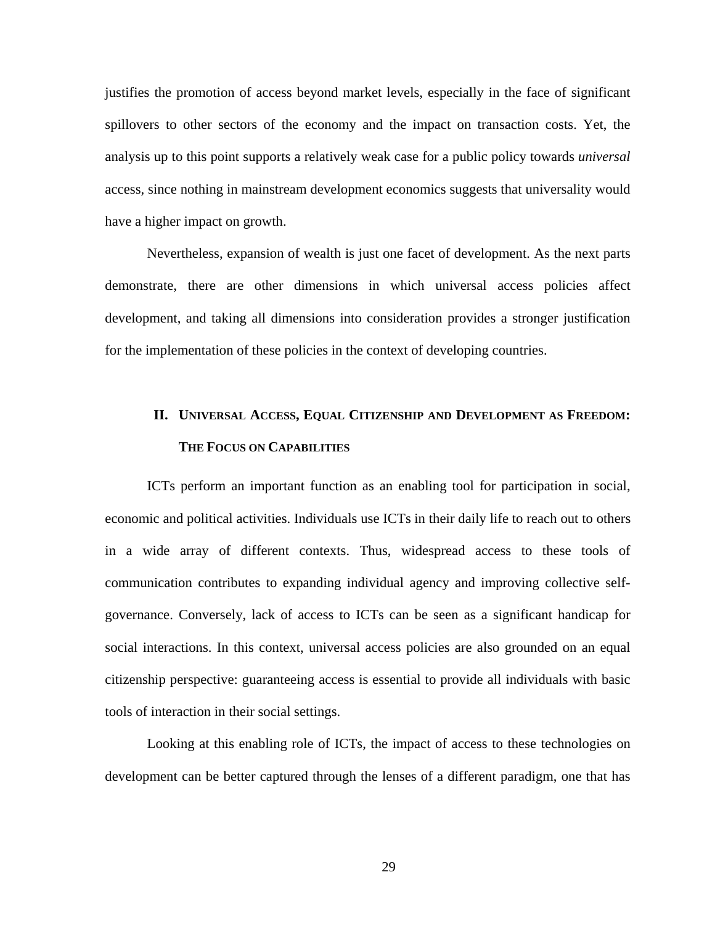justifies the promotion of access beyond market levels, especially in the face of significant spillovers to other sectors of the economy and the impact on transaction costs. Yet, the analysis up to this point supports a relatively weak case for a public policy towards *universal*  access*,* since nothing in mainstream development economics suggests that universality would have a higher impact on growth.

Nevertheless, expansion of wealth is just one facet of development. As the next parts demonstrate, there are other dimensions in which universal access policies affect development, and taking all dimensions into consideration provides a stronger justification for the implementation of these policies in the context of developing countries.

### **II. UNIVERSAL ACCESS, EQUAL CITIZENSHIP AND DEVELOPMENT AS FREEDOM: THE FOCUS ON CAPABILITIES**

ICTs perform an important function as an enabling tool for participation in social, economic and political activities. Individuals use ICTs in their daily life to reach out to others in a wide array of different contexts. Thus, widespread access to these tools of communication contributes to expanding individual agency and improving collective selfgovernance. Conversely, lack of access to ICTs can be seen as a significant handicap for social interactions. In this context, universal access policies are also grounded on an equal citizenship perspective: guaranteeing access is essential to provide all individuals with basic tools of interaction in their social settings.

Looking at this enabling role of ICTs, the impact of access to these technologies on development can be better captured through the lenses of a different paradigm, one that has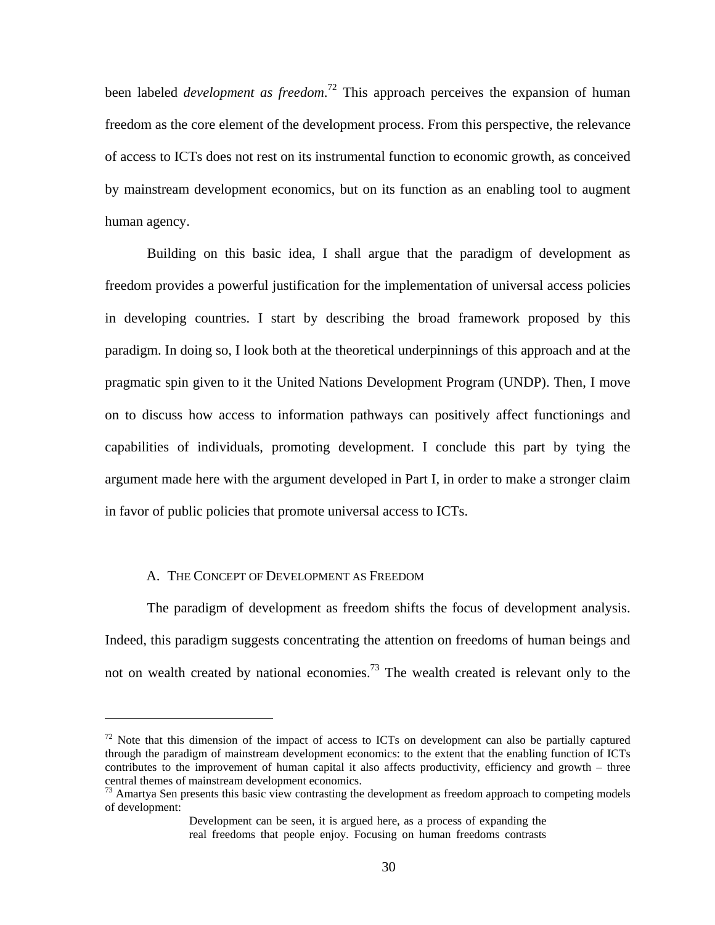been labeled *development as freedom*. 72 This approach perceives the expansion of human freedom as the core element of the development process. From this perspective, the relevance of access to ICTs does not rest on its instrumental function to economic growth, as conceived by mainstream development economics, but on its function as an enabling tool to augment human agency.

Building on this basic idea, I shall argue that the paradigm of development as freedom provides a powerful justification for the implementation of universal access policies in developing countries. I start by describing the broad framework proposed by this paradigm. In doing so, I look both at the theoretical underpinnings of this approach and at the pragmatic spin given to it the United Nations Development Program (UNDP). Then, I move on to discuss how access to information pathways can positively affect functionings and capabilities of individuals, promoting development. I conclude this part by tying the argument made here with the argument developed in Part I, in order to make a stronger claim in favor of public policies that promote universal access to ICTs.

#### A. THE CONCEPT OF DEVELOPMENT AS FREEDOM

 $\overline{a}$ 

The paradigm of development as freedom shifts the focus of development analysis. Indeed, this paradigm suggests concentrating the attention on freedoms of human beings and not on wealth created by national economies.<sup>73</sup> The wealth created is relevant only to the

 $72$  Note that this dimension of the impact of access to ICTs on development can also be partially captured through the paradigm of mainstream development economics: to the extent that the enabling function of ICTs contributes to the improvement of human capital it also affects productivity, efficiency and growth – three central themes of mainstream development economics.

 $73$  Amartya Sen presents this basic view contrasting the development as freedom approach to competing models of development:

Development can be seen, it is argued here, as a process of expanding the real freedoms that people enjoy. Focusing on human freedoms contrasts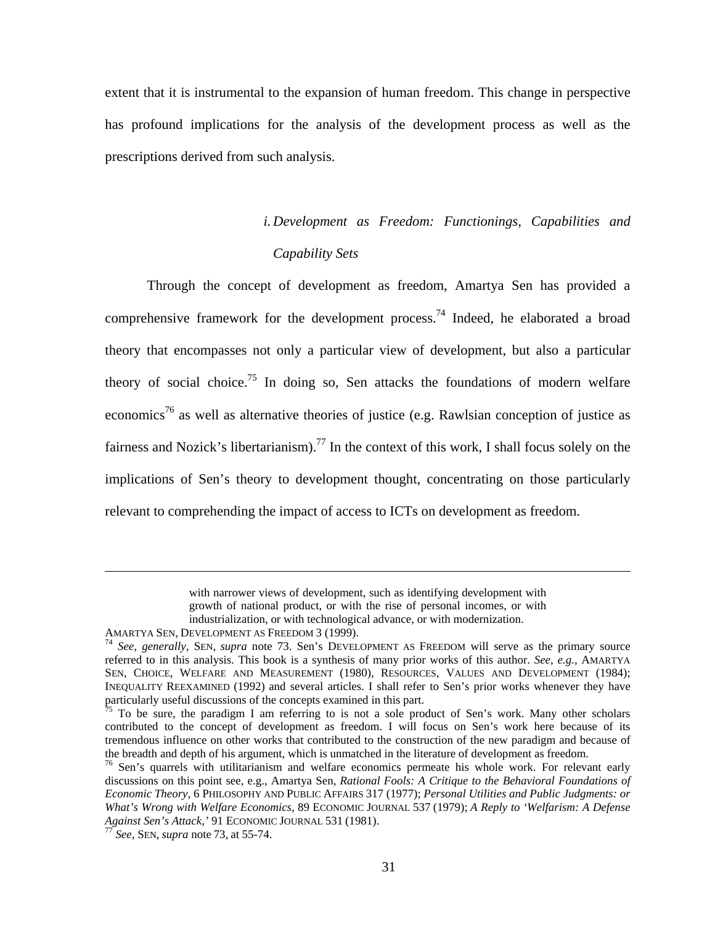extent that it is instrumental to the expansion of human freedom. This change in perspective has profound implications for the analysis of the development process as well as the prescriptions derived from such analysis.

# *i. Development as Freedom: Functionings, Capabilities and Capability Sets*

Through the concept of development as freedom, Amartya Sen has provided a comprehensive framework for the development process.<sup>74</sup> Indeed, he elaborated a broad theory that encompasses not only a particular view of development, but also a particular theory of social choice.<sup>75</sup> In doing so, Sen attacks the foundations of modern welfare economics<sup>76</sup> as well as alternative theories of justice (e.g. Rawlsian conception of justice as fairness and Nozick's libertarianism).<sup>77</sup> In the context of this work, I shall focus solely on the implications of Sen's theory to development thought, concentrating on those particularly relevant to comprehending the impact of access to ICTs on development as freedom.

with narrower views of development, such as identifying development with growth of national product, or with the rise of personal incomes, or with industrialization, or with technological advance, or with modernization.

AMARTYA SEN, DEVELOPMENT AS FREEDOM 3 (1999). 74 *See, generally,* SEN, *supra* note 73. Sen's DEVELOPMENT AS FREEDOM will serve as the primary source referred to in this analysis. This book is a synthesis of many prior works of this author. *See, e.g.,* AMARTYA SEN, CHOICE, WELFARE AND MEASUREMENT (1980), RESOURCES, VALUES AND DEVELOPMENT (1984); INEQUALITY REEXAMINED (1992) and several articles. I shall refer to Sen's prior works whenever they have particularly useful discussions of the concepts examined in this part.

 $\frac{75}{75}$  To be sure, the paradigm I am referring to is not a sole product of Sen's work. Many other scholars contributed to the concept of development as freedom. I will focus on Sen's work here because of its tremendous influence on other works that contributed to the construction of the new paradigm and because of the breadth and depth of his argument, which is unmatched in the literature of development as freedom.

<sup>&</sup>lt;sup>76</sup> Sen's quarrels with utilitarianism and welfare economics permeate his whole work. For relevant early discussions on this point see, e.g., Amartya Sen, *Rational Fools: A Critique to the Behavioral Foundations of Economic Theory,* 6 PHILOSOPHY AND PUBLIC AFFAIRS 317 (1977); *Personal Utilities and Public Judgments: or What's Wrong with Welfare Economics,* 89 ECONOMIC JOURNAL 537 (1979); *A Reply to 'Welfarism: A Defense Against Sen's Attack,'* 91 ECONOMIC JOURNAL 531 (1981). 77 *See,* SEN, *supra* note 73, at 55-74.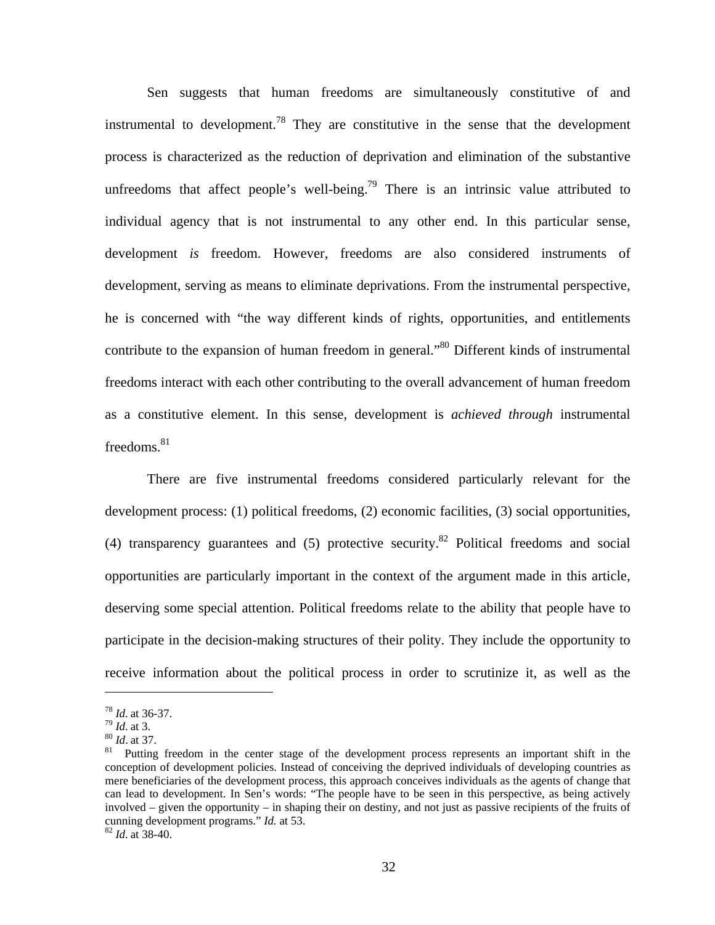Sen suggests that human freedoms are simultaneously constitutive of and instrumental to development.<sup>78</sup> They are constitutive in the sense that the development process is characterized as the reduction of deprivation and elimination of the substantive unfreedoms that affect people's well-being.<sup>79</sup> There is an intrinsic value attributed to individual agency that is not instrumental to any other end. In this particular sense, development *is* freedom. However, freedoms are also considered instruments of development, serving as means to eliminate deprivations. From the instrumental perspective, he is concerned with "the way different kinds of rights, opportunities, and entitlements contribute to the expansion of human freedom in general.<sup>80</sup> Different kinds of instrumental freedoms interact with each other contributing to the overall advancement of human freedom as a constitutive element. In this sense, development is *achieved through* instrumental freedoms. $81$ 

There are five instrumental freedoms considered particularly relevant for the development process: (1) political freedoms, (2) economic facilities, (3) social opportunities, (4) transparency guarantees and (5) protective security.<sup>82</sup> Political freedoms and social opportunities are particularly important in the context of the argument made in this article, deserving some special attention. Political freedoms relate to the ability that people have to participate in the decision-making structures of their polity. They include the opportunity to receive information about the political process in order to scrutinize it, as well as the

<sup>&</sup>lt;sup>78</sup> *Id.* at 36-37.<br><sup>79</sup> *Id.* at 3.<br><sup>80</sup> *Id.* at 37.<br><sup>81</sup> Putting freedom in the center stage of the development process represents an important shift in the conception of development policies. Instead of conceiving the deprived individuals of developing countries as mere beneficiaries of the development process, this approach conceives individuals as the agents of change that can lead to development. In Sen's words: "The people have to be seen in this perspective, as being actively involved – given the opportunity – in shaping their on destiny, and not just as passive recipients of the fruits of cunning development programs." *Id.* at 53. <sup>82</sup> *Id.* at 38-40.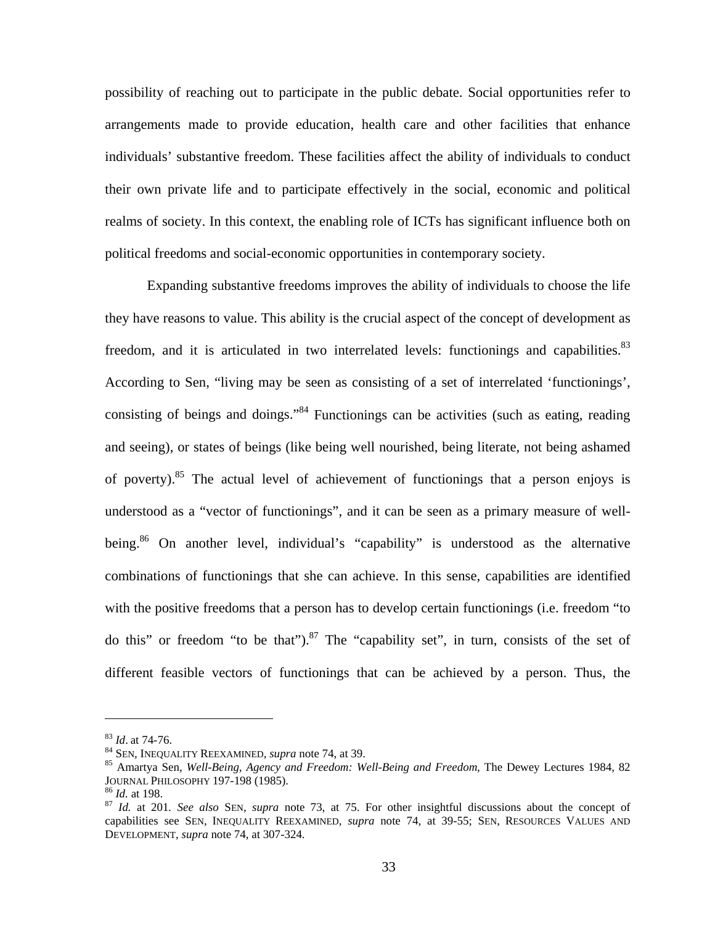possibility of reaching out to participate in the public debate. Social opportunities refer to arrangements made to provide education, health care and other facilities that enhance individuals' substantive freedom. These facilities affect the ability of individuals to conduct their own private life and to participate effectively in the social, economic and political realms of society. In this context, the enabling role of ICTs has significant influence both on political freedoms and social-economic opportunities in contemporary society.

Expanding substantive freedoms improves the ability of individuals to choose the life they have reasons to value. This ability is the crucial aspect of the concept of development as freedom, and it is articulated in two interrelated levels: functionings and capabilities.<sup>83</sup> According to Sen, "living may be seen as consisting of a set of interrelated 'functionings', consisting of beings and doings."<sup>84</sup> Functionings can be activities (such as eating, reading and seeing), or states of beings (like being well nourished, being literate, not being ashamed of poverty).<sup>85</sup> The actual level of achievement of functionings that a person enjoys is understood as a "vector of functionings", and it can be seen as a primary measure of wellbeing.<sup>86</sup> On another level, individual's "capability" is understood as the alternative combinations of functionings that she can achieve. In this sense, capabilities are identified with the positive freedoms that a person has to develop certain functionings (i.e. freedom "to do this" or freedom "to be that"). <sup>87</sup> The "capability set", in turn, consists of the set of different feasible vectors of functionings that can be achieved by a person. Thus, the

<u>.</u>

<sup>&</sup>lt;sup>83</sup> *Id.* at 74-76.<br><sup>84</sup> SEN, INEQUALITY REEXAMINED, *supra* note 74, at 39.<br><sup>85</sup> Amartya Sen, *Well-Being, Agency and Freedom: Well-Being and Freedom*, The Dewey Lectures 1984, 82 JOURNAL PHILOSOPHY 197-198 (1985). 86 *Id.* at 198. 87 *Id.* at 201*. See also* SEN, *supra* note 73, at 75. For other insightful discussions about the concept of

capabilities see SEN, INEQUALITY REEXAMINED, *supra* note 74, at 39-55; SEN, RESOURCES VALUES AND DEVELOPMENT, *supra* note 74, at 307-324.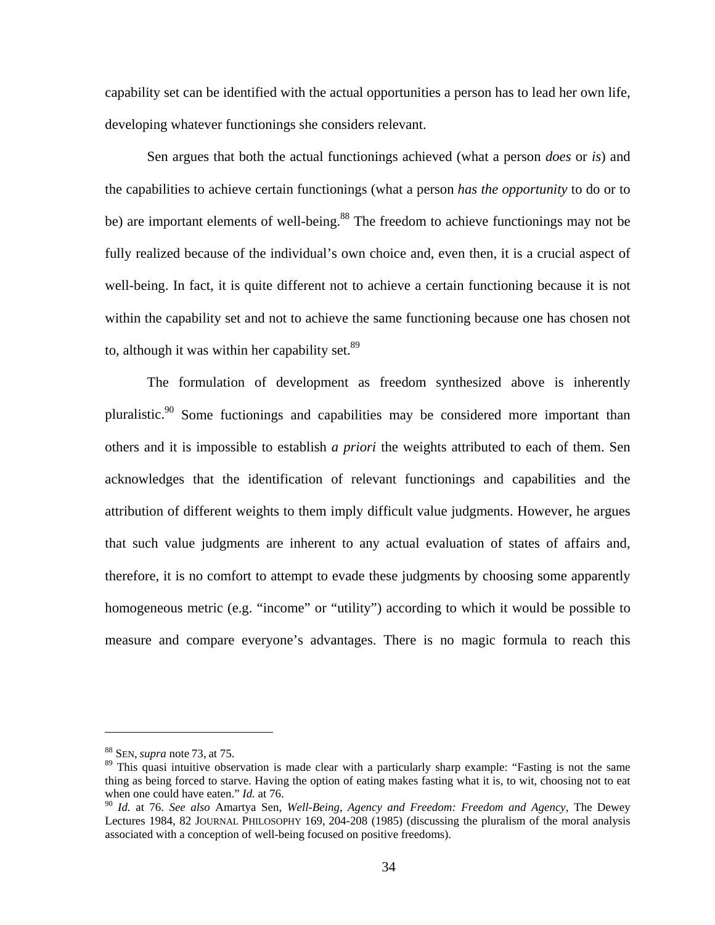capability set can be identified with the actual opportunities a person has to lead her own life, developing whatever functionings she considers relevant.

Sen argues that both the actual functionings achieved (what a person *does* or *is*) and the capabilities to achieve certain functionings (what a person *has the opportunity* to do or to be) are important elements of well-being.<sup>88</sup> The freedom to achieve functionings may not be fully realized because of the individual's own choice and, even then, it is a crucial aspect of well-being. In fact, it is quite different not to achieve a certain functioning because it is not within the capability set and not to achieve the same functioning because one has chosen not to, although it was within her capability set. $89$ 

The formulation of development as freedom synthesized above is inherently pluralistic.<sup>90</sup> Some fuctionings and capabilities may be considered more important than others and it is impossible to establish *a priori* the weights attributed to each of them. Sen acknowledges that the identification of relevant functionings and capabilities and the attribution of different weights to them imply difficult value judgments. However, he argues that such value judgments are inherent to any actual evaluation of states of affairs and, therefore, it is no comfort to attempt to evade these judgments by choosing some apparently homogeneous metric (e.g. "income" or "utility") according to which it would be possible to measure and compare everyone's advantages. There is no magic formula to reach this

<sup>88</sup> SEN, *supra* note 73, at 75.

<sup>&</sup>lt;sup>89</sup> This quasi intuitive observation is made clear with a particularly sharp example: "Fasting is not the same thing as being forced to starve. Having the option of eating makes fasting what it is, to wit, choosing not to eat when one could have eaten." *Id.* at 76.

<sup>90</sup> *Id.* at 76. *See also* Amartya Sen, *Well-Being, Agency and Freedom: Freedom and Agency*, The Dewey Lectures 1984, 82 JOURNAL PHILOSOPHY 169, 204-208 (1985) (discussing the pluralism of the moral analysis associated with a conception of well-being focused on positive freedoms).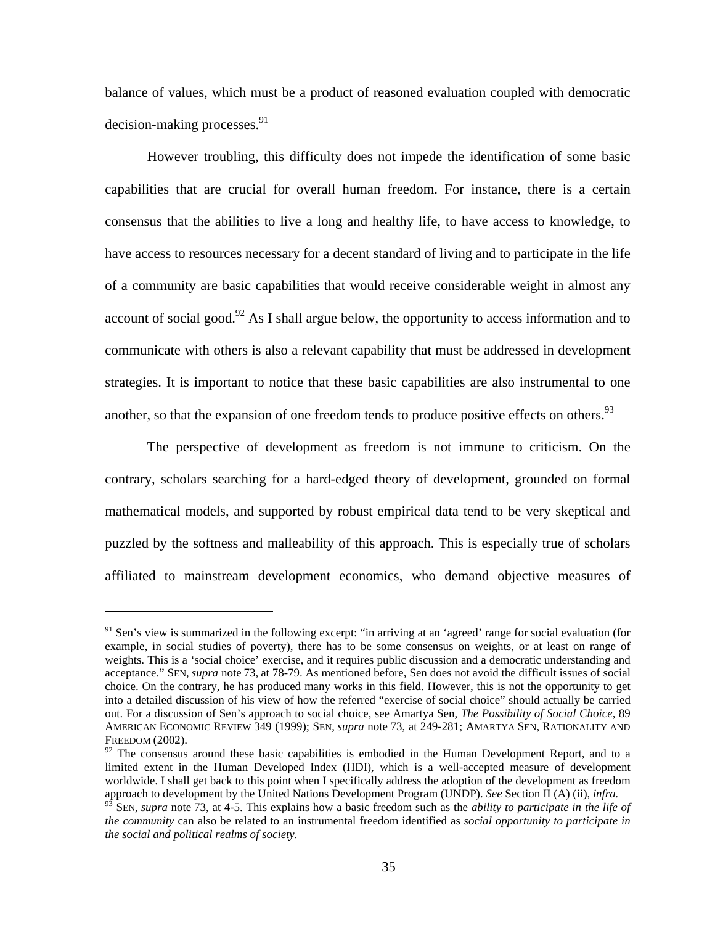balance of values, which must be a product of reasoned evaluation coupled with democratic  $decision-making$  processes. $91$ 

However troubling, this difficulty does not impede the identification of some basic capabilities that are crucial for overall human freedom. For instance, there is a certain consensus that the abilities to live a long and healthy life, to have access to knowledge, to have access to resources necessary for a decent standard of living and to participate in the life of a community are basic capabilities that would receive considerable weight in almost any account of social good.<sup>92</sup> As I shall argue below, the opportunity to access information and to communicate with others is also a relevant capability that must be addressed in development strategies. It is important to notice that these basic capabilities are also instrumental to one another, so that the expansion of one freedom tends to produce positive effects on others.<sup>93</sup>

The perspective of development as freedom is not immune to criticism. On the contrary, scholars searching for a hard-edged theory of development, grounded on formal mathematical models, and supported by robust empirical data tend to be very skeptical and puzzled by the softness and malleability of this approach. This is especially true of scholars affiliated to mainstream development economics, who demand objective measures of

 $91$  Sen's view is summarized in the following excerpt: "in arriving at an 'agreed' range for social evaluation (for example, in social studies of poverty), there has to be some consensus on weights, or at least on range of weights. This is a 'social choice' exercise, and it requires public discussion and a democratic understanding and acceptance." SEN, *supra* note 73, at 78-79. As mentioned before, Sen does not avoid the difficult issues of social choice. On the contrary, he has produced many works in this field. However, this is not the opportunity to get into a detailed discussion of his view of how the referred "exercise of social choice" should actually be carried out. For a discussion of Sen's approach to social choice, see Amartya Sen, *The Possibility of Social Choice*, 89 AMERICAN ECONOMIC REVIEW 349 (1999); SEN, *supra* note 73, at 249-281; AMARTYA SEN, RATIONALITY AND FREEDOM (2002).

 $92$  The consensus around these basic capabilities is embodied in the Human Development Report, and to a limited extent in the Human Developed Index (HDI), which is a well-accepted measure of development worldwide. I shall get back to this point when I specifically address the adoption of the development as freedom approach to development by the United Nations Development Program (UNDP). *See* Section II (A) (ii), *infra.* 

<sup>93</sup> SEN, *supra* note 73, at 4-5. This explains how a basic freedom such as the *ability to participate in the life of the community* can also be related to an instrumental freedom identified as *social opportunity to participate in the social and political realms of society*.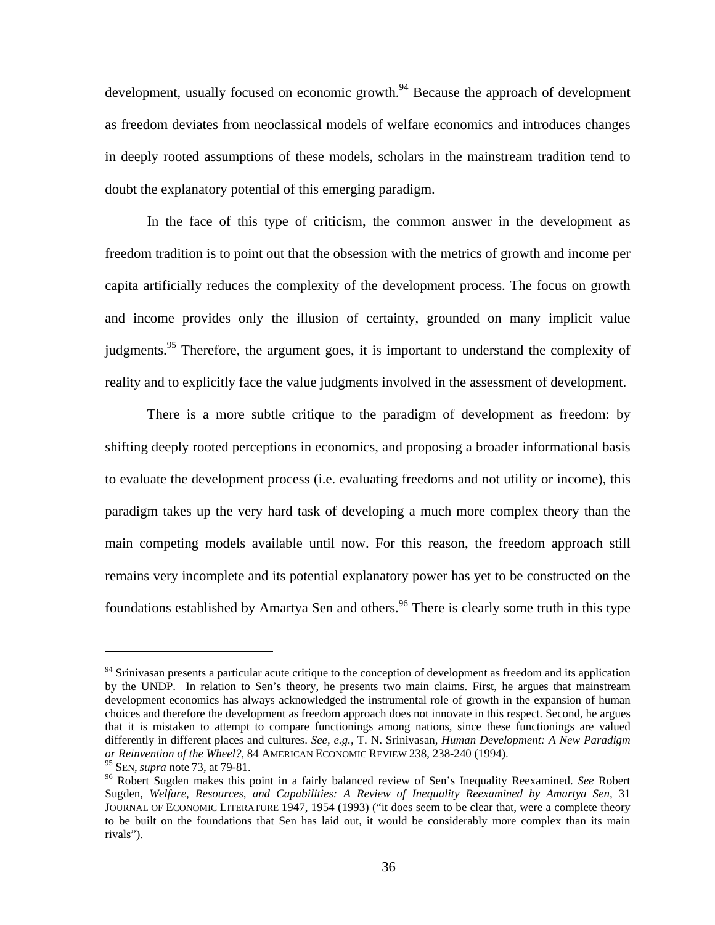development, usually focused on economic growth.<sup>94</sup> Because the approach of development as freedom deviates from neoclassical models of welfare economics and introduces changes in deeply rooted assumptions of these models, scholars in the mainstream tradition tend to doubt the explanatory potential of this emerging paradigm.

In the face of this type of criticism, the common answer in the development as freedom tradition is to point out that the obsession with the metrics of growth and income per capita artificially reduces the complexity of the development process. The focus on growth and income provides only the illusion of certainty, grounded on many implicit value judgments.<sup>95</sup> Therefore, the argument goes, it is important to understand the complexity of reality and to explicitly face the value judgments involved in the assessment of development.

There is a more subtle critique to the paradigm of development as freedom: by shifting deeply rooted perceptions in economics, and proposing a broader informational basis to evaluate the development process (i.e. evaluating freedoms and not utility or income), this paradigm takes up the very hard task of developing a much more complex theory than the main competing models available until now. For this reason, the freedom approach still remains very incomplete and its potential explanatory power has yet to be constructed on the foundations established by Amartya Sen and others.<sup>96</sup> There is clearly some truth in this type

 $94$  Srinivasan presents a particular acute critique to the conception of development as freedom and its application by the UNDP. In relation to Sen's theory, he presents two main claims. First, he argues that mainstream development economics has always acknowledged the instrumental role of growth in the expansion of human choices and therefore the development as freedom approach does not innovate in this respect. Second, he argues that it is mistaken to attempt to compare functionings among nations, since these functionings are valued differently in different places and cultures. *See, e.g.,* T. N. Srinivasan, *Human Development: A New Paradigm or Reinvention of the Wheel?,* 84 AMERICAN ECONOMIC REVIEW 238, 238-240 (1994).

<sup>&</sup>lt;sup>96</sup> Robert Sugden makes this point in a fairly balanced review of Sen's Inequality Reexamined. See Robert Sugden, *Welfare, Resources, and Capabilities: A Review of Inequality Reexamined by Amartya Sen,* 31 JOURNAL OF ECONOMIC LITERATURE 1947, 1954 (1993) ("it does seem to be clear that, were a complete theory to be built on the foundations that Sen has laid out, it would be considerably more complex than its main rivals")*.*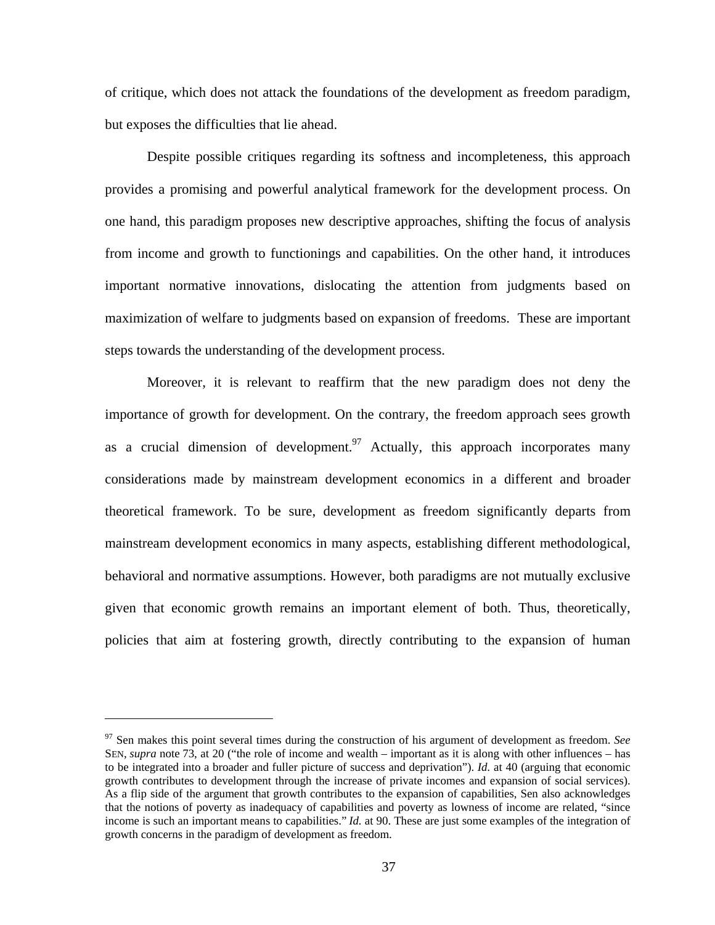of critique, which does not attack the foundations of the development as freedom paradigm, but exposes the difficulties that lie ahead.

Despite possible critiques regarding its softness and incompleteness, this approach provides a promising and powerful analytical framework for the development process. On one hand, this paradigm proposes new descriptive approaches, shifting the focus of analysis from income and growth to functionings and capabilities. On the other hand, it introduces important normative innovations, dislocating the attention from judgments based on maximization of welfare to judgments based on expansion of freedoms. These are important steps towards the understanding of the development process.

Moreover, it is relevant to reaffirm that the new paradigm does not deny the importance of growth for development. On the contrary, the freedom approach sees growth as a crucial dimension of development.<sup>97</sup> Actually, this approach incorporates many considerations made by mainstream development economics in a different and broader theoretical framework. To be sure, development as freedom significantly departs from mainstream development economics in many aspects, establishing different methodological, behavioral and normative assumptions. However, both paradigms are not mutually exclusive given that economic growth remains an important element of both. Thus, theoretically, policies that aim at fostering growth, directly contributing to the expansion of human

<sup>97</sup> Sen makes this point several times during the construction of his argument of development as freedom. *See* SEN, *supra* note 73, at 20 ("the role of income and wealth – important as it is along with other influences – has to be integrated into a broader and fuller picture of success and deprivation"). *Id.* at 40 (arguing that economic growth contributes to development through the increase of private incomes and expansion of social services). As a flip side of the argument that growth contributes to the expansion of capabilities, Sen also acknowledges that the notions of poverty as inadequacy of capabilities and poverty as lowness of income are related, "since income is such an important means to capabilities." *Id.* at 90. These are just some examples of the integration of growth concerns in the paradigm of development as freedom.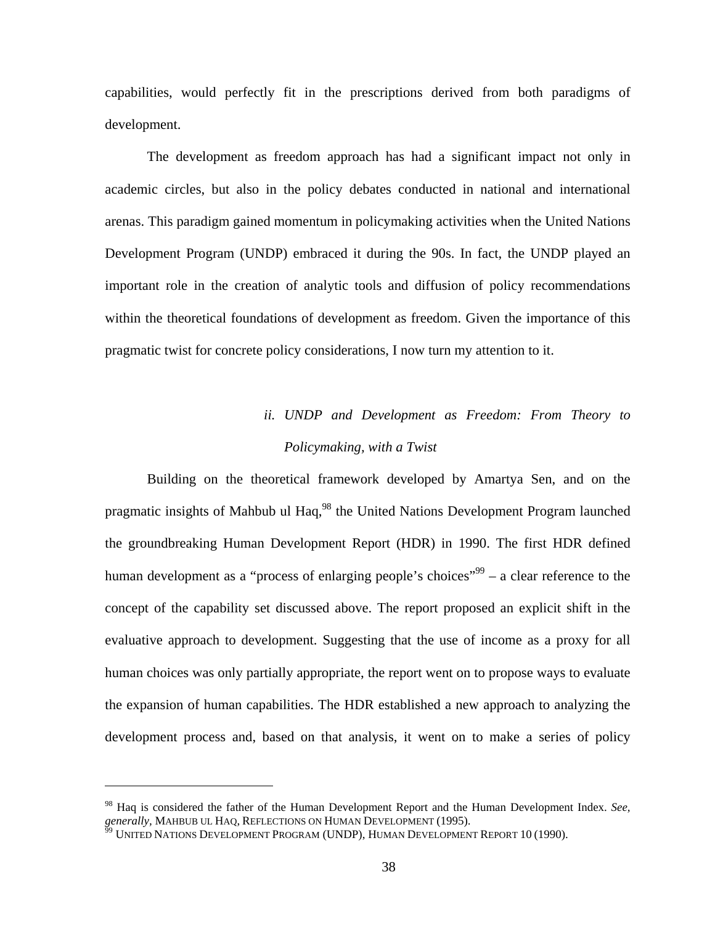capabilities, would perfectly fit in the prescriptions derived from both paradigms of development.

The development as freedom approach has had a significant impact not only in academic circles, but also in the policy debates conducted in national and international arenas. This paradigm gained momentum in policymaking activities when the United Nations Development Program (UNDP) embraced it during the 90s. In fact, the UNDP played an important role in the creation of analytic tools and diffusion of policy recommendations within the theoretical foundations of development as freedom. Given the importance of this pragmatic twist for concrete policy considerations, I now turn my attention to it.

# *ii. UNDP and Development as Freedom: From Theory to Policymaking, with a Twist*

Building on the theoretical framework developed by Amartya Sen, and on the pragmatic insights of Mahbub ul Haq,<sup>98</sup> the United Nations Development Program launched the groundbreaking Human Development Report (HDR) in 1990. The first HDR defined human development as a "process of enlarging people's choices"<sup>99</sup> – a clear reference to the concept of the capability set discussed above. The report proposed an explicit shift in the evaluative approach to development. Suggesting that the use of income as a proxy for all human choices was only partially appropriate, the report went on to propose ways to evaluate the expansion of human capabilities. The HDR established a new approach to analyzing the development process and, based on that analysis, it went on to make a series of policy

1

<sup>98</sup> Haq is considered the father of the Human Development Report and the Human Development Index. *See, generally, MAHBUB UL HAQ, REFLECTIONS ON HUMAN DEVELOPMENT (1995).*<br><sup>99</sup> UNITED NATIONS DEVELOPMENT PROGRAM (UNDP), HUMAN DEVELOPMENT REPORT 10 (1990).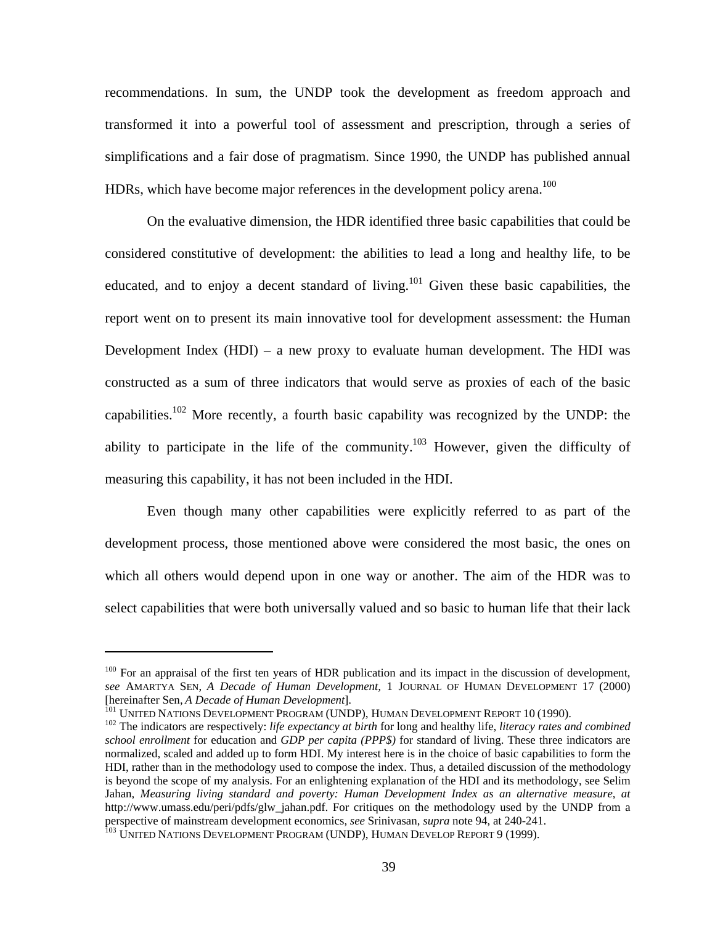recommendations. In sum, the UNDP took the development as freedom approach and transformed it into a powerful tool of assessment and prescription, through a series of simplifications and a fair dose of pragmatism. Since 1990, the UNDP has published annual HDRs, which have become major references in the development policy arena.<sup>100</sup>

On the evaluative dimension, the HDR identified three basic capabilities that could be considered constitutive of development: the abilities to lead a long and healthy life, to be educated, and to enjoy a decent standard of living.<sup>101</sup> Given these basic capabilities, the report went on to present its main innovative tool for development assessment: the Human Development Index (HDI) – a new proxy to evaluate human development. The HDI was constructed as a sum of three indicators that would serve as proxies of each of the basic capabilities.102 More recently, a fourth basic capability was recognized by the UNDP: the ability to participate in the life of the community.<sup>103</sup> However, given the difficulty of measuring this capability, it has not been included in the HDI.

Even though many other capabilities were explicitly referred to as part of the development process, those mentioned above were considered the most basic, the ones on which all others would depend upon in one way or another. The aim of the HDR was to select capabilities that were both universally valued and so basic to human life that their lack

 $100$  For an appraisal of the first ten years of HDR publication and its impact in the discussion of development, *see* AMARTYA SEN, *A Decade of Human Development,* 1 JOURNAL OF HUMAN DEVELOPMENT 17 (2000) [hereinafter Sen, *A Decade of Human Development*].<br><sup>101</sup> UNITED NATIONS DEVELOPMENT PROGRAM (UNDP), HUMAN DEVELOPMENT REPORT 10 (1990).<br><sup>102</sup> The indicators are respectively: *life expectancy at birth* for long and health

*school enrollment* for education and *GDP per capita (PPP\$)* for standard of living. These three indicators are normalized, scaled and added up to form HDI. My interest here is in the choice of basic capabilities to form the HDI, rather than in the methodology used to compose the index. Thus, a detailed discussion of the methodology is beyond the scope of my analysis. For an enlightening explanation of the HDI and its methodology, see Selim Jahan, *Measuring living standard and poverty: Human Development Index as an alternative measure*, *at*  http://www.umass.edu/peri/pdfs/glw\_jahan.pdf. For critiques on the methodology used by the UNDP from a perspective of mainstream development economics, *see Srinivasan, supra* note 94, at 240-241.<br><sup>103</sup> UNITED NATIONS DEVELOPMENT PROGRAM (UNDP), HUMAN DEVELOP REPORT 9 (1999).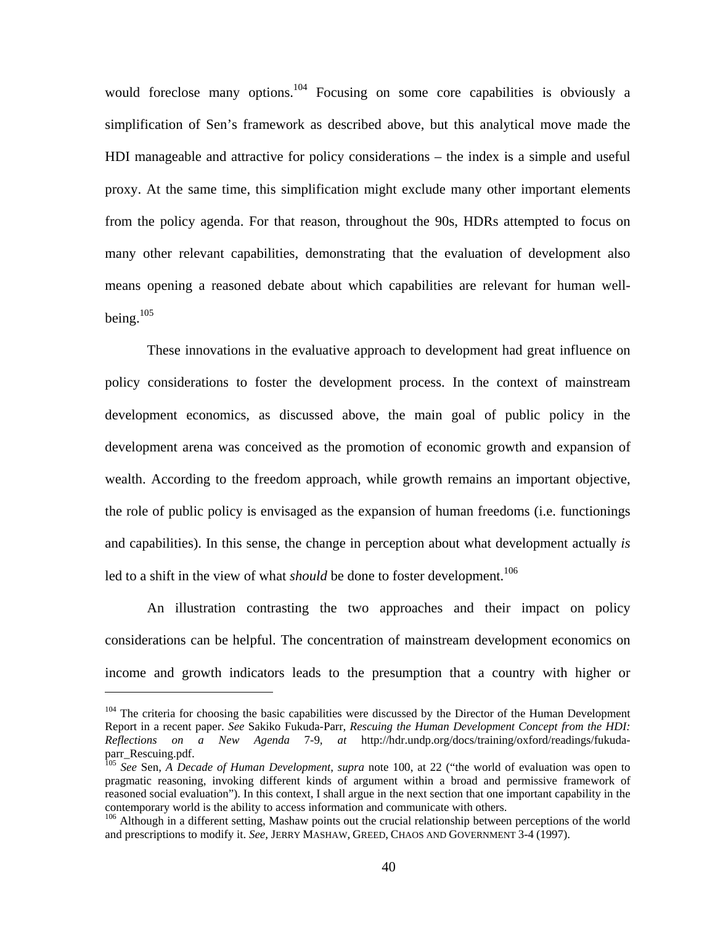would foreclose many options.<sup>104</sup> Focusing on some core capabilities is obviously a simplification of Sen's framework as described above, but this analytical move made the HDI manageable and attractive for policy considerations – the index is a simple and useful proxy. At the same time, this simplification might exclude many other important elements from the policy agenda. For that reason, throughout the 90s, HDRs attempted to focus on many other relevant capabilities, demonstrating that the evaluation of development also means opening a reasoned debate about which capabilities are relevant for human wellbeing. $105$ 

These innovations in the evaluative approach to development had great influence on policy considerations to foster the development process. In the context of mainstream development economics, as discussed above, the main goal of public policy in the development arena was conceived as the promotion of economic growth and expansion of wealth. According to the freedom approach, while growth remains an important objective, the role of public policy is envisaged as the expansion of human freedoms (i.e. functionings and capabilities). In this sense, the change in perception about what development actually *is*  led to a shift in the view of what *should* be done to foster development.<sup>106</sup>

An illustration contrasting the two approaches and their impact on policy considerations can be helpful. The concentration of mainstream development economics on income and growth indicators leads to the presumption that a country with higher or

<sup>&</sup>lt;sup>104</sup> The criteria for choosing the basic capabilities were discussed by the Director of the Human Development Report in a recent paper. *See* Sakiko Fukuda-Parr, *Rescuing the Human Development Concept from the HDI: Reflections on a New Agenda* 7-9*, at* http://hdr.undp.org/docs/training/oxford/readings/fukudaparr\_Rescuing.pdf.

<sup>105</sup> *See* Sen, *A Decade of Human Development*, *supra* note 100, at 22 ("the world of evaluation was open to pragmatic reasoning, invoking different kinds of argument within a broad and permissive framework of reasoned social evaluation"). In this context, I shall argue in the next section that one important capability in the contemporary world is the ability to access information and communicate with others. 106 Although in a different setting, Mashaw points out the crucial relationship between perceptions of the world

and prescriptions to modify it. *See,* JERRY MASHAW, GREED, CHAOS AND GOVERNMENT 3-4 (1997).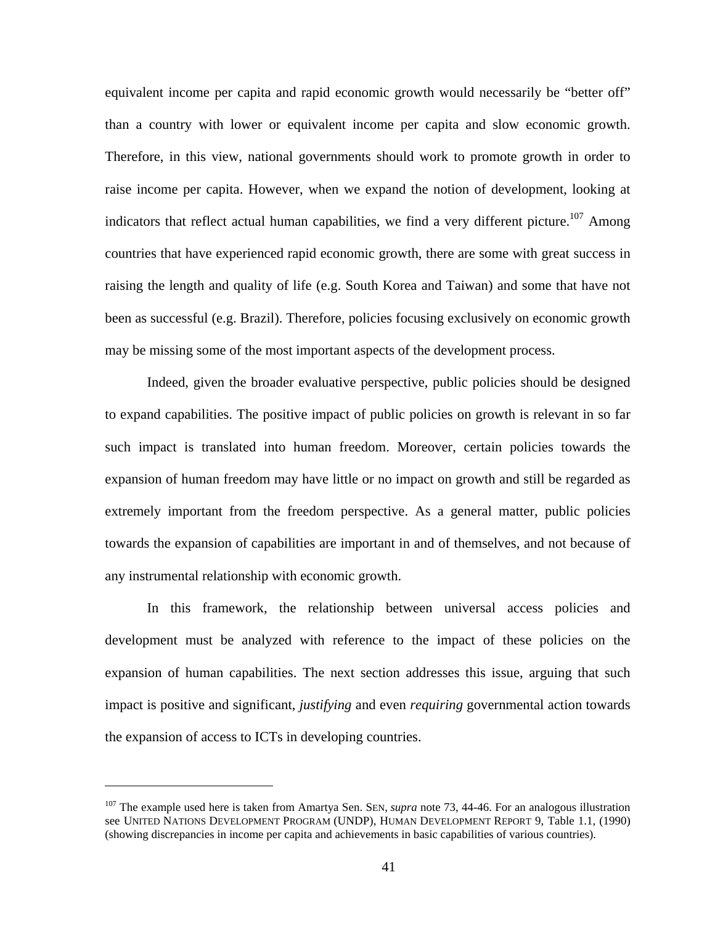equivalent income per capita and rapid economic growth would necessarily be "better off" than a country with lower or equivalent income per capita and slow economic growth. Therefore, in this view, national governments should work to promote growth in order to raise income per capita. However, when we expand the notion of development, looking at indicators that reflect actual human capabilities, we find a very different picture.<sup>107</sup> Among countries that have experienced rapid economic growth, there are some with great success in raising the length and quality of life (e.g. South Korea and Taiwan) and some that have not been as successful (e.g. Brazil). Therefore, policies focusing exclusively on economic growth may be missing some of the most important aspects of the development process.

Indeed, given the broader evaluative perspective, public policies should be designed to expand capabilities. The positive impact of public policies on growth is relevant in so far such impact is translated into human freedom. Moreover, certain policies towards the expansion of human freedom may have little or no impact on growth and still be regarded as extremely important from the freedom perspective. As a general matter, public policies towards the expansion of capabilities are important in and of themselves, and not because of any instrumental relationship with economic growth.

In this framework, the relationship between universal access policies and development must be analyzed with reference to the impact of these policies on the expansion of human capabilities. The next section addresses this issue, arguing that such impact is positive and significant, *justifying* and even *requiring* governmental action towards the expansion of access to ICTs in developing countries.

1

<sup>107</sup> The example used here is taken from Amartya Sen. SEN, *supra* note 73, 44-46. For an analogous illustration see UNITED NATIONS DEVELOPMENT PROGRAM (UNDP), HUMAN DEVELOPMENT REPORT 9, Table 1.1, (1990) (showing discrepancies in income per capita and achievements in basic capabilities of various countries).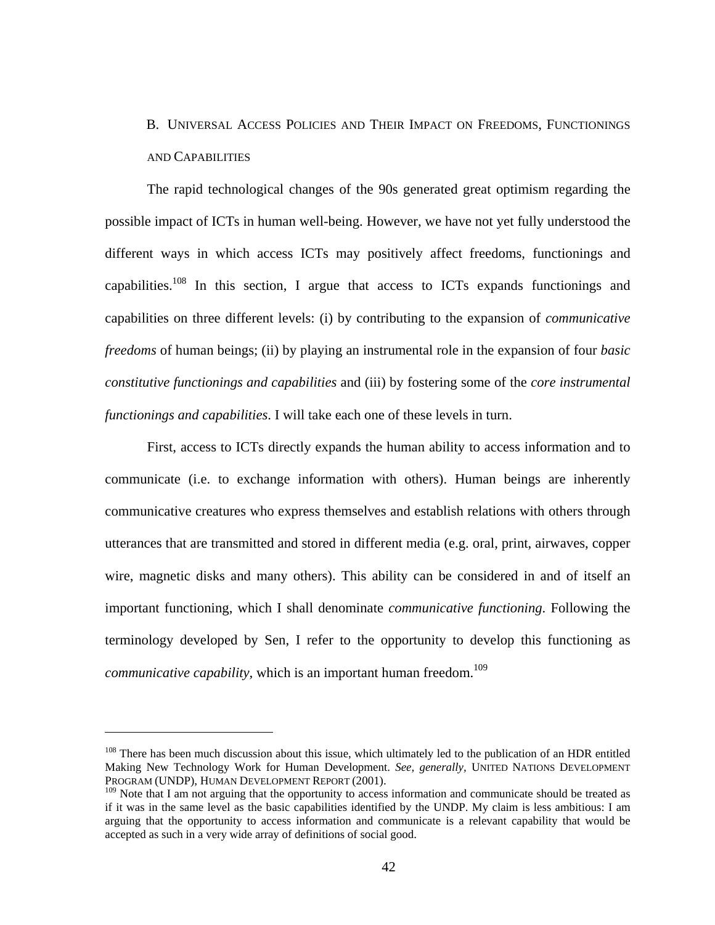### B. UNIVERSAL ACCESS POLICIES AND THEIR IMPACT ON FREEDOMS, FUNCTIONINGS AND CAPABILITIES

The rapid technological changes of the 90s generated great optimism regarding the possible impact of ICTs in human well-being. However, we have not yet fully understood the different ways in which access ICTs may positively affect freedoms, functionings and capabilities.108 In this section, I argue that access to ICTs expands functionings and capabilities on three different levels: (i) by contributing to the expansion of *communicative freedoms* of human beings; (ii) by playing an instrumental role in the expansion of four *basic constitutive functionings and capabilities* and (iii) by fostering some of the *core instrumental functionings and capabilities*. I will take each one of these levels in turn.

First, access to ICTs directly expands the human ability to access information and to communicate (i.e. to exchange information with others). Human beings are inherently communicative creatures who express themselves and establish relations with others through utterances that are transmitted and stored in different media (e.g. oral, print, airwaves, copper wire, magnetic disks and many others). This ability can be considered in and of itself an important functioning, which I shall denominate *communicative functioning*. Following the terminology developed by Sen, I refer to the opportunity to develop this functioning as *communicative capability,* which is an important human freedom.<sup>109</sup>

<sup>&</sup>lt;sup>108</sup> There has been much discussion about this issue, which ultimately led to the publication of an HDR entitled Making New Technology Work for Human Development. *See, generally,* UNITED NATIONS DEVELOPMENT PROGRAM (UNDP), HUMAN DEVELOPMENT REPORT (2001).

<sup>&</sup>lt;sup>109</sup> Note that I am not arguing that the opportunity to access information and communicate should be treated as if it was in the same level as the basic capabilities identified by the UNDP. My claim is less ambitious: I am arguing that the opportunity to access information and communicate is a relevant capability that would be accepted as such in a very wide array of definitions of social good.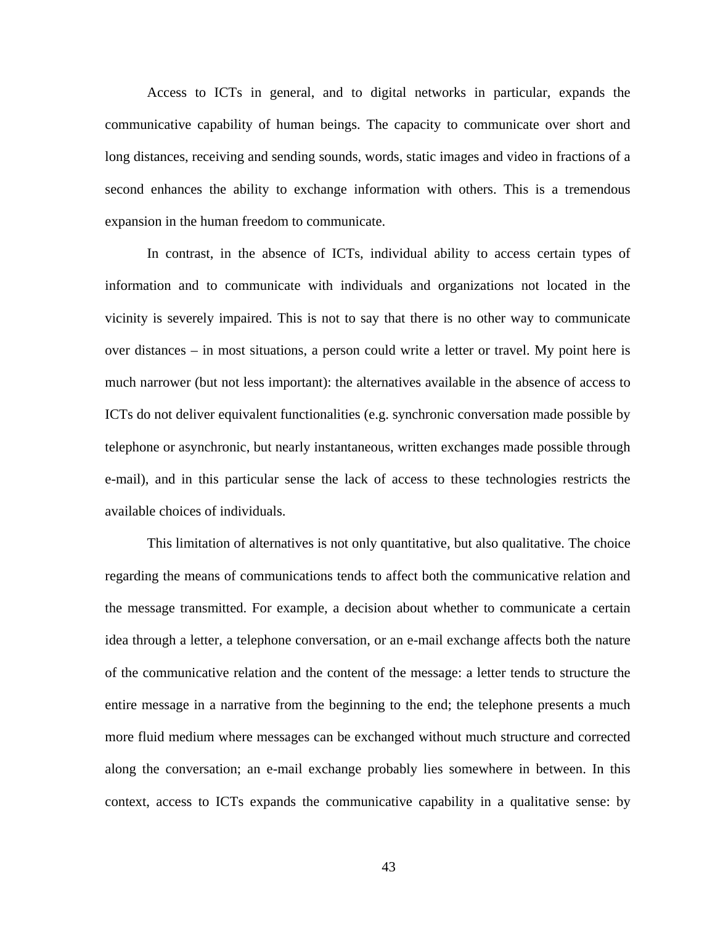Access to ICTs in general, and to digital networks in particular, expands the communicative capability of human beings. The capacity to communicate over short and long distances, receiving and sending sounds, words, static images and video in fractions of a second enhances the ability to exchange information with others. This is a tremendous expansion in the human freedom to communicate.

In contrast, in the absence of ICTs, individual ability to access certain types of information and to communicate with individuals and organizations not located in the vicinity is severely impaired. This is not to say that there is no other way to communicate over distances – in most situations, a person could write a letter or travel. My point here is much narrower (but not less important): the alternatives available in the absence of access to ICTs do not deliver equivalent functionalities (e.g. synchronic conversation made possible by telephone or asynchronic, but nearly instantaneous, written exchanges made possible through e-mail), and in this particular sense the lack of access to these technologies restricts the available choices of individuals.

This limitation of alternatives is not only quantitative, but also qualitative. The choice regarding the means of communications tends to affect both the communicative relation and the message transmitted. For example, a decision about whether to communicate a certain idea through a letter, a telephone conversation, or an e-mail exchange affects both the nature of the communicative relation and the content of the message: a letter tends to structure the entire message in a narrative from the beginning to the end; the telephone presents a much more fluid medium where messages can be exchanged without much structure and corrected along the conversation; an e-mail exchange probably lies somewhere in between. In this context, access to ICTs expands the communicative capability in a qualitative sense: by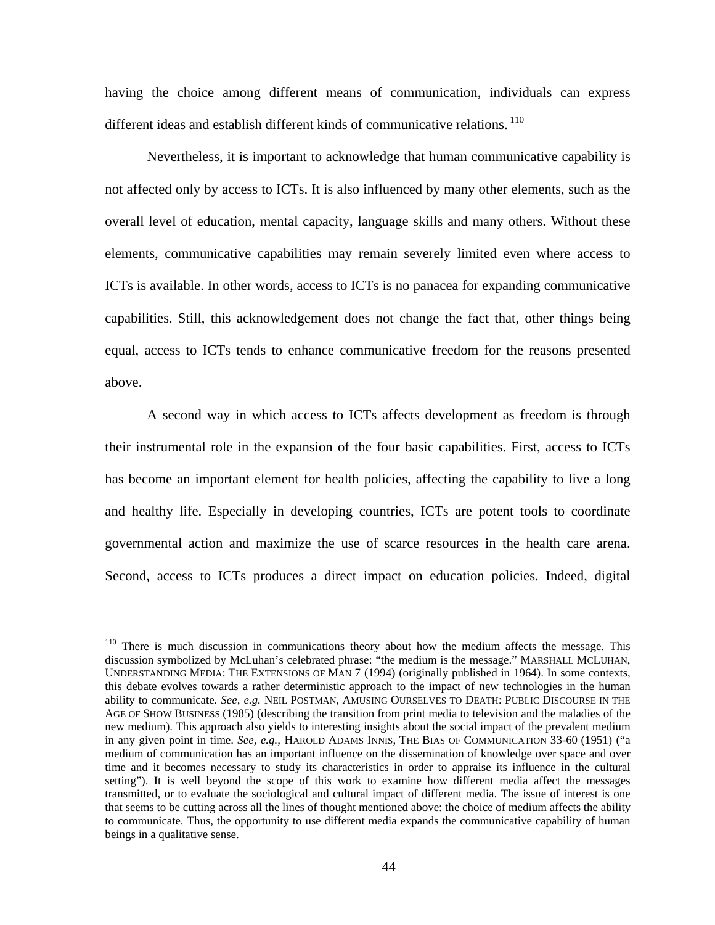having the choice among different means of communication, individuals can express different ideas and establish different kinds of communicative relations.<sup>110</sup>

Nevertheless, it is important to acknowledge that human communicative capability is not affected only by access to ICTs. It is also influenced by many other elements, such as the overall level of education, mental capacity, language skills and many others. Without these elements, communicative capabilities may remain severely limited even where access to ICTs is available. In other words, access to ICTs is no panacea for expanding communicative capabilities. Still, this acknowledgement does not change the fact that, other things being equal, access to ICTs tends to enhance communicative freedom for the reasons presented above.

A second way in which access to ICTs affects development as freedom is through their instrumental role in the expansion of the four basic capabilities. First, access to ICTs has become an important element for health policies, affecting the capability to live a long and healthy life. Especially in developing countries, ICTs are potent tools to coordinate governmental action and maximize the use of scarce resources in the health care arena. Second, access to ICTs produces a direct impact on education policies. Indeed, digital

<sup>&</sup>lt;sup>110</sup> There is much discussion in communications theory about how the medium affects the message. This discussion symbolized by McLuhan's celebrated phrase: "the medium is the message." MARSHALL MCLUHAN, UNDERSTANDING MEDIA: THE EXTENSIONS OF MAN 7 (1994) (originally published in 1964). In some contexts, this debate evolves towards a rather deterministic approach to the impact of new technologies in the human ability to communicate. *See, e.g.* NEIL POSTMAN, AMUSING OURSELVES TO DEATH: PUBLIC DISCOURSE IN THE AGE OF SHOW BUSINESS (1985) (describing the transition from print media to television and the maladies of the new medium). This approach also yields to interesting insights about the social impact of the prevalent medium in any given point in time. *See, e.g.,* HAROLD ADAMS INNIS, THE BIAS OF COMMUNICATION 33-60 (1951) ("a medium of communication has an important influence on the dissemination of knowledge over space and over time and it becomes necessary to study its characteristics in order to appraise its influence in the cultural setting"). It is well beyond the scope of this work to examine how different media affect the messages transmitted, or to evaluate the sociological and cultural impact of different media. The issue of interest is one that seems to be cutting across all the lines of thought mentioned above: the choice of medium affects the ability to communicate. Thus, the opportunity to use different media expands the communicative capability of human beings in a qualitative sense.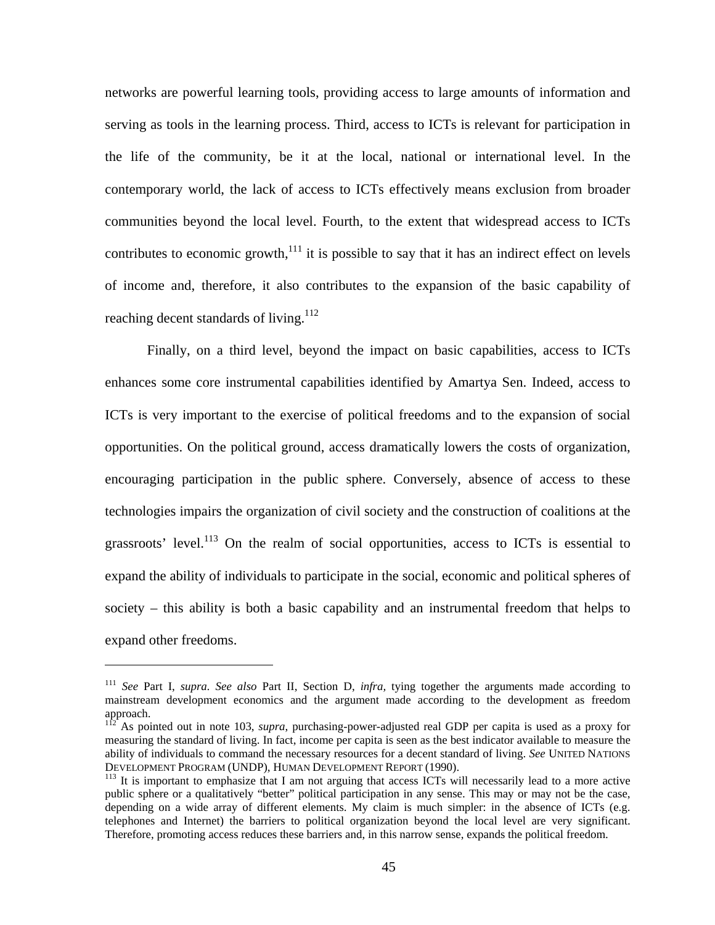networks are powerful learning tools, providing access to large amounts of information and serving as tools in the learning process. Third, access to ICTs is relevant for participation in the life of the community, be it at the local, national or international level. In the contemporary world, the lack of access to ICTs effectively means exclusion from broader communities beyond the local level. Fourth, to the extent that widespread access to ICTs contributes to economic growth, $111$  it is possible to say that it has an indirect effect on levels of income and, therefore, it also contributes to the expansion of the basic capability of reaching decent standards of living.<sup>112</sup>

Finally, on a third level, beyond the impact on basic capabilities, access to ICTs enhances some core instrumental capabilities identified by Amartya Sen. Indeed, access to ICTs is very important to the exercise of political freedoms and to the expansion of social opportunities. On the political ground, access dramatically lowers the costs of organization, encouraging participation in the public sphere. Conversely, absence of access to these technologies impairs the organization of civil society and the construction of coalitions at the grassroots' level.<sup>113</sup> On the realm of social opportunities, access to ICTs is essential to expand the ability of individuals to participate in the social, economic and political spheres of society – this ability is both a basic capability and an instrumental freedom that helps to expand other freedoms.

<sup>111</sup> *See* Part I, *supra. See also* Part II, Section D, *infra,* tying together the arguments made according to mainstream development economics and the argument made according to the development as freedom approach.

<sup>&</sup>lt;sup>112</sup> As pointed out in note 103, *supra*, purchasing-power-adjusted real GDP per capita is used as a proxy for measuring the standard of living. In fact, income per capita is seen as the best indicator available to measure the ability of individuals to command the necessary resources for a decent standard of living. *See* UNITED NATIONS DEVELOPMENT PROGRAM (UNDP), HUMAN DEVELOPMENT REPORT (1990).<br><sup>113</sup> It is important to emphasize that I am not arguing that access ICTs will necessarily lead to a more active

public sphere or a qualitatively "better" political participation in any sense. This may or may not be the case, depending on a wide array of different elements. My claim is much simpler: in the absence of ICTs (e.g. telephones and Internet) the barriers to political organization beyond the local level are very significant. Therefore, promoting access reduces these barriers and, in this narrow sense, expands the political freedom.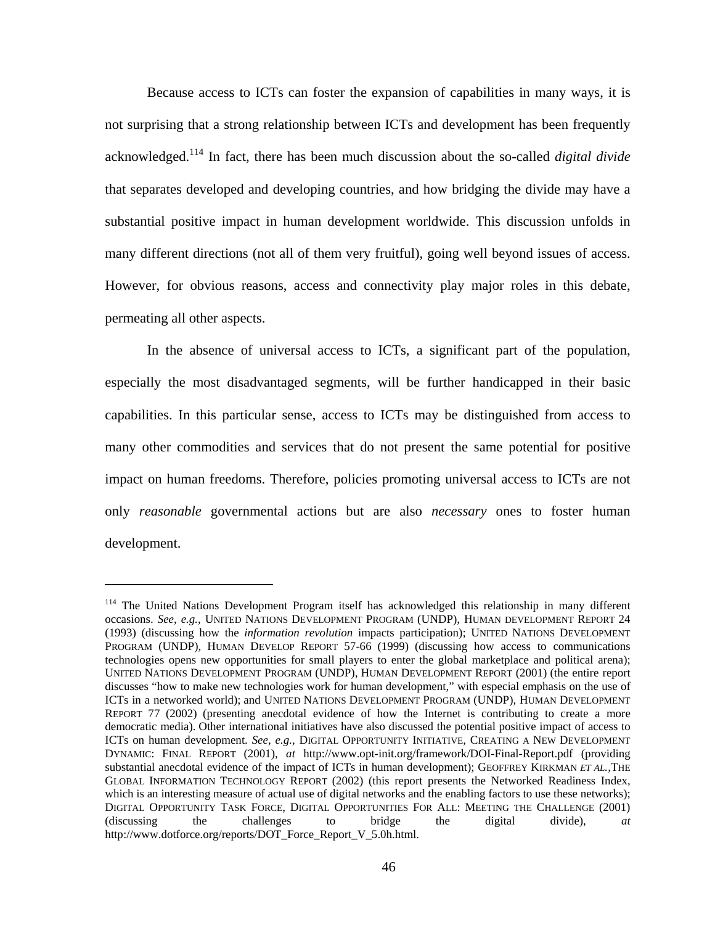Because access to ICTs can foster the expansion of capabilities in many ways, it is not surprising that a strong relationship between ICTs and development has been frequently acknowledged.114 In fact, there has been much discussion about the so-called *digital divide*  that separates developed and developing countries, and how bridging the divide may have a substantial positive impact in human development worldwide. This discussion unfolds in many different directions (not all of them very fruitful), going well beyond issues of access. However, for obvious reasons, access and connectivity play major roles in this debate, permeating all other aspects.

In the absence of universal access to ICTs, a significant part of the population, especially the most disadvantaged segments, will be further handicapped in their basic capabilities. In this particular sense, access to ICTs may be distinguished from access to many other commodities and services that do not present the same potential for positive impact on human freedoms. Therefore, policies promoting universal access to ICTs are not only *reasonable* governmental actions but are also *necessary* ones to foster human development.

<sup>&</sup>lt;sup>114</sup> The United Nations Development Program itself has acknowledged this relationship in many different occasions. *See, e.g.,* UNITED NATIONS DEVELOPMENT PROGRAM (UNDP), HUMAN DEVELOPMENT REPORT 24 (1993) (discussing how the *information revolution* impacts participation); UNITED NATIONS DEVELOPMENT PROGRAM (UNDP), HUMAN DEVELOP REPORT 57-66 (1999) (discussing how access to communications technologies opens new opportunities for small players to enter the global marketplace and political arena); UNITED NATIONS DEVELOPMENT PROGRAM (UNDP), HUMAN DEVELOPMENT REPORT (2001) (the entire report discusses "how to make new technologies work for human development," with especial emphasis on the use of ICTs in a networked world); and UNITED NATIONS DEVELOPMENT PROGRAM (UNDP), HUMAN DEVELOPMENT REPORT 77 (2002) (presenting anecdotal evidence of how the Internet is contributing to create a more democratic media). Other international initiatives have also discussed the potential positive impact of access to ICTs on human development. *See, e.g.,* DIGITAL OPPORTUNITY INITIATIVE, CREATING A NEW DEVELOPMENT DYNAMIC: FINAL REPORT (2001), *at* http://www.opt-init.org/framework/DOI-Final-Report.pdf (providing substantial anecdotal evidence of the impact of ICTs in human development); GEOFFREY KIRKMAN *ET AL.,*THE GLOBAL INFORMATION TECHNOLOGY REPORT (2002) (this report presents the Networked Readiness Index, which is an interesting measure of actual use of digital networks and the enabling factors to use these networks); DIGITAL OPPORTUNITY TASK FORCE, DIGITAL OPPORTUNITIES FOR ALL: MEETING THE CHALLENGE (2001) (discussing the challenges to bridge the digital divide), *at* http://www.dotforce.org/reports/DOT\_Force\_Report\_V\_5.0h.html.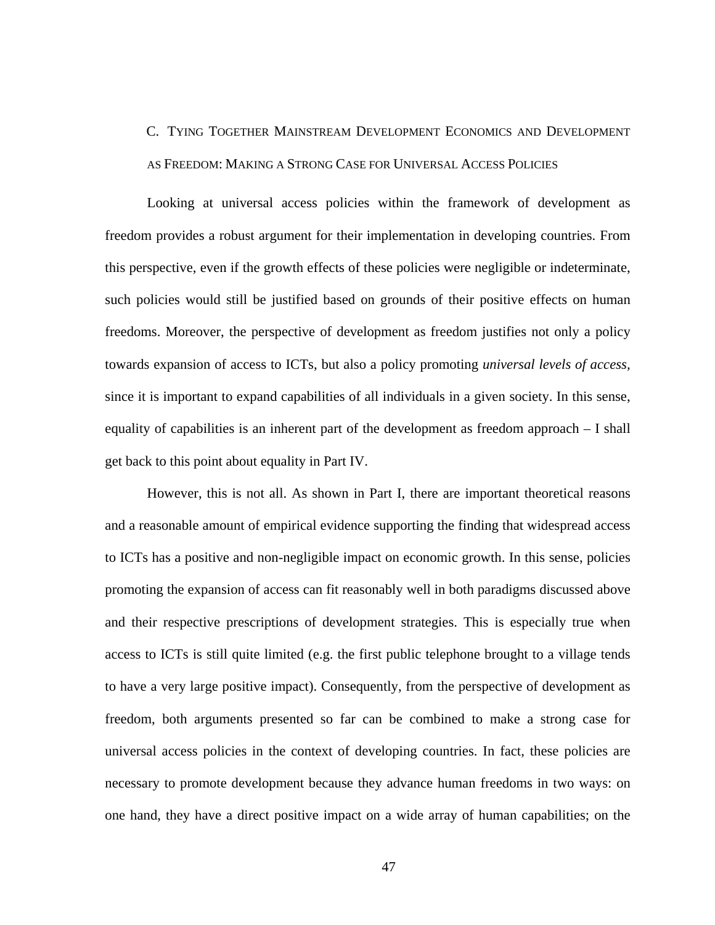# C. TYING TOGETHER MAINSTREAM DEVELOPMENT ECONOMICS AND DEVELOPMENT AS FREEDOM: MAKING A STRONG CASE FOR UNIVERSAL ACCESS POLICIES

Looking at universal access policies within the framework of development as freedom provides a robust argument for their implementation in developing countries. From this perspective, even if the growth effects of these policies were negligible or indeterminate, such policies would still be justified based on grounds of their positive effects on human freedoms. Moreover, the perspective of development as freedom justifies not only a policy towards expansion of access to ICTs, but also a policy promoting *universal levels of access,*  since it is important to expand capabilities of all individuals in a given society. In this sense, equality of capabilities is an inherent part of the development as freedom approach – I shall get back to this point about equality in Part IV.

However, this is not all. As shown in Part I, there are important theoretical reasons and a reasonable amount of empirical evidence supporting the finding that widespread access to ICTs has a positive and non-negligible impact on economic growth. In this sense, policies promoting the expansion of access can fit reasonably well in both paradigms discussed above and their respective prescriptions of development strategies. This is especially true when access to ICTs is still quite limited (e.g. the first public telephone brought to a village tends to have a very large positive impact). Consequently, from the perspective of development as freedom, both arguments presented so far can be combined to make a strong case for universal access policies in the context of developing countries. In fact, these policies are necessary to promote development because they advance human freedoms in two ways: on one hand, they have a direct positive impact on a wide array of human capabilities; on the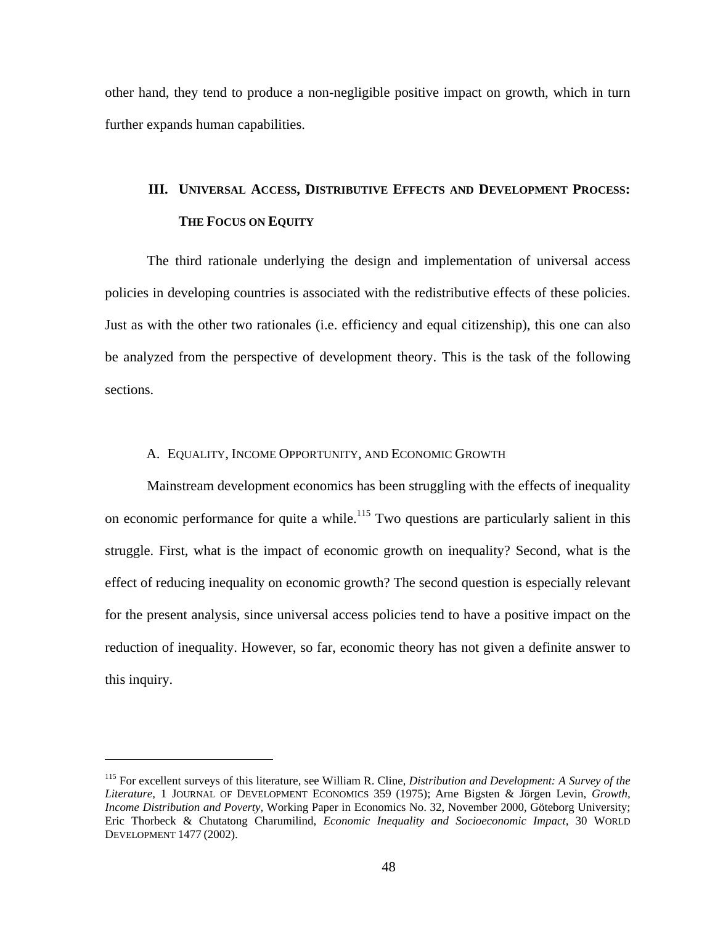other hand, they tend to produce a non-negligible positive impact on growth, which in turn further expands human capabilities.

### **III. UNIVERSAL ACCESS, DISTRIBUTIVE EFFECTS AND DEVELOPMENT PROCESS: THE FOCUS ON EQUITY**

The third rationale underlying the design and implementation of universal access policies in developing countries is associated with the redistributive effects of these policies. Just as with the other two rationales (i.e. efficiency and equal citizenship), this one can also be analyzed from the perspective of development theory. This is the task of the following sections.

### A. EQUALITY, INCOME OPPORTUNITY, AND ECONOMIC GROWTH

Mainstream development economics has been struggling with the effects of inequality on economic performance for quite a while.<sup>115</sup> Two questions are particularly salient in this struggle. First, what is the impact of economic growth on inequality? Second, what is the effect of reducing inequality on economic growth? The second question is especially relevant for the present analysis, since universal access policies tend to have a positive impact on the reduction of inequality. However, so far, economic theory has not given a definite answer to this inquiry.

<u>.</u>

<sup>115</sup> For excellent surveys of this literature, see William R. Cline, *Distribution and Development: A Survey of the Literature,* 1 JOURNAL OF DEVELOPMENT ECONOMICS 359 (1975); Arne Bigsten & Jörgen Levin, *Growth, Income Distribution and Poverty,* Working Paper in Economics No. 32, November 2000, Göteborg University; Eric Thorbeck & Chutatong Charumilind, *Economic Inequality and Socioeconomic Impact,* 30 WORLD DEVELOPMENT 1477 (2002).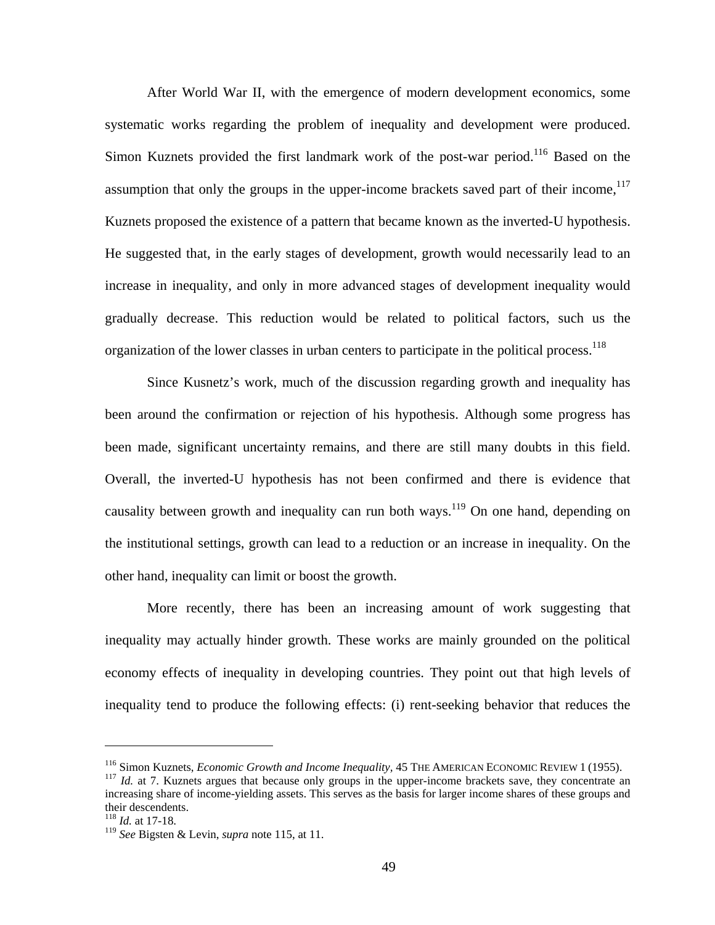After World War II, with the emergence of modern development economics, some systematic works regarding the problem of inequality and development were produced. Simon Kuznets provided the first landmark work of the post-war period.<sup>116</sup> Based on the assumption that only the groups in the upper-income brackets saved part of their income,  $117$ Kuznets proposed the existence of a pattern that became known as the inverted-U hypothesis. He suggested that, in the early stages of development, growth would necessarily lead to an increase in inequality, and only in more advanced stages of development inequality would gradually decrease. This reduction would be related to political factors, such us the organization of the lower classes in urban centers to participate in the political process.<sup>118</sup>

Since Kusnetz's work, much of the discussion regarding growth and inequality has been around the confirmation or rejection of his hypothesis. Although some progress has been made, significant uncertainty remains, and there are still many doubts in this field. Overall, the inverted-U hypothesis has not been confirmed and there is evidence that causality between growth and inequality can run both ways.<sup>119</sup> On one hand, depending on the institutional settings, growth can lead to a reduction or an increase in inequality. On the other hand, inequality can limit or boost the growth.

More recently, there has been an increasing amount of work suggesting that inequality may actually hinder growth. These works are mainly grounded on the political economy effects of inequality in developing countries. They point out that high levels of inequality tend to produce the following effects: (i) rent-seeking behavior that reduces the

1

<sup>&</sup>lt;sup>116</sup> Simon Kuznets, *Economic Growth and Income Inequality*, 45 THE AMERICAN ECONOMIC REVIEW 1 (1955).<br><sup>117</sup> *Id.* at 7. Kuznets argues that because only groups in the upper-income brackets save, they concentrate an

increasing share of income-yielding assets. This serves as the basis for larger income shares of these groups and their descendents.

<sup>118</sup> *Id.* at 17-18.

<sup>119</sup> *See* Bigsten & Levin, *supra* note 115, at 11.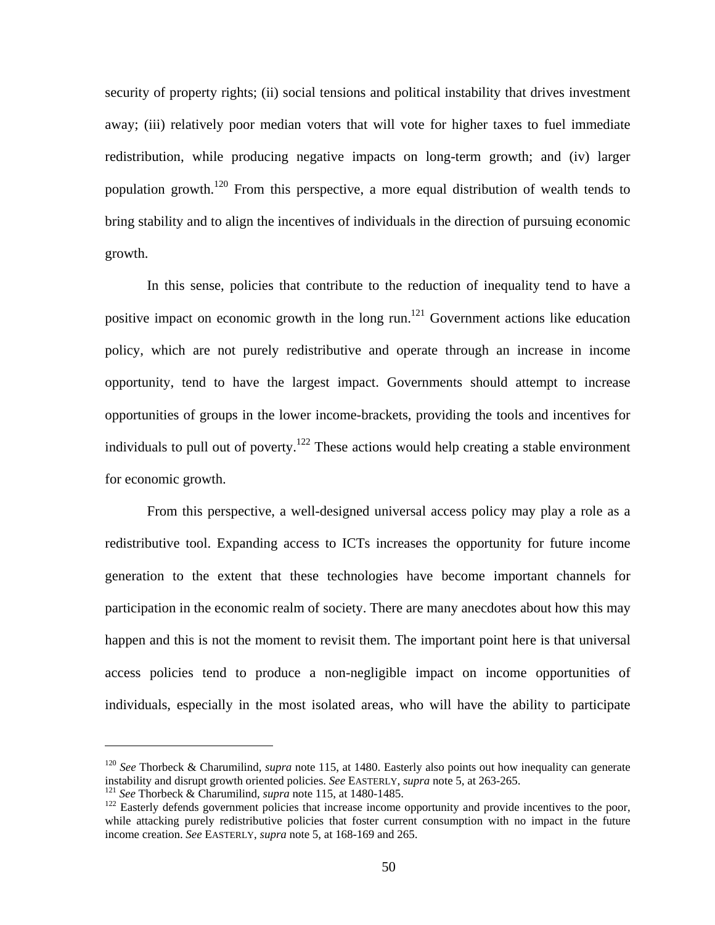security of property rights; (ii) social tensions and political instability that drives investment away; (iii) relatively poor median voters that will vote for higher taxes to fuel immediate redistribution, while producing negative impacts on long-term growth; and (iv) larger population growth.120 From this perspective, a more equal distribution of wealth tends to bring stability and to align the incentives of individuals in the direction of pursuing economic growth.

In this sense, policies that contribute to the reduction of inequality tend to have a positive impact on economic growth in the long run.<sup>121</sup> Government actions like education policy, which are not purely redistributive and operate through an increase in income opportunity, tend to have the largest impact. Governments should attempt to increase opportunities of groups in the lower income-brackets, providing the tools and incentives for individuals to pull out of poverty.<sup>122</sup> These actions would help creating a stable environment for economic growth.

From this perspective, a well-designed universal access policy may play a role as a redistributive tool. Expanding access to ICTs increases the opportunity for future income generation to the extent that these technologies have become important channels for participation in the economic realm of society. There are many anecdotes about how this may happen and this is not the moment to revisit them. The important point here is that universal access policies tend to produce a non-negligible impact on income opportunities of individuals, especially in the most isolated areas, who will have the ability to participate

1

<sup>&</sup>lt;sup>120</sup> *See* Thorbeck & Charumilind, *supra* note 115, at 1480. Easterly also points out how inequality can generate instability and disrupt growth oriented policies. *See* EASTERLY, *supra* note 5, at 263-265.

<sup>&</sup>lt;sup>121</sup> See Thorbeck & Charumilind, *supra* note 115, at 1480-1485.<br><sup>122</sup> Easterly defends government policies that increase income opportunity and provide incentives to the poor, while attacking purely redistributive policies that foster current consumption with no impact in the future income creation. *See* EASTERLY, *supra* note 5, at 168-169 and 265.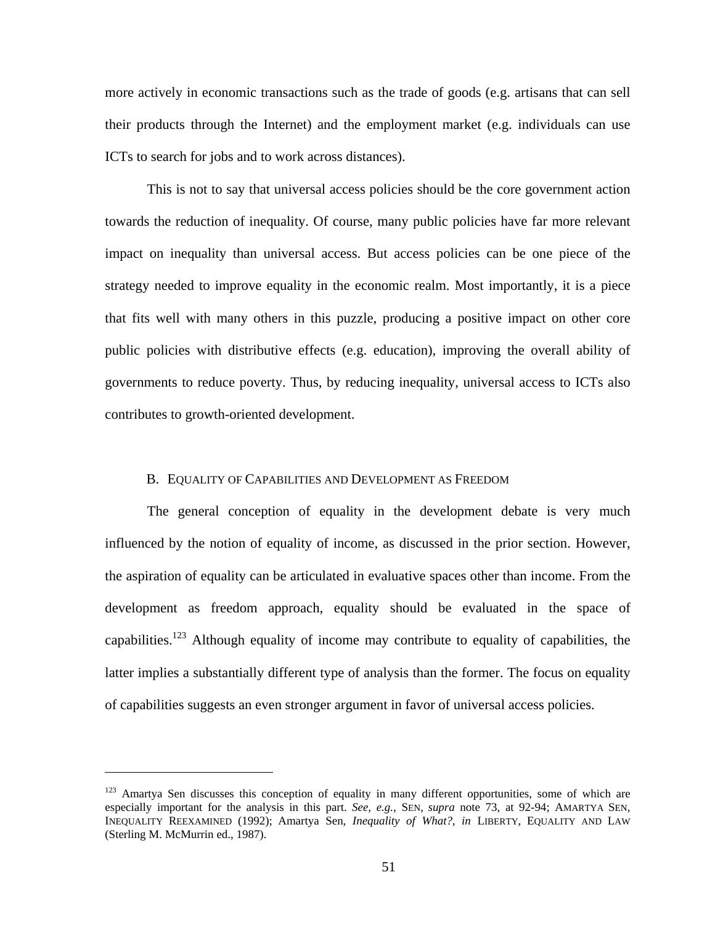more actively in economic transactions such as the trade of goods (e.g. artisans that can sell their products through the Internet) and the employment market (e.g. individuals can use ICTs to search for jobs and to work across distances).

This is not to say that universal access policies should be the core government action towards the reduction of inequality. Of course, many public policies have far more relevant impact on inequality than universal access. But access policies can be one piece of the strategy needed to improve equality in the economic realm. Most importantly, it is a piece that fits well with many others in this puzzle, producing a positive impact on other core public policies with distributive effects (e.g. education), improving the overall ability of governments to reduce poverty. Thus, by reducing inequality, universal access to ICTs also contributes to growth-oriented development.

#### B. EQUALITY OF CAPABILITIES AND DEVELOPMENT AS FREEDOM

The general conception of equality in the development debate is very much influenced by the notion of equality of income, as discussed in the prior section. However, the aspiration of equality can be articulated in evaluative spaces other than income. From the development as freedom approach, equality should be evaluated in the space of capabilities.123 Although equality of income may contribute to equality of capabilities, the latter implies a substantially different type of analysis than the former. The focus on equality of capabilities suggests an even stronger argument in favor of universal access policies.

 $123$  Amartya Sen discusses this conception of equality in many different opportunities, some of which are especially important for the analysis in this part. *See, e.g.,* SEN, *supra* note 73, at 92-94; AMARTYA SEN, INEQUALITY REEXAMINED (1992); Amartya Sen, *Inequality of What?, in* LIBERTY, EQUALITY AND LAW (Sterling M. McMurrin ed., 1987).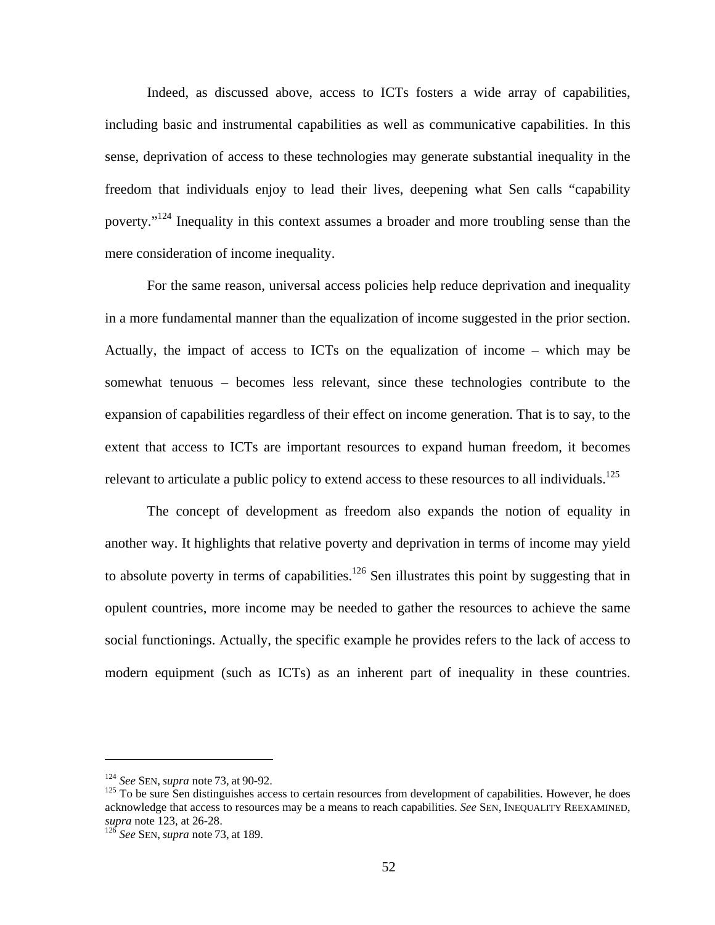Indeed, as discussed above, access to ICTs fosters a wide array of capabilities, including basic and instrumental capabilities as well as communicative capabilities. In this sense, deprivation of access to these technologies may generate substantial inequality in the freedom that individuals enjoy to lead their lives, deepening what Sen calls "capability poverty."<sup>124</sup> Inequality in this context assumes a broader and more troubling sense than the mere consideration of income inequality.

For the same reason, universal access policies help reduce deprivation and inequality in a more fundamental manner than the equalization of income suggested in the prior section. Actually, the impact of access to ICTs on the equalization of income – which may be somewhat tenuous – becomes less relevant, since these technologies contribute to the expansion of capabilities regardless of their effect on income generation. That is to say, to the extent that access to ICTs are important resources to expand human freedom, it becomes relevant to articulate a public policy to extend access to these resources to all individuals.<sup>125</sup>

The concept of development as freedom also expands the notion of equality in another way. It highlights that relative poverty and deprivation in terms of income may yield to absolute poverty in terms of capabilities.<sup>126</sup> Sen illustrates this point by suggesting that in opulent countries, more income may be needed to gather the resources to achieve the same social functionings. Actually, the specific example he provides refers to the lack of access to modern equipment (such as ICTs) as an inherent part of inequality in these countries.

<u>.</u>

<sup>&</sup>lt;sup>124</sup> *See SEN, supra* note 73, at 90-92.<br><sup>125</sup> To be sure Sen distinguishes access to certain resources from development of capabilities. However, he does acknowledge that access to resources may be a means to reach capabilities. *See* SEN, INEQUALITY REEXAMINED, *supra* note 123, at 26-28. <sup>126</sup> *See* SEN, *supra* note 73, at 189.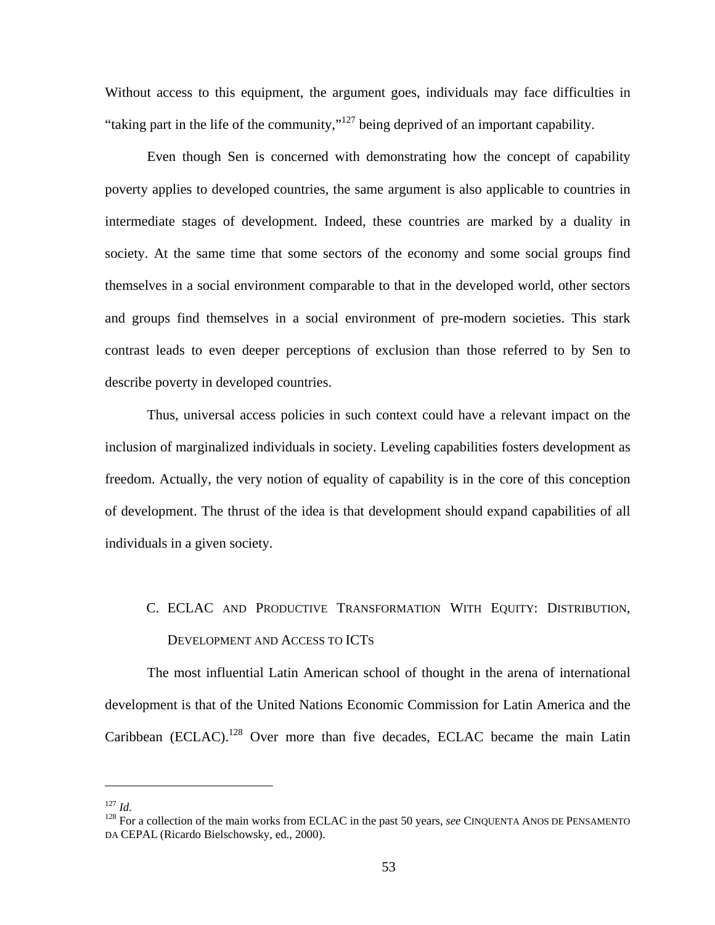Without access to this equipment, the argument goes, individuals may face difficulties in "taking part in the life of the community,"127 being deprived of an important capability.

Even though Sen is concerned with demonstrating how the concept of capability poverty applies to developed countries, the same argument is also applicable to countries in intermediate stages of development. Indeed, these countries are marked by a duality in society. At the same time that some sectors of the economy and some social groups find themselves in a social environment comparable to that in the developed world, other sectors and groups find themselves in a social environment of pre-modern societies. This stark contrast leads to even deeper perceptions of exclusion than those referred to by Sen to describe poverty in developed countries.

Thus, universal access policies in such context could have a relevant impact on the inclusion of marginalized individuals in society. Leveling capabilities fosters development as freedom. Actually, the very notion of equality of capability is in the core of this conception of development. The thrust of the idea is that development should expand capabilities of all individuals in a given society.

# C. ECLAC AND PRODUCTIVE TRANSFORMATION WITH EQUITY: DISTRIBUTION, DEVELOPMENT AND ACCESS TO ICTS

The most influential Latin American school of thought in the arena of international development is that of the United Nations Economic Commission for Latin America and the Caribbean (ECLAC).<sup>128</sup> Over more than five decades, ECLAC became the main Latin

<sup>&</sup>lt;sup>127</sup> *Id.* <sup>128</sup> For a collection of the main works from ECLAC in the past 50 years, *see* CINQUENTA ANOS DE PENSAMENTO DA CEPAL (Ricardo Bielschowsky, ed., 2000).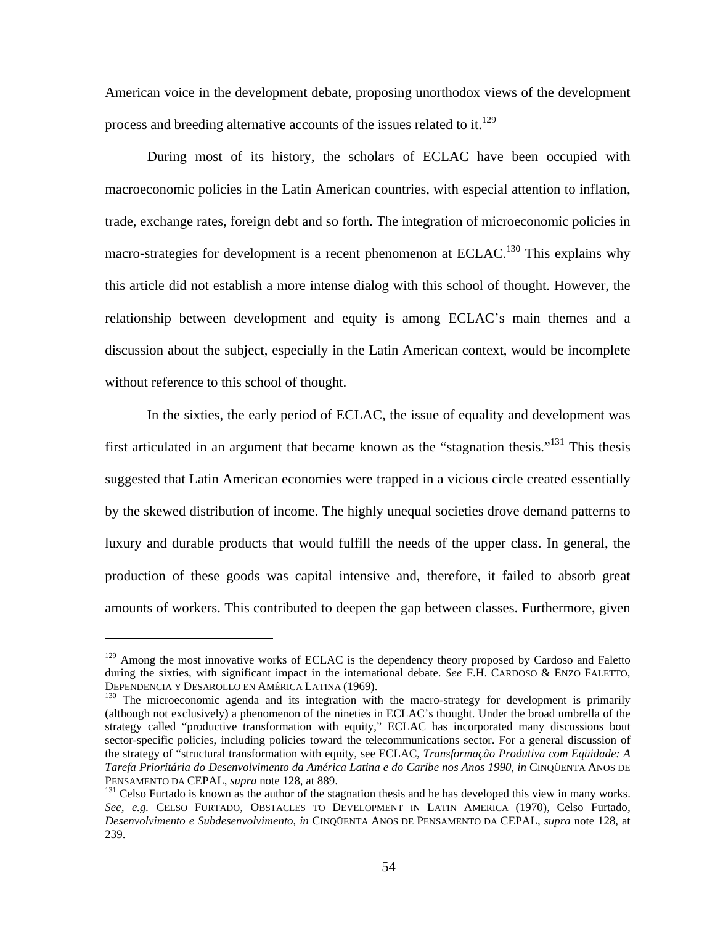American voice in the development debate, proposing unorthodox views of the development process and breeding alternative accounts of the issues related to it.<sup>129</sup>

During most of its history, the scholars of ECLAC have been occupied with macroeconomic policies in the Latin American countries, with especial attention to inflation, trade, exchange rates, foreign debt and so forth. The integration of microeconomic policies in macro-strategies for development is a recent phenomenon at ECLAC.<sup>130</sup> This explains why this article did not establish a more intense dialog with this school of thought. However, the relationship between development and equity is among ECLAC's main themes and a discussion about the subject, especially in the Latin American context, would be incomplete without reference to this school of thought.

In the sixties, the early period of ECLAC, the issue of equality and development was first articulated in an argument that became known as the "stagnation thesis."<sup>131</sup> This thesis suggested that Latin American economies were trapped in a vicious circle created essentially by the skewed distribution of income. The highly unequal societies drove demand patterns to luxury and durable products that would fulfill the needs of the upper class. In general, the production of these goods was capital intensive and, therefore, it failed to absorb great amounts of workers. This contributed to deepen the gap between classes. Furthermore, given

<u>.</u>

<sup>&</sup>lt;sup>129</sup> Among the most innovative works of ECLAC is the dependency theory proposed by Cardoso and Faletto during the sixties, with significant impact in the international debate. *See* F.H. CARDOSO & ENZO FALETTO, DEPENDENCIA Y DESAROLLO EN AMÉRICA LATINA (1969).<br><sup>130</sup> The microeconomic agenda and its integration with the macro-strategy for development is primarily

<sup>(</sup>although not exclusively) a phenomenon of the nineties in ECLAC's thought. Under the broad umbrella of the strategy called "productive transformation with equity," ECLAC has incorporated many discussions bout sector-specific policies, including policies toward the telecommunications sector. For a general discussion of the strategy of "structural transformation with equity, see ECLAC, *Transformação Produtiva com Eqüidade: A Tarefa Prioritária do Desenvolvimento da América Latina e do Caribe nos Anos 1990, in* CINQÜENTA ANOS DE PENSAMENTO DA CEPAL, *supra* note 128, at 889.<br><sup>131</sup> Celso Furtado is known as the author of the stagnation thesis and he has developed this view in many works.

*See, e.g.* CELSO FURTADO*,* OBSTACLES TO DEVELOPMENT IN LATIN AMERICA (1970), Celso Furtado, *Desenvolvimento e Subdesenvolvimento*, *in* CINQÜENTA ANOS DE PENSAMENTO DA CEPAL, *supra* note 128, at 239.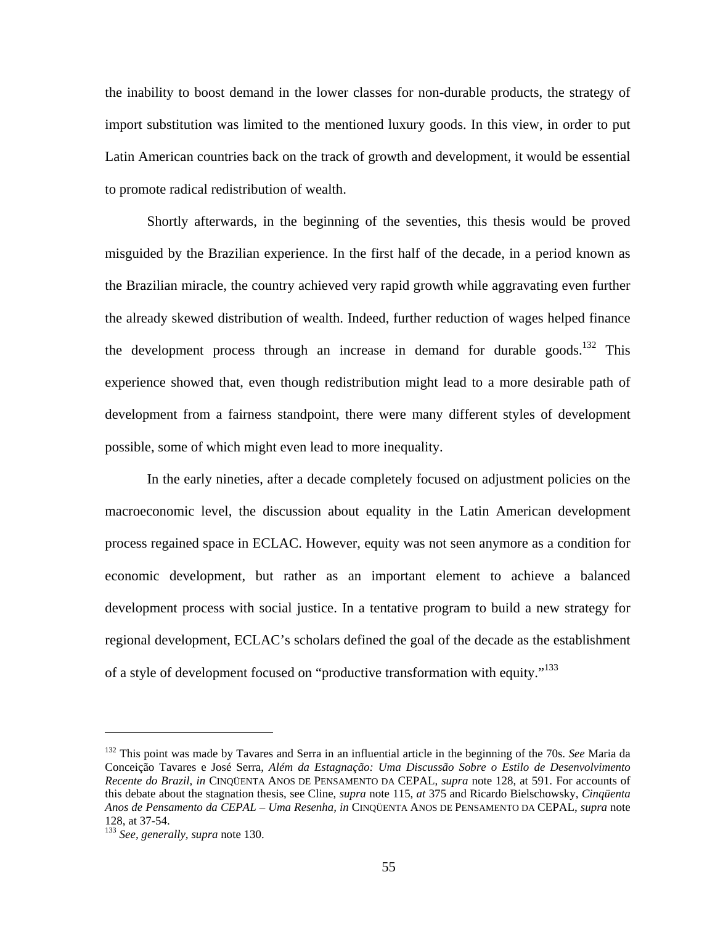the inability to boost demand in the lower classes for non-durable products, the strategy of import substitution was limited to the mentioned luxury goods. In this view, in order to put Latin American countries back on the track of growth and development, it would be essential to promote radical redistribution of wealth.

Shortly afterwards, in the beginning of the seventies, this thesis would be proved misguided by the Brazilian experience. In the first half of the decade, in a period known as the Brazilian miracle, the country achieved very rapid growth while aggravating even further the already skewed distribution of wealth. Indeed, further reduction of wages helped finance the development process through an increase in demand for durable goods.<sup>132</sup> This experience showed that, even though redistribution might lead to a more desirable path of development from a fairness standpoint, there were many different styles of development possible, some of which might even lead to more inequality.

In the early nineties, after a decade completely focused on adjustment policies on the macroeconomic level, the discussion about equality in the Latin American development process regained space in ECLAC. However, equity was not seen anymore as a condition for economic development, but rather as an important element to achieve a balanced development process with social justice. In a tentative program to build a new strategy for regional development, ECLAC's scholars defined the goal of the decade as the establishment of a style of development focused on "productive transformation with equity."<sup>133</sup>

1

<sup>132</sup> This point was made by Tavares and Serra in an influential article in the beginning of the 70s. *See* Maria da Conceição Tavares e José Serra, *Além da Estagnação: Uma Discussão Sobre o Estilo de Desenvolvimento Recente do Brazil*, *in* CINQÜENTA ANOS DE PENSAMENTO DA CEPAL, *supra* note 128, at 591. For accounts of this debate about the stagnation thesis, see Cline, *supra* note 115, *at* 375 and Ricardo Bielschowsky, *Cinqüenta Anos de Pensamento da CEPAL – Uma Resenha, in* CINQÜENTA ANOS DE PENSAMENTO DA CEPAL, *supra* note 128, at 37-54.

<sup>133</sup> *See, generally, supra* note 130.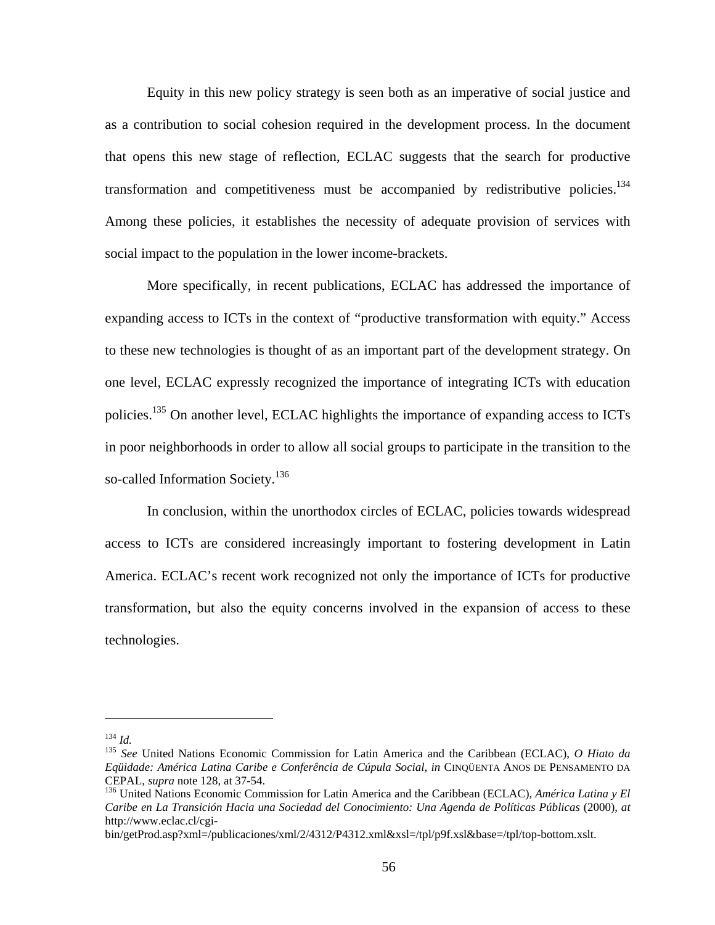Equity in this new policy strategy is seen both as an imperative of social justice and as a contribution to social cohesion required in the development process. In the document that opens this new stage of reflection, ECLAC suggests that the search for productive transformation and competitiveness must be accompanied by redistributive policies.<sup>134</sup> Among these policies, it establishes the necessity of adequate provision of services with social impact to the population in the lower income-brackets.

More specifically, in recent publications, ECLAC has addressed the importance of expanding access to ICTs in the context of "productive transformation with equity." Access to these new technologies is thought of as an important part of the development strategy. On one level, ECLAC expressly recognized the importance of integrating ICTs with education policies.<sup>135</sup> On another level, ECLAC highlights the importance of expanding access to ICTs in poor neighborhoods in order to allow all social groups to participate in the transition to the so-called Information Society.<sup>136</sup>

In conclusion, within the unorthodox circles of ECLAC, policies towards widespread access to ICTs are considered increasingly important to fostering development in Latin America. ECLAC's recent work recognized not only the importance of ICTs for productive transformation, but also the equity concerns involved in the expansion of access to these technologies.

 $\overline{a}$ 

bin/getProd.asp?xml=/publicaciones/xml/2/4312/P4312.xml&xsl=/tpl/p9f.xsl&base=/tpl/top-bottom.xslt.

<sup>134</sup> *Id.* <sup>135</sup> *See* United Nations Economic Commission for Latin America and the Caribbean (ECLAC), *O Hiato da Eqüidade: América Latina Caribe e Conferência de Cúpula Social*, *in* CINQÜENTA ANOS DE PENSAMENTO DA CEPAL, *supra* note 128, at 37-54.<br><sup>136</sup> United Nations Economic Commission for Latin America and the Caribbean (ECLAC), *América Latina y El* 

*Caribe en La Transición Hacia una Sociedad del Conocimiento: Una Agenda de Políticas Públicas* (2000), *at*  http://www.eclac.cl/cgi-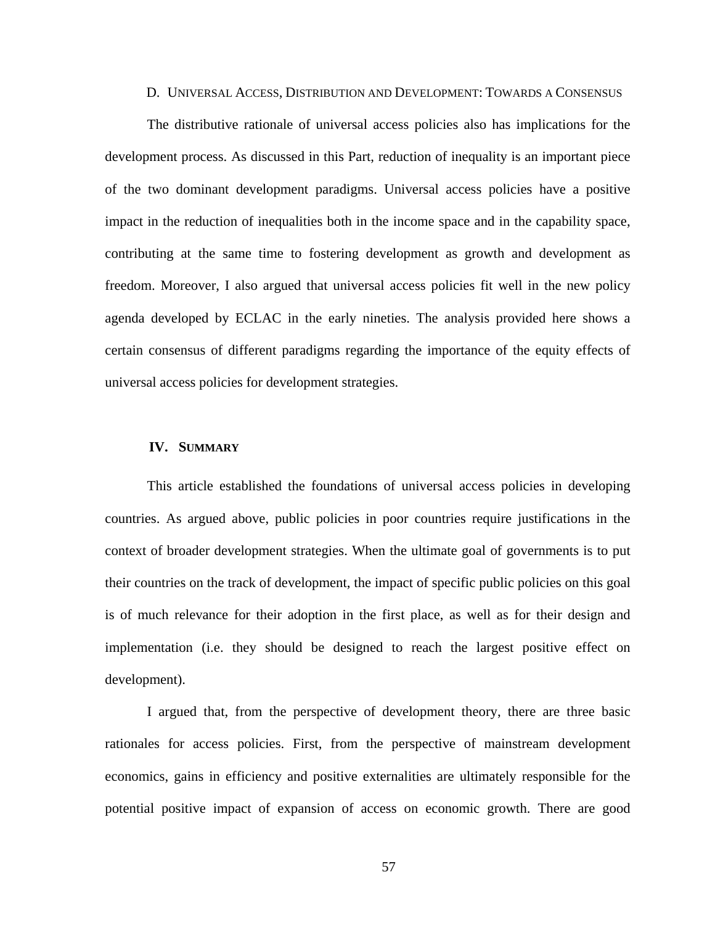#### D. UNIVERSAL ACCESS, DISTRIBUTION AND DEVELOPMENT: TOWARDS A CONSENSUS

The distributive rationale of universal access policies also has implications for the development process. As discussed in this Part, reduction of inequality is an important piece of the two dominant development paradigms. Universal access policies have a positive impact in the reduction of inequalities both in the income space and in the capability space, contributing at the same time to fostering development as growth and development as freedom. Moreover, I also argued that universal access policies fit well in the new policy agenda developed by ECLAC in the early nineties. The analysis provided here shows a certain consensus of different paradigms regarding the importance of the equity effects of universal access policies for development strategies.

#### **IV. SUMMARY**

This article established the foundations of universal access policies in developing countries. As argued above, public policies in poor countries require justifications in the context of broader development strategies. When the ultimate goal of governments is to put their countries on the track of development, the impact of specific public policies on this goal is of much relevance for their adoption in the first place, as well as for their design and implementation (i.e. they should be designed to reach the largest positive effect on development).

I argued that, from the perspective of development theory, there are three basic rationales for access policies. First, from the perspective of mainstream development economics, gains in efficiency and positive externalities are ultimately responsible for the potential positive impact of expansion of access on economic growth. There are good

57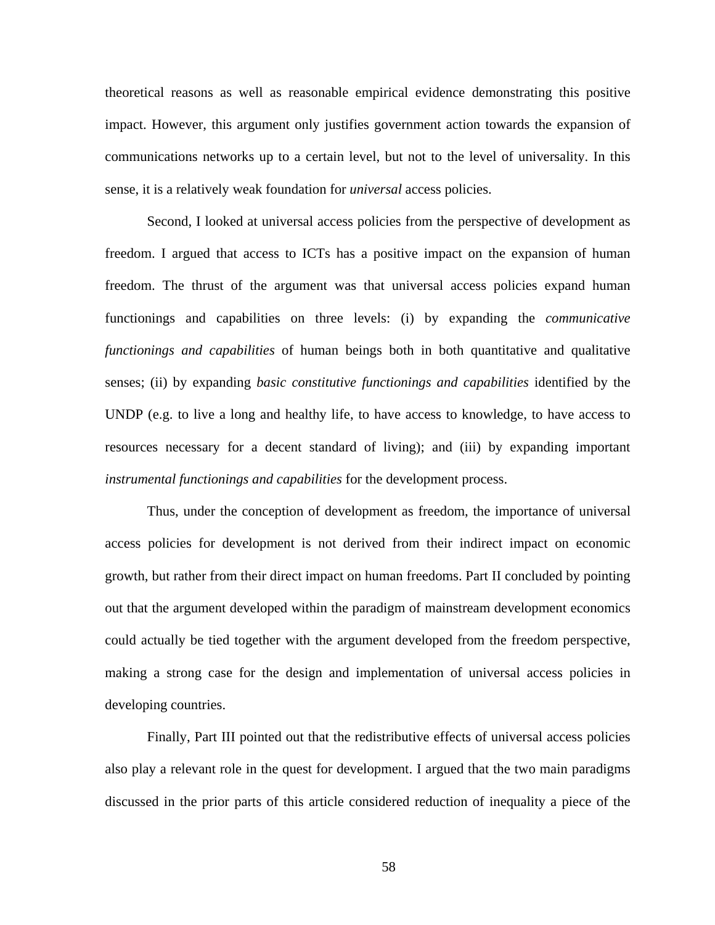theoretical reasons as well as reasonable empirical evidence demonstrating this positive impact. However, this argument only justifies government action towards the expansion of communications networks up to a certain level, but not to the level of universality. In this sense, it is a relatively weak foundation for *universal* access policies.

Second, I looked at universal access policies from the perspective of development as freedom. I argued that access to ICTs has a positive impact on the expansion of human freedom. The thrust of the argument was that universal access policies expand human functionings and capabilities on three levels: (i) by expanding the *communicative functionings and capabilities* of human beings both in both quantitative and qualitative senses; (ii) by expanding *basic constitutive functionings and capabilities* identified by the UNDP (e.g. to live a long and healthy life, to have access to knowledge, to have access to resources necessary for a decent standard of living); and (iii) by expanding important *instrumental functionings and capabilities* for the development process.

Thus, under the conception of development as freedom, the importance of universal access policies for development is not derived from their indirect impact on economic growth, but rather from their direct impact on human freedoms. Part II concluded by pointing out that the argument developed within the paradigm of mainstream development economics could actually be tied together with the argument developed from the freedom perspective, making a strong case for the design and implementation of universal access policies in developing countries.

Finally, Part III pointed out that the redistributive effects of universal access policies also play a relevant role in the quest for development. I argued that the two main paradigms discussed in the prior parts of this article considered reduction of inequality a piece of the

58